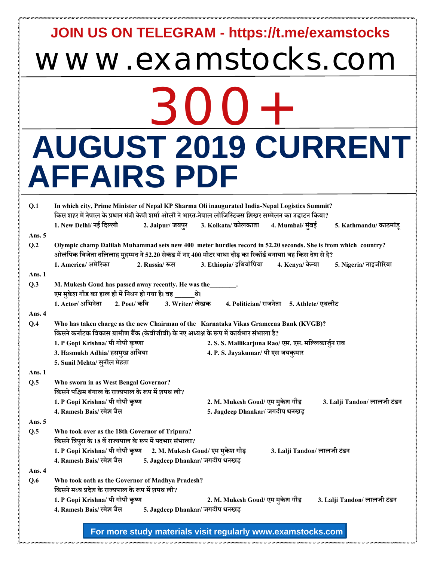## www.examstocks.com **JOIN US ON TELEGRAM - https://t.me/examstocks**

## 300+ **AUGUST 2019 CURRENT AFFAIRS PDF**

| Q.1    | In which city, Prime Minister of Nepal KP Sharma Oli inaugurated India-Nepal Logistics Summit?<br>किस शहर में नेपाल के प्रधान मंत्री केपी शर्मा ओली ने भारत-नेपाल लोजिस्टिक्स शिखर सम्मेलन का उद्घाटन किया?                                                         |                                 |                                                     |                             |                             |
|--------|---------------------------------------------------------------------------------------------------------------------------------------------------------------------------------------------------------------------------------------------------------------------|---------------------------------|-----------------------------------------------------|-----------------------------|-----------------------------|
|        | 1. New Delhi/ नई दिल्ली                                                                                                                                                                                                                                             |                                 | 2. Jaipur/ जयपुर 3. Kolkata/ कोलकाता                | 4. Mumbai/ मुंबई            | 5. Kathmandu/ काठमांडू      |
| Ans. 5 |                                                                                                                                                                                                                                                                     |                                 |                                                     |                             |                             |
| Q.2    | Olympic champ Dalilah Muhammad sets new 400 meter hurdles record in 52.20 seconds. She is from which country?<br>ओलंपिक विजेता दलिलाह मुहम्मद ने 52.20 सेकंड में नए 400 मीटर बाधा दौड़ का रिकॉर्ड बनाया। वह किस देश से है?<br>1. America/ अमेरिका<br>2. Russia/ रूस |                                 | 3. Ethiopia/ इथियोपिया                              | 4. Kenya/ केन्या            | 5. Nigeria/ नाइजीरिया       |
| Ans. 1 |                                                                                                                                                                                                                                                                     |                                 |                                                     |                             |                             |
| Q.3    | M. Mukesh Goud has passed away recently. He was the<br>एम मुकेश गौड का हाल ही में निधन हो गया है। वह ______थे।<br>1. Actor/अभिनेता 2. Poet/ कवि 3. Writer/ लेखक 4. Politician/ राजनेता 5. Athlete/ एथलीट                                                            |                                 |                                                     |                             |                             |
| Ans. 4 |                                                                                                                                                                                                                                                                     |                                 |                                                     |                             |                             |
| Q.4    | Who has taken charge as the new Chairman of the Karnataka Vikas Grameena Bank (KVGB)?<br>किसने कर्नाटक विकास ग्रामीण बैंक (केवीजीबी) के नए अध्यक्ष के रूप में कार्यभार संभाला है?                                                                                   |                                 |                                                     |                             |                             |
|        | 1. P Gopi Krishna/ पी गोपी कृष्णा                                                                                                                                                                                                                                   |                                 | 2. S. S. Mallikarjuna Rao/ एस. एस. मल्लिकार्जुन राव |                             |                             |
|        | 3. Hasmukh Adhia/ हसमुख अधिया                                                                                                                                                                                                                                       |                                 | 4. P. S. Jayakumar/ पी एस जयकुमार                   |                             |                             |
|        | 5. Sunil Mehta/ सुनील मेहता                                                                                                                                                                                                                                         |                                 |                                                     |                             |                             |
| Ans. 1 |                                                                                                                                                                                                                                                                     |                                 |                                                     |                             |                             |
| Q.5    | Who sworn in as West Bengal Governor?<br>किसने पश्चिम बंगाल के राज्यपाल के रूप में शपथ ली?                                                                                                                                                                          |                                 |                                                     |                             |                             |
|        | 1. P Gopi Krishna/ पी गोपी कृष्ण                                                                                                                                                                                                                                    |                                 | 2. M. Mukesh Goud/ एम मुकेश गौड़                    |                             | 3. Lalji Tandon/ लालजी टंडन |
|        | 4. Ramesh Bais/ रमेश बैस                                                                                                                                                                                                                                            |                                 | 5. Jagdeep Dhankar/ जगदीप धनखड़                     |                             |                             |
| Ans. 5 |                                                                                                                                                                                                                                                                     |                                 |                                                     |                             |                             |
| Q.5    | Who took over as the 18th Governor of Tripura?<br>किसने त्रिपुरा के 18 वें राज्यपाल के रूप में पदभार संभाला?<br>1. P Gopi Krishna/ पी गोपी कृष्ण 2. M. Mukesh Goud/ एम मुकेश गौड़                                                                                   |                                 |                                                     | 3. Lalji Tandon/ लालजी टंडन |                             |
|        | 4. Ramesh Bais/ रमेश बैस 5. Jagdeep Dhankar/ जगदीप धनखड़                                                                                                                                                                                                            |                                 |                                                     |                             |                             |
| Ans. 4 |                                                                                                                                                                                                                                                                     |                                 |                                                     |                             |                             |
| Q.6    | Who took oath as the Governor of Madhya Pradesh?<br>किसने मध्य प्रदेश के राज्यपाल के रूप में शपथ ली?                                                                                                                                                                |                                 |                                                     |                             |                             |
|        | 1. P Gopi Krishna/ पी गोपी कृष्ण                                                                                                                                                                                                                                    |                                 | 2. M. Mukesh Goud/ एम मुकेश गौड़                    |                             | 3. Lalji Tandon/ लालजी टंडन |
|        | 4. Ramesh Bais/ रमेश बैस                                                                                                                                                                                                                                            | 5. Jagdeep Dhankar/ जगदीप धनखड़ |                                                     |                             |                             |
|        |                                                                                                                                                                                                                                                                     |                                 |                                                     |                             |                             |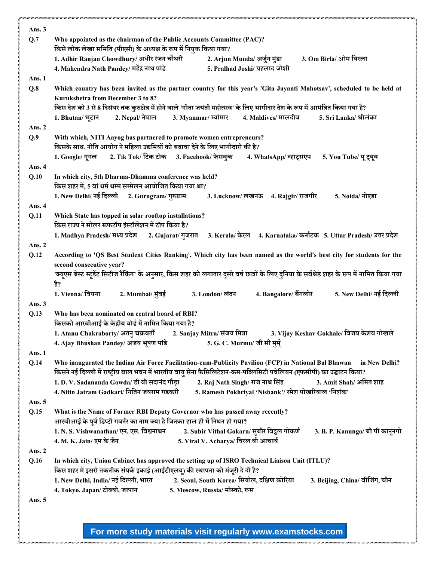| Ans. 3   |                                                                                                                                                  |
|----------|--------------------------------------------------------------------------------------------------------------------------------------------------|
| Q.7      | Who appointed as the chairman of the Public Accounts Committee (PAC)?                                                                            |
|          | किसे लोक लेखा समिति (पीएसी) के अध्यक्ष के रूप में नियुक्त किया गया?                                                                              |
|          | 1. Adhir Ranjan Chowdhury/ अधीर रंजन चौधरी<br>2. Arjun Munda/ अर्जुन मुंडा<br>3. Om Birla/ ओम बिरला                                              |
|          | 4. Mahendra Nath Pandey/ महेंद्र नाथ पांडे<br>5. Pralhad Joshi/ प्रहलाद जोशी                                                                     |
| Ans. 1   |                                                                                                                                                  |
| Q.8      | Which country has been invited as the partner country for this year's 'Gita Jayanti Mahotsav', scheduled to be held at                           |
|          | Kurukshetra from December 3 to 8?                                                                                                                |
|          | किस देश को 3 से 8 दिसंबर तक कुरुक्षेत्र में होने वाले 'गीता जयंती महोत्सव' के लिए भागीदार देश के रूप में आमंत्रित किया गया है?                   |
|          | 2. Nepal/ नेपाल<br>3. Myanmar/ म्यांमार<br>4. Maldives/ मालदीव<br>5. Sri Lanka/ श्रीलंका<br>1. Bhutan/ भूटान                                     |
| Ans. 2   |                                                                                                                                                  |
| Q.9      | With which, NITI Aayog has partnered to promote women entrepreneurs?                                                                             |
|          | किसके साथ, नीति आयोग ने महिला उद्यमियों को बढ़ावा देने के लिए भागीदारी की है?                                                                    |
|          | 1. Google/ गूगल 2. Tik Tok/ टिक टोक 3. Facebook/ फेसबुक 4. WhatsApp/ व्हाट्सएप<br>5. You Tube/ यू ट्यूब                                          |
| Ans. 4   |                                                                                                                                                  |
| Q.10     | In which city, 5th Dharma-Dhamma conference was held?                                                                                            |
|          | किस शहर में, 5 वां धर्म धम्म सम्मेलन आयोजित किया गया था?                                                                                         |
|          | 1. New Delhi/ नई दिल्ली 2. Gurugram/ गुरुग्राम<br>3. Lucknow/ लखनऊ 4. Rajgir/ राजगीर<br>5. Noida/ नोएडा                                          |
| Ans. 4   |                                                                                                                                                  |
| Q.11     | Which State has topped in solar rooftop installations?<br>किस राज्य ने सोलर रूफटॉप इंस्टॉलेशन में टॉप किया है?                                   |
|          | 1. Madhya Pradesh/ मध्य प्रदेश<br>2. Gujarat/ गुजरात      3. Kerala/ केरल     4. Karnataka/ कर्नाटक   5. Uttar Pradesh/ उत्तर प्रदेश             |
| Ans. 2   |                                                                                                                                                  |
| Q.12     | According to 'QS Best Student Cities Ranking', Which city has been named as the world's best city for students for the                           |
|          | second consecutive year?                                                                                                                         |
|          | 'क्यूएस बेस्ट स्टूडेंट सिटीज रैंकिंग' के अनुसार, किस शहर को लगातार दूसरे वर्ष छात्रों के लिए दुनिया के सर्वश्रेष्ठ शहर के रूप में नामित किया गया |
|          | है?                                                                                                                                              |
|          | 2. Mumbai/ मुंबई<br>4. Bangalore/ बैंगलोर<br>5. New Delhi/ नई दिल्ली<br>1. Vienna/ वियना<br>3. London/ लंदन                                      |
| Ans. 3   |                                                                                                                                                  |
| Q.13     | Who has been nominated on central board of RBI?                                                                                                  |
|          | किसको आरबीआई के केंद्रीय बोर्ड में नामित किया गया है?                                                                                            |
|          | 1. Atanu Chakraborty/ अतनु चक्रवर्ती 2. Sanjay Mitra/ संजय मित्रा<br>3. Vijay Keshav Gokhale/ विजय केशव गोखले                                    |
|          | 5. G. C. Murmu/ जी सी मुर्म्<br>4. Ajay Bhushan Pandey/ अजय भूषण पांडे                                                                           |
| Ans. 1   |                                                                                                                                                  |
| Q.14     | Who inaugurated the Indian Air Force Facilitation-cum-Publicity Pavilion (FCP) in National Bal Bhawan<br>in New Delhi?                           |
|          | किसने नई दिल्ली में राष्ट्रीय बाल भवन में भारतीय वायु सेना फैसिलिटेशन-कम-पब्लिसिटी पवेलियन (एफसीपी) का उद्घाटन किया?                             |
|          | 1. D. V. Sadananda Gowda/ डी वी सदानंद गौड़ा<br>2. Raj Nath Singh/ राज नाथ सिंह<br>3. Amit Shah/ अमित शाह                                        |
|          | 4. Nitin Jairam Gadkari/ नितिन जयराम गडकरी<br>5. Ramesh Pokhriyal 'Nishank'/ रमेश पोखरियाल 'निशंक'                                               |
| Ans. 5   |                                                                                                                                                  |
| Q.15     | What is the Name of Former RBI Deputy Governor who has passed away recently?                                                                     |
|          | आरबीआई के पूर्व डिप्टी गवर्नर का नाम क्या है जिनका हाल ही में निधन हो गया?                                                                       |
|          | 1. N. S. Vishwanathan/ एन. एस. विश्वनाथन<br>2. Subir Vithal Gokarn/ सुबीर विट्ठल गोकर्ण<br>3. B. P. Kanungo/ बी पी कानूनगो                       |
|          | 4. M. K. Jain/ एम के जैन<br>5. Viral V. Acharya/ विरल वी आचार्य                                                                                  |
| Ans. 2   |                                                                                                                                                  |
| Q.16     | In which city, Union Cabinet has approved the setting up of ISRO Technical Liaison Unit (ITLU)?                                                  |
|          | किस शहर में इसरो तकनीक संपर्क इकाई (आईटीएलयू) की स्थापना को मंजूरी दे दी है?                                                                     |
|          | 1. New Delhi, India/ नई दिल्ली, भारत<br>2. Seoul, South Korea/ सियोल, दक्षिण कोरिया<br>3. Beijing, China/ बीजिंग, चीन                            |
|          | 4. Tokyo, Japan/ टोक्यो, जापान<br>5. Moscow, Russia/ मॉस्को, रूस                                                                                 |
| Ans. $5$ |                                                                                                                                                  |
|          |                                                                                                                                                  |
|          |                                                                                                                                                  |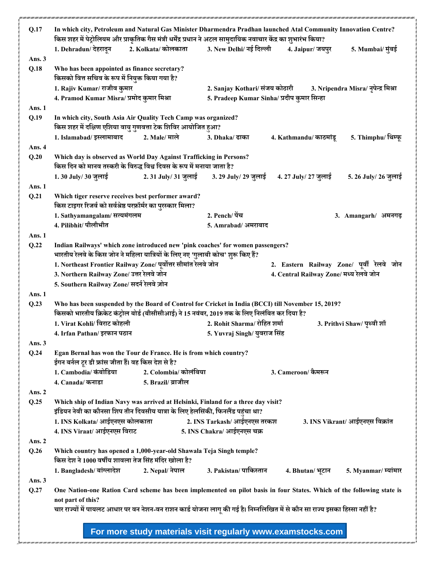| Q.17     | In which city, Petroleum and Natural Gas Minister Dharmendra Pradhan launched Atal Community Innovation Centre?<br>किस शहर में पेट्रोलियम और प्राकृतिक गैस मंत्री धर्मेंद्र प्रधान ने अटल सामुदायिक नवाचार केंद्र का शुभारंभ किया? |                                                                                                                                                                                                     |                                             |                                           |                                      |
|----------|------------------------------------------------------------------------------------------------------------------------------------------------------------------------------------------------------------------------------------|-----------------------------------------------------------------------------------------------------------------------------------------------------------------------------------------------------|---------------------------------------------|-------------------------------------------|--------------------------------------|
|          | 1. Dehradun/ देहरादून                                                                                                                                                                                                              | 2. Kolkata/ कोलकाता                                                                                                                                                                                 | 3. New Delhi/ नई दिल्ली                     | 4. Jaipur/ जयपुर                          | 5. Mumbai/ मुंबई                     |
| Ans. 3   |                                                                                                                                                                                                                                    |                                                                                                                                                                                                     |                                             |                                           |                                      |
| Q.18     | Who has been appointed as finance secretary?<br>किसको वित्त सचिव के रूप में नियुक्त किया गया है?                                                                                                                                   |                                                                                                                                                                                                     |                                             |                                           |                                      |
|          | 1. Rajiv Kumar/ राजीव कुमार                                                                                                                                                                                                        |                                                                                                                                                                                                     | 2. Sanjay Kothari/ संजय कोठारी              |                                           | 3. Nripendra Misra/ नृपेन्द्र मिश्रा |
|          | 4. Pramod Kumar Misra/ प्रमोद कुमार मिश्रा                                                                                                                                                                                         |                                                                                                                                                                                                     | 5. Pradeep Kumar Sinha/ प्रदीप कुमार सिन्हा |                                           |                                      |
| Ans. 1   |                                                                                                                                                                                                                                    |                                                                                                                                                                                                     |                                             |                                           |                                      |
| Q.19     | In which city, South Asia Air Quality Tech Camp was organized?<br>किस शहर में दक्षिण एशिया वायु गुणवत्ता टेक शिविर आयोजित हुआ?                                                                                                     |                                                                                                                                                                                                     |                                             |                                           |                                      |
|          | 1. Islamabad/ इस्लामाबाद                                                                                                                                                                                                           | 2. Male/ माले                                                                                                                                                                                       | 3. Dhaka/ ढाका                              | 4. Kathmandu/ काठमांडू                    | 5. Thimphu/ थिम्फू                   |
| Ans. 4   |                                                                                                                                                                                                                                    |                                                                                                                                                                                                     |                                             |                                           |                                      |
| Q.20     |                                                                                                                                                                                                                                    | Which day is observed as World Day Against Trafficking in Persons?<br>किस दिन को मानव तस्करी के विरुद्ध विश्व दिवस के रूप में मनाया जाता है?                                                        |                                             |                                           |                                      |
|          | 1.30 July/ 30 जुलाई                                                                                                                                                                                                                | 2.31 July/ 31 जुलाई                                                                                                                                                                                 | 3. 29 July/ 29 जुलाई                        | 4. 27 July/ 27 जुलाई                      | 5. 26 July/ 26 जुलाई                 |
| Ans. 1   |                                                                                                                                                                                                                                    |                                                                                                                                                                                                     |                                             |                                           |                                      |
| Q.21     | किस टाइगर रिजर्व को सर्वश्रेष्ठ परफ़ॉर्मर का पुरस्कार मिला?                                                                                                                                                                        | Which tiger reserve receives best performer award?                                                                                                                                                  |                                             |                                           |                                      |
|          | 1. Sathyamangalam/ सत्यमंगलम                                                                                                                                                                                                       |                                                                                                                                                                                                     | 2. Pench/ पेंच                              |                                           | 3. Amangarh/ अमनगढ़                  |
|          | 4. Pilibhit/ पीलीभीत                                                                                                                                                                                                               |                                                                                                                                                                                                     | 5. Amrabad/ अमराबाद                         |                                           |                                      |
| Ans. 1   |                                                                                                                                                                                                                                    |                                                                                                                                                                                                     |                                             |                                           |                                      |
| Q.22     |                                                                                                                                                                                                                                    | Indian Railways' which zone introduced new 'pink coaches' for women passengers?<br>भारतीय रेलवे के किस जोन ने महिला यात्रियों के लिए नए 'गुलाबी कोच' शुरू किए हैं?                                  |                                             |                                           |                                      |
|          |                                                                                                                                                                                                                                    | 1. Northeast Frontier Railway Zone/ पूर्वोत्तर सीमांत रेलवे जोन                                                                                                                                     |                                             | 2. Eastern Railway Zone/ पूर्वी रेलवे जोन |                                      |
|          | 3. Northern Railway Zone/ उत्तर रेलवे जोन                                                                                                                                                                                          |                                                                                                                                                                                                     |                                             | 4. Central Railway Zone/ मध्य रेलवे जोन   |                                      |
|          | 5. Southern Railway Zone/ सदर्न रेलवे ज़ोन                                                                                                                                                                                         |                                                                                                                                                                                                     |                                             |                                           |                                      |
| Ans. 1   |                                                                                                                                                                                                                                    |                                                                                                                                                                                                     |                                             |                                           |                                      |
| Q.23     |                                                                                                                                                                                                                                    | Who has been suspended by the Board of Control for Cricket in India (BCCI) till November 15, 2019?<br>किसको भारतीय क्रिकेट कंट्रोल बोर्ड (बीसीसीआई) ने 15 नवंबर, 2019 तक के लिए निलंबित कर दिया है? |                                             |                                           |                                      |
|          | 1. Virat Kohli/ विराट कोहली                                                                                                                                                                                                        |                                                                                                                                                                                                     | 2. Rohit Sharma/ रोहित शर्मा                |                                           | 3. Prithvi Shaw/ पृथ्वी शॉ           |
|          | 4. Irfan Pathan/ इरफान पठान                                                                                                                                                                                                        |                                                                                                                                                                                                     | 5. Yuvraj Singh/ युवराज सिंह                |                                           |                                      |
| Ans. 3   |                                                                                                                                                                                                                                    |                                                                                                                                                                                                     |                                             |                                           |                                      |
| Q.24     | ईगन बर्नल टूर डी फ्रांस जीता हैं। वह किस देश से है?                                                                                                                                                                                | Egan Bernal has won the Tour de France. He is from which country?                                                                                                                                   |                                             |                                           |                                      |
|          | 1. Cambodia/ कंबोडिया                                                                                                                                                                                                              | 2. Colombia/ कोलंबिया                                                                                                                                                                               |                                             | 3. Cameroon/ कैमरून                       |                                      |
|          | 4. Canada/ कनाडा                                                                                                                                                                                                                   | 5. Brazil/ ब्राजील                                                                                                                                                                                  |                                             |                                           |                                      |
| Ans. $2$ |                                                                                                                                                                                                                                    |                                                                                                                                                                                                     |                                             |                                           |                                      |
| Q.25     |                                                                                                                                                                                                                                    | Which ship of Indian Navy was arrived at Helsinki, Finland for a three day visit?<br>इंडियन नेवी का कौनसा शिप तीन दिवसीय यात्रा के लिए हेलसिंकी, फिनलैंड पहंचा था?                                  |                                             |                                           |                                      |
|          | 1. INS Kolkata/ आईएनएस कोलकाता                                                                                                                                                                                                     |                                                                                                                                                                                                     | 2. INS Tarkash/ आईएनएस तरकश                 |                                           | 3. INS Vikrant/ आईएनएस विक्रांत      |
|          | 4. INS Viraat/ आईएनएस विराट                                                                                                                                                                                                        |                                                                                                                                                                                                     | 5. INS Chakra/ आईएनएस चक्र                  |                                           |                                      |
| Ans. $2$ |                                                                                                                                                                                                                                    |                                                                                                                                                                                                     |                                             |                                           |                                      |
| Q.26     | किस देश ने 1000 वर्षीय शावला तेज सिंह मंदिर खोला है?                                                                                                                                                                               | Which country has opened a 1,000-year-old Shawala Teja Singh temple?                                                                                                                                |                                             |                                           |                                      |
|          | 1. Bangladesh/ बांग्लादेश                                                                                                                                                                                                          | 2. Nepal/ नेपाल                                                                                                                                                                                     | 3. Pakistan/ पाकिस्तान                      | 4. Bhutan/ भूटान                          | 5. Myanmar/ म्यांमार                 |
| Ans. 3   |                                                                                                                                                                                                                                    |                                                                                                                                                                                                     |                                             |                                           |                                      |
| Q.27     |                                                                                                                                                                                                                                    | One Nation-one Ration Card scheme has been implemented on pilot basis in four States. Which of the following state is                                                                               |                                             |                                           |                                      |
|          | not part of this?                                                                                                                                                                                                                  |                                                                                                                                                                                                     |                                             |                                           |                                      |
|          |                                                                                                                                                                                                                                    | चार राज्यों में पायलट आधार पर वन नेशन-वन राशन कार्ड योजना लागू की गई है। निम्नलिखित में से कौन सा राज्य इसका हिस्सा नहीं है?                                                                        |                                             |                                           |                                      |
|          |                                                                                                                                                                                                                                    |                                                                                                                                                                                                     |                                             |                                           |                                      |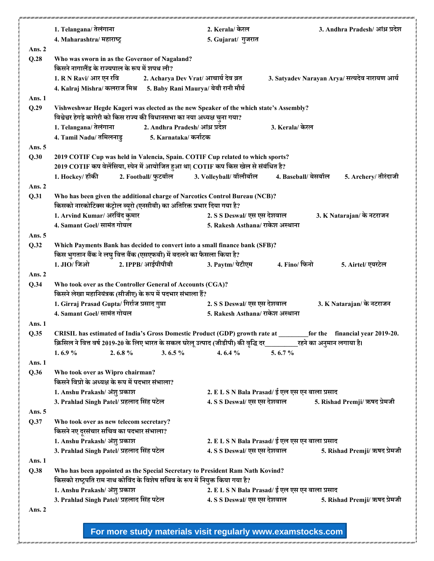|               | 1. Telangana/ तेलंगाना                                                                                                                                         |                                      | 2. Kerala/ केरल                            |                                                | 3. Andhra Pradesh/ आंध्र प्रदेश               |
|---------------|----------------------------------------------------------------------------------------------------------------------------------------------------------------|--------------------------------------|--------------------------------------------|------------------------------------------------|-----------------------------------------------|
|               | 4. Maharashtra/ महाराष्ट्र                                                                                                                                     |                                      | 5. Gujarat/ गुजरात                         |                                                |                                               |
| Ans. 2        |                                                                                                                                                                |                                      |                                            |                                                |                                               |
| Q.28          | Who was sworn in as the Governor of Nagaland?<br>किसने नागालैंड के राज्यपाल के रूप में शपथ ली?                                                                 |                                      |                                            |                                                |                                               |
|               | 1. R N Ravi/ आर एन रवि                                                                                                                                         | 2. Acharya Dev Vrat/ आचार्य देव व्रत |                                            |                                                | 3. Satyadev Narayan Arya/ सत्यदेव नारायण आर्य |
|               | 4. Kalraj Mishra/ कलराज मिश्र      5. Baby Rani Maurya/ बेबी रानी मौर्य                                                                                        |                                      |                                            |                                                |                                               |
| Ans. 1        |                                                                                                                                                                |                                      |                                            |                                                |                                               |
| Q.29          | Vishweshwar Hegde Kageri was elected as the new Speaker of the which state's Assembly?                                                                         |                                      |                                            |                                                |                                               |
|               | विश्वेश्वर हेगड़े कागेरी को किस राज्य की विधानसभा का नया अध्यक्ष चुना गया?                                                                                     |                                      |                                            |                                                |                                               |
|               | 1. Telangana/ तेलंगाना 2. Andhra Pradesh/ आंध्र प्रदेश                                                                                                         |                                      |                                            | 3. Kerala/ केरल                                |                                               |
|               |                                                                                                                                                                |                                      |                                            |                                                |                                               |
| Ans. $5$      |                                                                                                                                                                |                                      |                                            |                                                |                                               |
| Q.30          | 2019 COTIF Cup was held in Valencia, Spain. COTIF Cup related to which sports?                                                                                 |                                      |                                            |                                                |                                               |
|               | 2019 COTIF कप वेलेंसिया, स्पेन में आयोजित हुआ था  COTIF कप किस खेल से संबंधित है?                                                                              |                                      |                                            |                                                |                                               |
|               | 1. Hockey/ हॉकी                                                                                                                                                |                                      | 2. Football/ फुटबॉल 3. Volleyball/ वॉलीबॉल | 4. Baseball/ बेसबॉल                            | 5. Archery/ तीरंदाजी                          |
| Ans. 2        |                                                                                                                                                                |                                      |                                            |                                                |                                               |
| Q.31          | Who has been given the additional charge of Narcotics Control Bureau (NCB)?<br>किसको नारकोटिक्स कंट्रोल ब्यूरो (एनसीबी) का अतिरिक्त प्रभार दिया गया है?        |                                      |                                            |                                                |                                               |
|               | 1. Arvind Kumar/ अरविंद कुमार                                                                                                                                  |                                      | 2. S S Deswal/ एस एस देशवाल                |                                                | 3. K Natarajan/ के नटराजन                     |
|               | 4. Samant Goel/ सामंत गोयल                                                                                                                                     |                                      | 5. Rakesh Asthana/ राकेश अस्थाना           |                                                |                                               |
| Ans. 5        |                                                                                                                                                                |                                      |                                            |                                                |                                               |
| Q.32          | Which Payments Bank has decided to convert into a small finance bank (SFB)?                                                                                    |                                      |                                            |                                                |                                               |
|               | किस भुगतान बैंक ने लघु वित्त बैंक (एसएफबी) में बदलने का फैसला किया है?                                                                                         |                                      |                                            |                                                |                                               |
|               | 1. JIO/ जिओ                                                                                                                                                    | 2. IPPB/ आईपीपीबी                    | 3. Paytm/ पेटीएम                           | 4. Fino/ फिनो                                  | 5. Airtel/ एयरटेल                             |
| Ans. 2        |                                                                                                                                                                |                                      |                                            |                                                |                                               |
| Q.34          | Who took over as the Controller General of Accounts (CGA)?                                                                                                     |                                      |                                            |                                                |                                               |
|               | किसने लेखा महानियंत्रक (सीजीए) के रूप में पदभार संभाला हैं?                                                                                                    |                                      |                                            |                                                |                                               |
|               | 1. Girraj Prasad Gupta/ गिर्राज प्रसाद गुप्ता                                                                                                                  |                                      | 2. S S Deswal/ एस एस देशवाल                |                                                | 3. K Natarajan/ के नटराजन                     |
|               | 4. Samant Goel/ सामंत गोयल                                                                                                                                     |                                      | 5. Rakesh Asthana/ राकेश अस्थाना           |                                                |                                               |
| Ans. 1        |                                                                                                                                                                |                                      |                                            |                                                |                                               |
| Q.35          | CRISIL has estimated of India's Gross Domestic Product (GDP) growth rate at _____                                                                              |                                      |                                            |                                                | for the financial year 2019-20.               |
|               | क्रिसिल ने वित्त वर्ष 2019-20 के लिए भारत के सकल घरेलू उत्पाद (जीडीपी) की वृद्धि दर__________रहने का अनुमान लगाया है।                                          |                                      |                                            |                                                |                                               |
|               | 1.6.9%<br>2.6.8%                                                                                                                                               | 3.6.5 $%$                            | 4.6.4 $\%$                                 | 5.6.7%                                         |                                               |
| Ans. 1        |                                                                                                                                                                |                                      |                                            |                                                |                                               |
| Q.36          | Who took over as Wipro chairman?<br>किसने विप्रो के अध्यक्ष के रूप में पदभार संभाला?                                                                           |                                      |                                            |                                                |                                               |
|               | 1. Anshu Prakash/अंशु प्रकाश                                                                                                                                   |                                      |                                            | 2. E L S N Bala Prasad/ ई एल एस एन बाला प्रसाद |                                               |
|               | 3. Prahlad Singh Patel/ प्रहलाद सिंह पटेल                                                                                                                      |                                      | 4. S S Deswal/ एस एस देशवाल                |                                                | 5. Rishad Premji/ ऋषद प्रेमजी                 |
| Ans. 5        |                                                                                                                                                                |                                      |                                            |                                                |                                               |
| Q.37          | Who took over as new telecom secretary?<br>किसने नए दूरसंचार सचिव का पदभार संभाला?                                                                             |                                      |                                            |                                                |                                               |
|               | 1. Anshu Prakash/अंशु प्रकाश                                                                                                                                   |                                      |                                            | 2. E L S N Bala Prasad/ ई एल एस एन बाला प्रसाद |                                               |
|               | 3. Prahlad Singh Patel/ प्रहलाद सिंह पटेल                                                                                                                      |                                      | 4. S S Deswal/ एस एस देशवाल                |                                                | 5. Rishad Premji/ ऋषद प्रेमजी                 |
| Ans. 1        |                                                                                                                                                                |                                      |                                            |                                                |                                               |
| Q.38          | Who has been appointed as the Special Secretary to President Ram Nath Kovind?<br>किसको राष्ट्रपति राम नाथ कोविंद के विशेष सचिव के रूप में नियुक्त किया गया है? |                                      |                                            |                                                |                                               |
|               | 1. Anshu Prakash/अंशु प्रकाश                                                                                                                                   |                                      |                                            | 2. E L S N Bala Prasad/ ई एल एस एन बाला प्रसाद |                                               |
|               | 3. Prahlad Singh Patel/ प्रहलाद सिंह पटेल                                                                                                                      |                                      |                                            | 4. S S Deswal/ एस एस देशवाल                    | 5. Rishad Premji/ ऋषद प्रेमजी                 |
| <b>Ans. 2</b> |                                                                                                                                                                |                                      |                                            |                                                |                                               |
|               |                                                                                                                                                                |                                      |                                            |                                                |                                               |
|               |                                                                                                                                                                |                                      |                                            |                                                |                                               |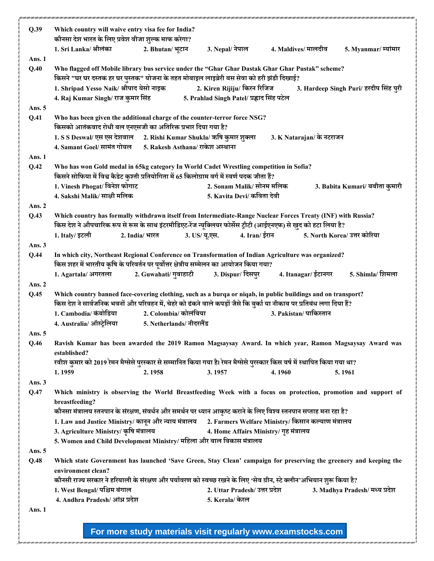| Q.39     | Which country will waive entry visa fee for India?<br>कौनसा देश भारत के लिए प्रवेश वीजा शुल्क माफ करेगा?                                                                                                                               |                          |                                                                           |                                                             |                                        |
|----------|----------------------------------------------------------------------------------------------------------------------------------------------------------------------------------------------------------------------------------------|--------------------------|---------------------------------------------------------------------------|-------------------------------------------------------------|----------------------------------------|
|          | 1. Sri Lanka/ श्रीलंका                                                                                                                                                                                                                 | 2. Bhutan/ भूटान         | 3. Nepal/ नेपाल                                                           | 4. Maldives/ मालदीव                                         | 5. Myanmar/ म्यांमार                   |
| Ans. 1   |                                                                                                                                                                                                                                        |                          |                                                                           |                                                             |                                        |
| Q.40     | Who flagged off Mobile library bus service under the "Ghar Ghar Dastak Ghar Ghar Pustak" scheme?<br>किसने "घर घर दस्तक हर घर पुस्तक" योजना के तहत मोबाइल लाइब्रेरी बस सेवा को हरी झंडी दिखाई?                                          |                          |                                                                           |                                                             |                                        |
|          | 1. Shripad Yesso Naik/ श्रीपाद येसो नाइक<br>4. Raj Kumar Singh/ राज कुमार सिंह                                                                                                                                                         |                          | 2. Kiren Rijiju/ किरन रिजिज<br>5. Prahlad Singh Patel/ प्रह्लाद सिंह पटेल |                                                             | 3. Hardeep Singh Puri/ हरदीप सिंह पूरी |
| Ans. 5   |                                                                                                                                                                                                                                        |                          |                                                                           |                                                             |                                        |
| Q.41     | Who has been given the additional charge of the counter-terror force NSG?<br>किसको आतंकवाद रोधी बल एनएसजी का अतिरिक्त प्रभार दिया गया है?                                                                                              |                          |                                                                           |                                                             |                                        |
|          | 1. S S Deswal/ एस एस देशवाल 2. Rishi Kumar Shukla/ ऋषि कुमार शुक्ला                                                                                                                                                                    |                          |                                                                           | 3. K Natarajan/ के नटराजन                                   |                                        |
|          | 4. Samant Goel/ सामंत गोयल 5. Rakesh Asthana/ राकेश अस्थाना                                                                                                                                                                            |                          |                                                                           |                                                             |                                        |
| Ans. 1   |                                                                                                                                                                                                                                        |                          |                                                                           |                                                             |                                        |
| Q.42     | Who has won Gold medal in 65kg category In World Cadet Wrestling competition in Sofia?<br>किसने सोफिया में विश्व कैडेट कुश्ती प्रतियोगिता में 65 किलोग्राम वर्ग में स्वर्ण पदक जीता हैं?                                               |                          |                                                                           |                                                             |                                        |
|          | 1. Vinesh Phogat/ विनेश फोगाट                                                                                                                                                                                                          |                          | 2. Sonam Malik/ सोनम मलिक                                                 |                                                             | 3. Babita Kumari/ बबीता कुमारी         |
|          | 4. Sakshi Malik/ साक्षी मलिक                                                                                                                                                                                                           |                          | 5. Kavita Devi/ कविता देवी                                                |                                                             |                                        |
| Ans. $2$ |                                                                                                                                                                                                                                        |                          |                                                                           |                                                             |                                        |
| Q.43     | Which country has formally withdrawn itself from Intermediate-Range Nuclear Forces Treaty (INF) with Russia?<br>किस देश ने औपचारिक रूप से रूस के साथ इंटरमीडिएट-रेंज न्यूक्लियर फोर्सेस ट्रीटी (आईएनएफ) से खुद को हटा लिया है?         |                          |                                                                           |                                                             |                                        |
|          | 1. Italy/ इटली                                                                                                                                                                                                                         | 2. India/ भारत           | 4. Iran/ ईरान<br>3. US/ यू.एस.                                            |                                                             | 5. North Korea/ उत्तर कोरिया           |
| Ans. 3   |                                                                                                                                                                                                                                        |                          |                                                                           |                                                             |                                        |
| Q.44     | In which city, Northeast Regional Conference on Transformation of Indian Agriculture was organized?<br>किस शहर में भारतीय कृषि के परिवर्तन पर पूर्वोत्तर क्षेत्रीय सम्मेलन का आयोजन किया गया?                                          |                          |                                                                           |                                                             |                                        |
|          | 1. Agartala/ अगरतला                                                                                                                                                                                                                    | 2. Guwahati/ गुवाहाटी    | 3. Dispur/ दिसपुर                                                         | 4. Itanagar/ ईटानगर                                         | 5. Shimla/ शिमला                       |
| Ans. 2   |                                                                                                                                                                                                                                        |                          |                                                                           |                                                             |                                        |
| Q.45     | Which country banned face-covering clothing, such as a burqa or niqab, in public buildings and on transport?<br>किस देश ने सार्वजनिक भवनों और परिवहन में, चेहरे को ढंकने वाले कपड़ों जैसे कि बुर्का या नीकाब पर प्रतिबंध लगा दिया हैं? |                          |                                                                           |                                                             |                                        |
|          | 1. Cambodia/ कंबोडिया                                                                                                                                                                                                                  | 2. Colombia/ कोलंबिया    |                                                                           | 3. Pakistan/ पाकिस्तान                                      |                                        |
|          | 4. Australia/ ऑस्ट्रेलिया                                                                                                                                                                                                              | 5. Netherlands/ नीदरलैंड |                                                                           |                                                             |                                        |
| Ans. 5   | Ravish Kumar has been awarded the 2019 Ramon Magsaysay Award. In which year, Ramon Magsaysay Award was                                                                                                                                 |                          |                                                                           |                                                             |                                        |
| Q.46     | established?                                                                                                                                                                                                                           |                          |                                                                           |                                                             |                                        |
|          | रवीश कुमार को 2019 रेमन मैग्सेसे पुरस्कार से सम्मानित किया गया है। रेमन मैग्सेसे पुरस्कार किस वर्ष में स्थापित किया गया था?                                                                                                            |                          |                                                                           |                                                             |                                        |
| Ans. $3$ | 1.1959                                                                                                                                                                                                                                 | 2.1958                   | 3.1957                                                                    | 4.1960                                                      | 5.1961                                 |
| Q.47     | Which ministry is observing the World Breastfeeding Week with a focus on protection, promotion and support of<br>breastfeeding?                                                                                                        |                          |                                                                           |                                                             |                                        |
|          | कौनसा मंत्रालय स्तनपान के संरक्षण, संवर्धन और समर्थन पर ध्यान आकृष्ट कराने के लिए विश्व स्तनपान सप्ताह मना रहा है?                                                                                                                     |                          |                                                                           |                                                             |                                        |
|          | 1. Law and Justice Ministry/ कानून और न्याय मंत्रालय 2. Farmers Welfare Ministry/ किसान कल्याण मंत्रालय                                                                                                                                |                          |                                                                           |                                                             |                                        |
|          | 3. Agriculture Ministry/ कृषि मंत्रालय                                                                                                                                                                                                 |                          | 4. Home Affairs Ministry/ गृह मंत्रालय                                    |                                                             |                                        |
|          | 5. Women and Child Development Ministry/ महिला और बाल विकास मंत्रालय                                                                                                                                                                   |                          |                                                                           |                                                             |                                        |
| Ans. 5   |                                                                                                                                                                                                                                        |                          |                                                                           |                                                             |                                        |
| Q.48     | Which state Government has launched 'Save Green, Stay Clean' campaign for preserving the greenery and keeping the<br>environment clean?                                                                                                |                          |                                                                           |                                                             |                                        |
|          | कौनसी राज्य सरकार ने हरियाली के संरक्षण और पर्यावरण को स्वच्छ रखने के लिए 'सेव ग्रीन, स्टे क्लीन'अभियान शुरू किया है?                                                                                                                  |                          |                                                                           |                                                             |                                        |
|          | 1. West Bengal/ पश्चिम बंगाल                                                                                                                                                                                                           |                          | 2. Uttar Pradesh/ उत्तर प्रदेश                                            |                                                             | 3. Madhya Pradesh/ मध्य प्रदेश         |
|          | 4. Andhra Pradesh/ आंध्र प्रदेश                                                                                                                                                                                                        |                          | 5. Kerala/ केरल                                                           |                                                             |                                        |
| Ans. 1   |                                                                                                                                                                                                                                        |                          |                                                                           |                                                             |                                        |
|          |                                                                                                                                                                                                                                        |                          |                                                                           | For more study materials visit regularly www.examstocks.com |                                        |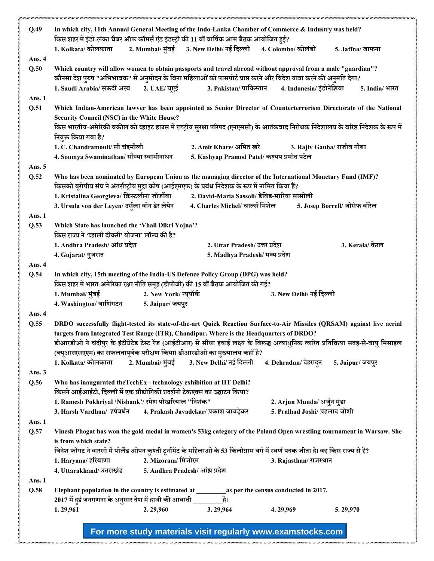| Q.49           | In which city, 11th Annual General Meeting of the Indo-Lanka Chamber of Commerce & Industry was held?<br>किस शहर में इंडो-लंका चैंबर ऑफ कॉमर्स एंड इंडस्ट्री की 11 वीं वार्षिक आम बैठक आयोजित हुई?                                                                                                                                                                                                                                                                                                                                                     |  |  |  |  |  |
|----------------|--------------------------------------------------------------------------------------------------------------------------------------------------------------------------------------------------------------------------------------------------------------------------------------------------------------------------------------------------------------------------------------------------------------------------------------------------------------------------------------------------------------------------------------------------------|--|--|--|--|--|
|                | 2. Mumbai/ मुंबई 3. New Delhi/ नई दिल्ली<br>1. Kolkata/ कोलकाता<br>4. Colombo/ कोलंबो<br>5. Jaffna/ जाफना                                                                                                                                                                                                                                                                                                                                                                                                                                              |  |  |  |  |  |
| Ans. 4<br>Q.50 | Which country will allow women to obtain passports and travel abroad without approval from a male "guardian"?<br>कौनसा देश पुरुष "अभिभावक" से अनुमोदन के बिना महिलाओं को पासपोर्ट प्राप्त करने और विदेश यात्रा करने की अनुमति देगा?                                                                                                                                                                                                                                                                                                                    |  |  |  |  |  |
|                | 1. Saudi Arabia/ सऊदी अरब 2. UAE/ यूएई 3. Pakistan/ पाकिस्तान<br>4. Indonesia/ इंडोनेशिया<br>5. India/ भारत                                                                                                                                                                                                                                                                                                                                                                                                                                            |  |  |  |  |  |
| Ans. 1<br>Q.51 | Which Indian-American lawyer has been appointed as Senior Director of Counterterrorism Directorate of the National<br><b>Security Council (NSC) in the White House?</b><br>किस भारतीय-अमेरिकी वकील को व्हाइट हाउस में राष्ट्रीय सुरक्षा परिषद (एनएससी) के आतंकवाद निरोधक निदेशालय के वरिष्ठ निदेशक के रूप में<br>नियुक्त किया गया है?<br>1. C. Chandramouli/ सी चंद्रमौली<br>2. Amit Khare/ अमित खरे<br>3. Rajiv Gauba/ राजीव गौबा                                                                                                                     |  |  |  |  |  |
|                | 4. Soumya Swaminathan/ सौम्या स्वामीनाथन<br>5. Kashyap Pramod Patel/ कश्यप प्रमोद पटेल                                                                                                                                                                                                                                                                                                                                                                                                                                                                 |  |  |  |  |  |
| Ans. 5         |                                                                                                                                                                                                                                                                                                                                                                                                                                                                                                                                                        |  |  |  |  |  |
| Q.52           | Who has been nominated by European Union as the managing director of the International Monetary Fund (IMF)?<br>किसको यूरोपीय संघ ने अंतर्राष्ट्रीय मुद्रा कोष (आईएमएफ) के प्रबंध निदेशक के रूप में नामित किया हैं?<br>2. David-Maria Sassoli/ डेविड-मारिया सासोली<br>1. Kristalina Georgieva/ क्रिस्टलीना जॉर्जीवा<br>3. Ursula von der Leyen/ उर्सुला वॉन डेर लेयेन<br>4. Charles Michel/ चार्ल्स मिशेल<br>5. Josep Borrell/ जोसेफ बोरेल                                                                                                              |  |  |  |  |  |
| Ans. $1$       |                                                                                                                                                                                                                                                                                                                                                                                                                                                                                                                                                        |  |  |  |  |  |
| Q.53           | Which State has launched the 'Vhali Dikri Yojna'?<br>किस राज्य ने 'व्हाली दीकरी' योजना' लॉन्च की है?                                                                                                                                                                                                                                                                                                                                                                                                                                                   |  |  |  |  |  |
|                | 1. Andhra Pradesh/ आंध्र प्रदेश<br>2. Uttar Pradesh/ उत्तर प्रदेश<br>3. Kerala/ केरल                                                                                                                                                                                                                                                                                                                                                                                                                                                                   |  |  |  |  |  |
|                | 5. Madhya Pradesh/ मध्य प्रदेश<br>4. Gujarat/ गुजरात                                                                                                                                                                                                                                                                                                                                                                                                                                                                                                   |  |  |  |  |  |
| Ans. 4         |                                                                                                                                                                                                                                                                                                                                                                                                                                                                                                                                                        |  |  |  |  |  |
| Q.54           | In which city, 15th meeting of the India-US Defence Policy Group (DPG) was held?                                                                                                                                                                                                                                                                                                                                                                                                                                                                       |  |  |  |  |  |
|                | किस शहर में भारत-अमेरिका रक्षा नीति समूह (डीपीजी) की 15 वीं बैठक आयोजित की गई?                                                                                                                                                                                                                                                                                                                                                                                                                                                                         |  |  |  |  |  |
|                | 2. New York/न्यूयॉर्क<br>1. Mumbai/ मुंबई<br>3. New Delhi/ नई दिल्ली                                                                                                                                                                                                                                                                                                                                                                                                                                                                                   |  |  |  |  |  |
|                | 4. Washington/ वाशिंगटन<br>5. Jaipur/ जयपुर                                                                                                                                                                                                                                                                                                                                                                                                                                                                                                            |  |  |  |  |  |
| Ans. 4<br>Q.55 |                                                                                                                                                                                                                                                                                                                                                                                                                                                                                                                                                        |  |  |  |  |  |
|                | DRDO successfully flight-tested its state-of-the-art Quick Reaction Surface-to-Air Missiles (QRSAM) against live aerial<br>targets from Integrated Test Range (ITR), Chandipur. Where is the Headquarters of DRDO?<br>डीआरडीओ ने चंदीपुर के इंटीग्रेटेड टेस्ट रेंज (आईटीआर) से सीधा हवाई लक्ष्य के विरूद्ध अत्याधुनिक त्वरित प्रतिक्रिया सतह-से-वायु मिसाइल<br>(क्यूआरएसएएम) का सफलतापूर्वक परीक्षण किया। डीआरडीओ का मुख्यालय कहाँ है?<br>1. Kolkata/ कोलकाता<br>2. Mumbai/ मुंबई 3. New Delhi/ नई दिल्ली<br>4. Dehradun/ देहरादून<br>5. Jaipur/ जयपुर |  |  |  |  |  |
| Ans. $3$       |                                                                                                                                                                                                                                                                                                                                                                                                                                                                                                                                                        |  |  |  |  |  |
| Q.56           | Who has inaugurated theTechEx - technology exhibition at IIT Delhi?<br>किसने आईआईटी, दिल्ली में एक प्रौद्योगिकी प्रदर्शनी टेकएक्स का उद्घाटन किया?                                                                                                                                                                                                                                                                                                                                                                                                     |  |  |  |  |  |
|                | 1. Ramesh Pokhriyal 'Nishank'/ रमेश पोखरियाल "निशंक"<br>2. Arjun Munda/ अर्जुन मुंडा                                                                                                                                                                                                                                                                                                                                                                                                                                                                   |  |  |  |  |  |
|                | 5. Pralhad Joshi/ प्रहलाद जोशी<br>3. Harsh Vardhan/ हर्षवर्धन<br>4. Prakash Javadekar/ प्रकाश जावड़ेकर                                                                                                                                                                                                                                                                                                                                                                                                                                                 |  |  |  |  |  |
| Ans. 1         |                                                                                                                                                                                                                                                                                                                                                                                                                                                                                                                                                        |  |  |  |  |  |
| Q.57           | Vinesh Phogat has won the gold medal in women's 53kg category of the Poland Open wrestling tournament in Warsaw. She<br>is from which state?                                                                                                                                                                                                                                                                                                                                                                                                           |  |  |  |  |  |
|                | विनेश फोगट ने वारसॉ में पोलैंड ओपन कुश्ती टूर्नामेंट के महिलाओं के 53 किलोग्राम वर्ग में स्वर्ण पदक जीता है। वह किस राज्य से है?                                                                                                                                                                                                                                                                                                                                                                                                                       |  |  |  |  |  |
|                | 2. Mizoram/ मिजोरम<br>1. Haryana/ हरियाणा<br>3. Rajasthan/ राजस्थान                                                                                                                                                                                                                                                                                                                                                                                                                                                                                    |  |  |  |  |  |
|                | 5. Andhra Pradesh/ आंध्र प्रदेश<br>4. Uttarakhand/ उत्तराखंड                                                                                                                                                                                                                                                                                                                                                                                                                                                                                           |  |  |  |  |  |
| <b>Ans. 1</b>  |                                                                                                                                                                                                                                                                                                                                                                                                                                                                                                                                                        |  |  |  |  |  |
| Q.58           | 2017 में हुई जनगणना के अनुसार देश में हाथी की आबादी ____________________________                                                                                                                                                                                                                                                                                                                                                                                                                                                                       |  |  |  |  |  |
|                | 1.29,961<br>2.29,960<br>3.29,964<br>4.29,969<br>5.29,970                                                                                                                                                                                                                                                                                                                                                                                                                                                                                               |  |  |  |  |  |
|                |                                                                                                                                                                                                                                                                                                                                                                                                                                                                                                                                                        |  |  |  |  |  |
|                |                                                                                                                                                                                                                                                                                                                                                                                                                                                                                                                                                        |  |  |  |  |  |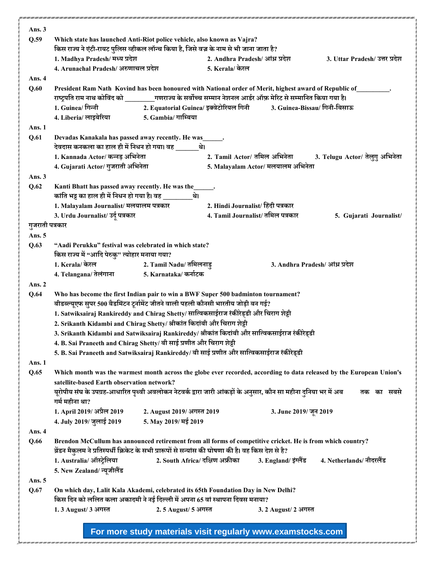| Ans. $3$        |                                                                                                                                   |                                    |                                 |                                 |
|-----------------|-----------------------------------------------------------------------------------------------------------------------------------|------------------------------------|---------------------------------|---------------------------------|
| Q.59            | Which state has launched Anti-Riot police vehicle, also known as Vajra?                                                           |                                    |                                 |                                 |
|                 | किस राज्य ने एंटी-रायट पुलिस व्हीकल लॉन्च किया है, जिसे वज्र के नाम से भी जाना जाता है?                                           |                                    |                                 |                                 |
|                 | 1. Madhya Pradesh/ मध्य प्रदेश                                                                                                    | 2. Andhra Pradesh/ आंध्र प्रदेश    |                                 | 3. Uttar Pradesh/ उत्तर प्रदेश  |
|                 | 4. Arunachal Pradesh/अरुणाचल प्रदेश                                                                                               | 5. Kerala/ केरल                    |                                 |                                 |
| Ans. 4          |                                                                                                                                   |                                    |                                 |                                 |
| Q.60            | President Ram Nath Kovind has been honoured with National order of Merit, highest award of Republic of<br>.                       |                                    |                                 |                                 |
|                 | राष्ट्रपति राम नाथ कोविंद को ॒॒॒॒गणराज्य के सर्वोच्च सम्मान नेशनल आर्डर ऑफ़ मेरिट से सम्मानित किया गया है।                        |                                    |                                 |                                 |
|                 | 1. Guinea/ गिन्नी                                                                                                                 |                                    |                                 |                                 |
|                 | 5. Gambia/ गाम्बिया<br>4. Liberia/ लाइबेरिया                                                                                      |                                    |                                 |                                 |
| Ans. 1          |                                                                                                                                   |                                    |                                 |                                 |
| Q.61            | Devadas Kanakala has passed away recently. He was                                                                                 |                                    |                                 |                                 |
|                 | देवदास कनकला का हाल ही में निधन हो गया। वह                   थे।<br>1. Kannada Actor/ कन्नड़ अभिनेता                              | 2. Tamil Actor/ तमिल अभिनेता       |                                 |                                 |
|                 |                                                                                                                                   |                                    |                                 | 3. Telugu Actor/ तेलुगु अभिनेता |
|                 | 4. Gujarati Actor/ गुजराती अभिनेता                                                                                                | 5. Malayalam Actor/ मलयालम अभिनेता |                                 |                                 |
| Ans. $3$        |                                                                                                                                   |                                    |                                 |                                 |
| Q.62            | Kanti Bhatt has passed away recently. He was the______.<br>कांति भट्ट का हाल ही में निधन हो गया है। वह _________थे।               |                                    |                                 |                                 |
|                 | 1. Malayalam Journalist/ मलयालम पत्रकार                                                                                           | 2. Hindi Journalist/ हिंदी पत्रकार |                                 |                                 |
|                 | 3. Urdu Journalist/ उर्दू पत्रकार                                                                                                 | 4. Tamil Journalist/ तमिल पत्रकार  |                                 | 5. Gujarati Journalist/         |
| गुजराती पत्रकार |                                                                                                                                   |                                    |                                 |                                 |
| Ans. 5          |                                                                                                                                   |                                    |                                 |                                 |
| Q.63            | "Aadi Perukku" festival was celebrated in which state?                                                                            |                                    |                                 |                                 |
|                 | किस राज्य में "आदि पेरुकु" त्योहार मनाया गया?                                                                                     |                                    |                                 |                                 |
|                 | 1. Kerala/ केरल<br>2. Tamil Nadu/ तमिलनाडु                                                                                        |                                    | 3. Andhra Pradesh/ आंध्र प्रदेश |                                 |
|                 | 4. Telangana/ तेलंगाना 5. Karnataka/ कर्नाटक                                                                                      |                                    |                                 |                                 |
| Ans. $2$        |                                                                                                                                   |                                    |                                 |                                 |
| Q.64            | Who has become the first Indian pair to win a BWF Super 500 badminton tournament?                                                 |                                    |                                 |                                 |
|                 | बीडब्ल्यूएफ सुपर 500 बैडमिंटन टूर्नामेंट जीतने वाली पहली कौनसी भारतीय जोड़ी बन गई?                                                |                                    |                                 |                                 |
|                 | 1. Satwiksairaj Rankireddy and Chirag Shetty/ सात्विकसाईराज रंकीरेड्डी और चिराग शेट्टी                                            |                                    |                                 |                                 |
|                 | 2. Srikanth Kidambi and Chirag Shetty/ श्रीकांत किदांबी और चिराग शेट्टी                                                           |                                    |                                 |                                 |
|                 | 3. Srikanth Kidambi and Satwiksairaj Rankireddy/ श्रीकांत किदांबी और सात्विकसाईराज रंकीरेड्डी                                     |                                    |                                 |                                 |
|                 | 4. B. Sai Praneeth and Chirag Shetty/ बी साई प्रणीत और चिराग शेट्टी                                                               |                                    |                                 |                                 |
|                 | 5. B. Sai Praneeth and Satwiksairaj Rankireddy/ बी साई प्रणीत और सात्विकसाईराज रंकीरेड्डी                                         |                                    |                                 |                                 |
| Ans. 1          |                                                                                                                                   |                                    |                                 |                                 |
| Q.65            | Which month was the warmest month across the globe ever recorded, according to data released by the European Union's              |                                    |                                 |                                 |
|                 | satellite-based Earth observation network?                                                                                        |                                    |                                 |                                 |
|                 | यूरोपीय संघ के उपग्रह-आधारित पृथ्वी अवलोकन नेटवर्क द्वारा जारी आंकड़ों के अनुसार, कौन सा महीना दुनिया भर में अब<br>गर्म महीना था? |                                    |                                 | तक का सबसे                      |
|                 | 1. April 2019/ अप्रैल 2019                                                                                                        |                                    |                                 |                                 |
|                 | 2. August 2019/ अगस्त 2019<br>4. July 2019/ जुलाई 2019<br>5. May 2019/ मई 2019                                                    |                                    | 3. June 2019/ जून 2019          |                                 |
| Ans. 4          |                                                                                                                                   |                                    |                                 |                                 |
| Q.66            | Brendon McCullum has announced retirement from all forms of competitive cricket. He is from which country?                        |                                    |                                 |                                 |
|                 | : ब्रेंडन मैकुलम ने प्रतिस्पर्धी क्रिकेट के सभी प्रारूपों से सन्यांस की घोषणा की है। वह किस देश से है                             |                                    |                                 |                                 |
|                 | 2. South Africa/ दक्षिण अफ्रीका<br>1. Australia/ ऑस्ट्रेलिया                                                                      |                                    | 3. England/ इंग्लैंड            | 4. Netherlands/ नीदरलैंड        |
|                 | 5. New Zealand/ न्यूजीलैंड                                                                                                        |                                    |                                 |                                 |
| Ans. $5$        |                                                                                                                                   |                                    |                                 |                                 |
| Q.67            | On which day, Lalit Kala Akademi, celebrated its 65th Foundation Day in New Delhi?                                                |                                    |                                 |                                 |
|                 | किस दिन को ललित कला अकादमी ने नई दिल्ली में अपना 65 वां स्थापना दिवस मनाया?                                                       |                                    |                                 |                                 |
|                 | 2.5 August/ 5 अगस्त<br>1.3 August/ 3 अगस्त                                                                                        |                                    | 3. 2 August/ 2 अगस्त            |                                 |
|                 |                                                                                                                                   |                                    |                                 |                                 |
|                 |                                                                                                                                   |                                    |                                 |                                 |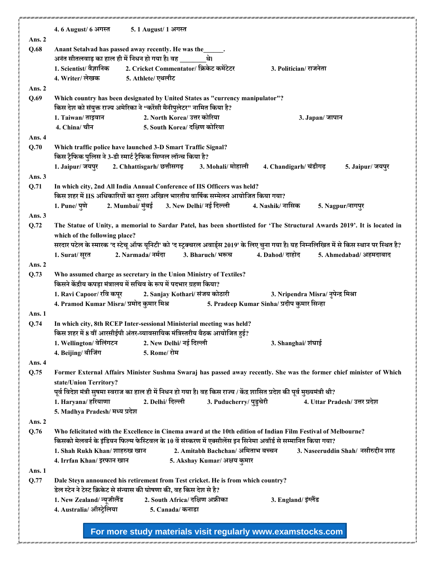|               | 4.6 August/ 6 अगस्त<br>5.1 August/ 1 अगस्त                                                                                                                                 |
|---------------|----------------------------------------------------------------------------------------------------------------------------------------------------------------------------|
| Ans. 2        |                                                                                                                                                                            |
| Q.68          | Anant Setalvad has passed away recently. He was the ______.                                                                                                                |
|               | अनंत सीतलवाड़ का हाल ही में निधन हो गया है। वह ______<br>थे।                                                                                                               |
|               | 1. Scientist/ वैज्ञानिक<br>2. Cricket Commentator/ क्रिकेट कमेंटेटर<br>3. Politician/ राजनेता                                                                              |
|               | 4. Writer/ लेखक<br>5. Athlete/ एथलीट                                                                                                                                       |
| Ans. 2        |                                                                                                                                                                            |
| Q.69          | Which country has been designated by United States as "currency manipulator"?                                                                                              |
|               | किस देश को संयुक्त राज्य अमेरिका ने "करेंसी मैनीपुलेटर" नामित किया है?                                                                                                     |
|               | 2. North Korea/ उत्तर कोरिया<br>1. Taiwan/ ताइवान<br>3. Japan/ जापान                                                                                                       |
|               | 5. South Korea/ दक्षिण कोरिया<br>4. China/ चीन                                                                                                                             |
| Ans. 4        |                                                                                                                                                                            |
| Q.70          | Which traffic police have launched 3-D Smart Traffic Signal?                                                                                                               |
|               | किस ट्रैफिक पुलिस ने 3-डी स्मार्ट ट्रैफिक सिग्नल लॉन्च किया है?                                                                                                            |
|               | 2. Chhattisgarh/ छत्तीसगढ़<br>3. Mohali/ मोहाली<br>1. Jaipur/ जयपुर<br>4. Chandigarh/ चंडीगढ़<br>5. Jaipur/ जयपुर                                                          |
| Ans. 3        |                                                                                                                                                                            |
| Q.71          | In which city, 2nd All India Annual Conference of IIS Officers was held?                                                                                                   |
|               | किस शहर में IIS अधिकारियों का दूसरा अखिल भारतीय वार्षिक सम्मेलन आयोजित किया गया?                                                                                           |
|               | 2. Mumbai/ मुंबई 3. New Delhi/ नई दिल्ली<br>1. Pune/ पुणे<br>4. Nashik/ नासिक<br>5. Nagpur/नागपुर                                                                          |
| Ans. $3$      |                                                                                                                                                                            |
| Q.72          | The Statue of Unity, a memorial to Sardar Patel, has been shortlisted for 'The Structural Awards 2019'. It is located in                                                   |
|               | which of the following place?<br>सरदार पटेल के स्मारक 'द स्टेचू ऑफ यूनिटी' को 'द स्ट्रक्चरल अवार्ड्स 2019' के लिए चुना गया है। यह निम्नलिखित में से किस स्थान पर स्थित है? |
|               | 4. Dahod/ दाहोद<br>2. Narmada/ नर्मदा<br>3. Bharuch/भरूच<br>1. Surat/ सूरत<br>5. Ahmedabad/ अहमदाबाद                                                                       |
| Ans. $2$      |                                                                                                                                                                            |
| Q.73          | Who assumed charge as secretary in the Union Ministry of Textiles?                                                                                                         |
|               | किसने केंद्रीय कपड़ा मंत्रालय में सचिव के रूप में पदभार ग्रहण किया?                                                                                                        |
|               | 1. Ravi Capoor/ रवि कपूर<br>2. Sanjay Kothari/ संजय कोठारी<br>3. Nripendra Misra/ नृपेन्द्र मिश्रा                                                                         |
|               | 4. Pramod Kumar Misra/ प्रमोद कुमार मिश्र<br>5. Pradeep Kumar Sinha/ प्रदीप कुमार सिन्हा                                                                                   |
| Ans. 1        |                                                                                                                                                                            |
| Q.74          | In which city, 8th RCEP Inter-sessional Ministerial meeting was held?                                                                                                      |
|               | किस शहर में 8 वीं आरसीईपी अंतर-व्यावसायिक मंत्रिस्तरीय बैठक आयोजित हुई?                                                                                                    |
|               | 2. New Delhi/ नई दिल्ली<br>1. Wellington/ वेलिंगटन<br>3. Shanghai/ शंघाई                                                                                                   |
|               | 4. Beijing/ बीजिंग<br>5. Rome/ रोम                                                                                                                                         |
| Ans. 4        |                                                                                                                                                                            |
| Q.75          | Former External Affairs Minister Sushma Swaraj has passed away recently. She was the former chief minister of Which                                                        |
|               | state/Union Territory?                                                                                                                                                     |
|               | पूर्व विदेश मंत्री सुषमा स्वराज का हाल ही में निधन हो गया है। वह किस राज्य / केंद्र शासित प्रदेश की पूर्व मुख्यमंत्री थी?                                                  |
|               | 2. Delhi/ दिल्ली 3. Puducherry/ पुडुचेरी<br>1. Haryana/ हरियाणा<br>4. Uttar Pradesh/ उत्तर प्रदेश                                                                          |
|               | 5. Madhya Pradesh/ मध्य प्रदेश                                                                                                                                             |
| Ans. 2        |                                                                                                                                                                            |
| Q.76          | Who felicitated with the Excellence in Cinema award at the 10th edition of Indian Film Festival of Melbourne?                                                              |
|               | किसको मेलबर्न के इंडियन फिल्म फेस्टिवल के 10 वें संस्करण में एक्सीलेंस इन सिनेमा अवॉर्ड से सम्मानित किया गया?                                                              |
|               | 2. Amitabh Bachchan/ अमिताभ बच्चन<br>3. Naseeruddin Shah/ नसीरुद्दीन शाह<br>1. Shah Rukh Khan/शाहरुख खान                                                                   |
|               | 5. Akshay Kumar/ अक्षय कुमार<br>4. Irrfan Khan/ इरफान खान                                                                                                                  |
| <b>Ans. 1</b> |                                                                                                                                                                            |
| Q.77          | Dale Steyn announced his retirement from Test cricket. He is from which country?                                                                                           |
|               | डेल स्टेन ने टेस्ट क्रिकेट से संन्यास की घोषणा की, वह किस देश से है?                                                                                                       |
|               | 2. South Africa/ दक्षिण अफ्रीका<br>1. New Zealand/ न्यूजीलैंड<br>3. England/ इंग्लैंड                                                                                      |
|               | 4. Australia/ ऑस्ट्रेलिया<br>5. Canada/ कनाडा                                                                                                                              |
|               |                                                                                                                                                                            |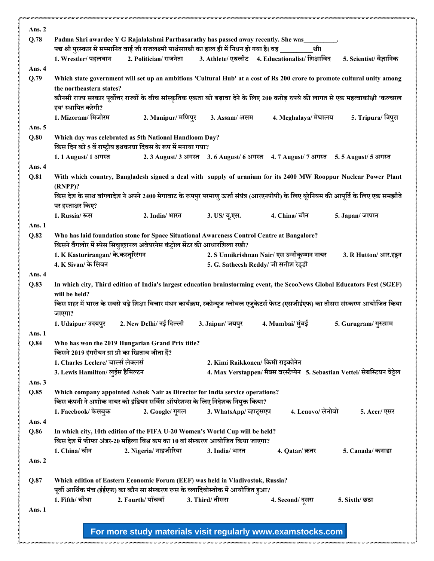| Ans. 2         |                                                  |                                                                                                                                                                                             |                                                                                 |                                             |                                                                             |
|----------------|--------------------------------------------------|---------------------------------------------------------------------------------------------------------------------------------------------------------------------------------------------|---------------------------------------------------------------------------------|---------------------------------------------|-----------------------------------------------------------------------------|
| Q.78           |                                                  | Padma Shri awardee Y G Rajalakshmi Parthasarathy has passed away recently. She was<br>पद्म श्री पुरस्कार से सम्मानित वाई जी राजलक्ष्मी पार्थसारथी का हाल ही में निधन हो गया है। वह ________ |                                                                                 | थी।                                         |                                                                             |
|                | 1. Wrestler/ पहलवान                              | 2. Politician/ राजनेता                                                                                                                                                                      | 3. Athlete/ एथलीट 4. Educationalist/ शिक्षाविद                                  |                                             | 5. Scientist/ वैज्ञानिक                                                     |
| Ans. 4         |                                                  |                                                                                                                                                                                             |                                                                                 |                                             |                                                                             |
| Q.79           | the northeastern states?                         | Which state government will set up an ambitious 'Cultural Hub' at a cost of Rs 200 crore to promote cultural unity among                                                                    |                                                                                 |                                             |                                                                             |
|                |                                                  | कौनसी राज्य सरकार पूर्वोत्तर राज्यों के बीच सांस्कृतिक एकता को बढ़ावा देने के लिए 200 करोड़ रुपये की लागत से एक महत्वाकांक्षी 'कल्चरल                                                       |                                                                                 |                                             |                                                                             |
|                | हब' स्थापित करेगी?<br>1. Mizoram/ मिजोरम         | 2. Manipur/ मणिपुर                                                                                                                                                                          | 3. Assam/ असम                                                                   | 4. Meghalaya/ मेघालय                        | 5. Tripura/ त्रिपुरा                                                        |
| Ans. $5$       |                                                  |                                                                                                                                                                                             |                                                                                 |                                             |                                                                             |
| Q.80           |                                                  | Which day was celebrated as 5th National Handloom Day?<br>किस दिन को 5 वें राष्ट्रीय हथकरघा दिवस के रूप में मनाया गया?                                                                      |                                                                                 |                                             |                                                                             |
|                | 1.1 August/ 1 अगस्त                              |                                                                                                                                                                                             | 2.3 August/ 3 अगस्त 3.6 August/ 6 अगस्त 4.7 August/ 7 अगस्त 5.5 August/ 5 अगस्त |                                             |                                                                             |
| Ans. 4<br>Q.81 |                                                  | With which country, Bangladesh signed a deal with supply of uranium for its 2400 MW Rooppur Nuclear Power Plant                                                                             |                                                                                 |                                             |                                                                             |
|                | $(RNPP)$ ?                                       |                                                                                                                                                                                             |                                                                                 |                                             |                                                                             |
|                | पर हस्ताक्षर किए?                                | किस देश के साथ बांग्लादेश ने अपने 2400 मेगावाट के रूपपुर परमाणु ऊर्जा संयंत्र (आरएनपीपी) के लिए यूरेनियम की आपूर्ति के लिए एक समझौते                                                        |                                                                                 |                                             |                                                                             |
|                | 1. Russia/ रूस                                   | 2. India/ भारत                                                                                                                                                                              | 3. US/ यू.एस.                                                                   | 4. China/ चीन                               | 5. Japan/ जापान                                                             |
| Ans. 1<br>Q.82 |                                                  | Who has laid foundation stone for Space Situational Awareness Control Centre at Bangalore?                                                                                                  |                                                                                 |                                             |                                                                             |
|                |                                                  | किसने बैंगलोर में स्पेस सिचुएशनल अवेयरनेस कंट्रोल सेंटर की आधारशिला रखी?                                                                                                                    |                                                                                 |                                             |                                                                             |
|                | 1. K Kasturirangan/ के.कस्तूरिरंगन               |                                                                                                                                                                                             |                                                                                 | 2. S Unnikrishnan Nair/ एस उन्नीकृष्णन नायर | 3. R Hutton/ आर.हट्टन                                                       |
| Ans. 4         | 4. K Sivan/ के सिवन                              |                                                                                                                                                                                             | 5. G. Satheesh Reddy/ जी सतीश रेड्डी                                            |                                             |                                                                             |
| Q.83           |                                                  | In which city, Third edition of India's largest education brainstorming event, the ScooNews Global Educators Fest (SGEF)                                                                    |                                                                                 |                                             |                                                                             |
|                | will be held?                                    |                                                                                                                                                                                             |                                                                                 |                                             |                                                                             |
|                | जाएगा?                                           | किस शहर में भारत के सबसे बड़े शिक्षा विचार मंथन कार्यक्रम, स्कोन्यूज ग्लोबल एजुकेटर्स फेस्ट (एसजीईएफ) का तीसरा संस्करण आयोजित किया                                                          |                                                                                 |                                             |                                                                             |
|                | 1. Udaipur/ उदयपुर                               | 2. New Delhi/ नई दिल्ली                                                                                                                                                                     | 3. Jaipur/ जयपुर                                                                | 4. Mumbai/ मुंबई                            | 5. Gurugram/ गुरुग्राम                                                      |
| Ans. 1<br>Q.84 |                                                  | Who has won the 2019 Hungarian Grand Prix title?                                                                                                                                            |                                                                                 |                                             |                                                                             |
|                | किसने 2019 हंगरीयन ग्रां प्री का खिताब जीता हैं? |                                                                                                                                                                                             |                                                                                 |                                             |                                                                             |
|                | 1. Charles Leclerc/ चार्ल्स लेक्लर्स             |                                                                                                                                                                                             | 2. Kimi Raikkonen/ किमी राइकोनेन                                                |                                             |                                                                             |
| Ans. $3$       | 3. Lewis Hamilton/ लुईस हैमिल्टन                 |                                                                                                                                                                                             |                                                                                 |                                             | 4. Max Verstappen/ मैक्स वरस्टैप्पेन 5. Sebastian Vettel/ सेबस्टियन वेट्टेल |
| Q.85           |                                                  | Which company appointed Ashok Nair as Director for India service operations?                                                                                                                |                                                                                 |                                             |                                                                             |
|                |                                                  | किस कंपनी ने अशोक नायर को इंडियन सर्विस ऑपरेशन्स के लिए निदेशक नियुक्त किया?                                                                                                                |                                                                                 |                                             |                                                                             |
| Ans. 4         | 1. Facebook/ फेसबुक                              | 2. Google/ गूगल                                                                                                                                                                             | 3. WhatsApp/व्हाट्सएप                                                           | 4. Lenovo/ लेनोवो                           | 5. Acer/ एसर                                                                |
| Q.86           |                                                  | In which city, 10th edition of the FIFA U-20 Women's World Cup will be held?                                                                                                                |                                                                                 |                                             |                                                                             |
|                | 1. China/ चीन                                    | किस देश में फीफा अंडर-20 महिला विश्व कप का 10 वां संस्करण आयोजित किया जाएगा?                                                                                                                |                                                                                 |                                             |                                                                             |
| Ans. 2         |                                                  | 2. Nigeria/ नाइजीरिया                                                                                                                                                                       | 3. India/ भारत                                                                  | 4. Qatar/ क़तर                              | 5. Canada/ कनाडा                                                            |
|                |                                                  |                                                                                                                                                                                             |                                                                                 |                                             |                                                                             |
| Q.87           |                                                  | Which edition of Eastern Economic Forum (EEF) was held in Vladivostok, Russia?                                                                                                              |                                                                                 |                                             |                                                                             |
|                | 1. Fifth/ चौथा                                   | पूर्वी आर्थिक मंच (ईईएफ) का कौन सा संस्करण रूस के व्लादिवोस्तोक में आयोजित हुआ?<br>2. Fourth/ पाँचवाँ                                                                                       | 3. Third/ तीसरा                                                                 | 4. Second/ दूसरा                            | 5. Sixth/ छठा                                                               |
| Ans. 1         |                                                  |                                                                                                                                                                                             |                                                                                 |                                             |                                                                             |
|                |                                                  |                                                                                                                                                                                             |                                                                                 |                                             |                                                                             |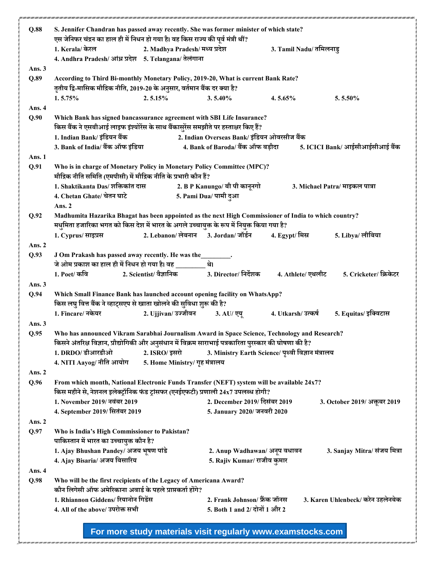| Q.88     | S. Jennifer Chandran has passed away recently. She was former minister of which state?                                                                                                              |                                |                                                                |                                                    |                                   |
|----------|-----------------------------------------------------------------------------------------------------------------------------------------------------------------------------------------------------|--------------------------------|----------------------------------------------------------------|----------------------------------------------------|-----------------------------------|
|          | एस जेनिफर चंद्रन का हाल ही में निधन हो गया है। वह किस राज्य की पूर्व मंत्री थीं?                                                                                                                    |                                |                                                                |                                                    |                                   |
|          | 1. Kerala/ केरल                                                                                                                                                                                     | 2. Madhya Pradesh/ मध्य प्रदेश |                                                                | 3. Tamil Nadu/ तमिलनाडु                            |                                   |
|          | 4. Andhra Pradesh/ आंध्र प्रदेश 5. Telangana/ तेलंगाना                                                                                                                                              |                                |                                                                |                                                    |                                   |
| Ans. $3$ |                                                                                                                                                                                                     |                                |                                                                |                                                    |                                   |
| Q.89     | According to Third Bi-monthly Monetary Policy, 2019-20, What is current Bank Rate?<br>तृतीय द्वि-मासिक मौद्रिक नीति, 2019-20 के अनुसार, वर्तमान बैंक दर क्या है?                                    |                                |                                                                |                                                    |                                   |
|          | 1.5.75%                                                                                                                                                                                             | 2.5.15%                        | 3.5.40%                                                        | 4.5.65%                                            | 5.5.50%                           |
| Ans. 4   |                                                                                                                                                                                                     |                                |                                                                |                                                    |                                   |
| Q.90     | Which Bank has signed bancassurance agreement with SBI Life Insurance?<br>किस बैंक ने एसबीआई लाइफ इंश्योरेंस के साथ बैंकासुरेंस समझौते पर हस्ताक्षर किए हैं?                                        |                                |                                                                |                                                    |                                   |
|          | 1. Indian Bank/ इंडियन बैंक                                                                                                                                                                         |                                | 2. Indian Overseas Bank/ इंडियन ओवरसीज बैंक                    |                                                    |                                   |
|          | 3. Bank of India/ बैंक ऑफ इंडिया                                                                                                                                                                    |                                | 4. Bank of Baroda/ बैंक ऑफ बड़ौदा                              |                                                    | 5. ICICI Bank/ आईसीआईसीआई बैंक    |
| Ans. 1   |                                                                                                                                                                                                     |                                |                                                                |                                                    |                                   |
| Q.91     | Who is in charge of Monetary Policy in Monetary Policy Committee (MPC)?<br>मौद्रिक नीति समिति (एमपीसी) में मौद्रिक नीति के प्रभारी कौन हैं?                                                         |                                |                                                                |                                                    |                                   |
|          | 1. Shaktikanta Das/ शक्तिकांत दास                                                                                                                                                                   |                                | 2. B P Kanungo/ बी पी कानूनगो                                  |                                                    | 3. Michael Patra/ माइकल पात्रा    |
|          | 4. Chetan Ghate/ चेतन घाटे                                                                                                                                                                          |                                | 5. Pami Dua/ पामी दुआ                                          |                                                    |                                   |
|          | Ans. 2                                                                                                                                                                                              |                                |                                                                |                                                    |                                   |
| Q.92     | Madhumita Hazarika Bhagat has been appointed as the next High Commissioner of India to which country?<br>मधुमिता हजारिका भगत को किस देश में भारत के अगले उच्चायुक्त के रूप में नियुक्त किया गया है? |                                |                                                                |                                                    |                                   |
|          | 1. Cyprus/ साइप्रस                                                                                                                                                                                  |                                | 2. Lebanon/ लेबनान 3. Jordan/ जॉर्डन                           | 4. Egypt/ मिस्र                                    | 5. Libya/ लीबिया                  |
| Ans. 2   |                                                                                                                                                                                                     |                                |                                                                |                                                    |                                   |
| Q.93     | J Om Prakash has passed away recently. He was the _______.<br>जे ओम प्रकाश का हाल ही में निधन हो गया है। वह _______                                                                                 |                                |                                                                |                                                    |                                   |
|          | 1. Poet/ कवि                                                                                                                                                                                        |                                |                                                                | 4. Athlete/ एथलीट                                  | 5. Cricketer/ क्रिकेटर            |
| Ans. 3   |                                                                                                                                                                                                     |                                |                                                                |                                                    |                                   |
| Q.94     | Which Small Finance Bank has launched account opening facility on WhatsApp?<br>किस लघु वित्त बैंक ने व्हाट्सएप से खाता खोलने की सुविधा शुरू की है?                                                  |                                |                                                                |                                                    |                                   |
|          | 1. Fincare/ नकेयर                                                                                                                                                                                   |                                | 2. Ujjivan/ उज्जीवन             3. AU/ एयू                     | 4. Utkarsh/ उत्कर्ष                                | 5. Equitas/ इक्विटास              |
| Ans. $3$ |                                                                                                                                                                                                     |                                |                                                                |                                                    |                                   |
| Q.95     | Who has announced Vikram Sarabhai Journalism Award in Space Science, Technology and Research?                                                                                                       |                                |                                                                |                                                    |                                   |
|          | किसने अंतरिक्ष विज्ञान, प्रौद्योगिकी और अनुसंधान में विक्रम साराभाई पत्रकारिता पुरस्कार की घोषणा की है?                                                                                             |                                |                                                                |                                                    |                                   |
|          | 1. DRDO/ डीआरडीओ                                                                                                                                                                                    | 2. ISRO/ इसरो                  |                                                                | 3. Ministry Earth Science/ पृथ्वी विज्ञान मंत्रालय |                                   |
| Ans. 2   | 4. NITI Aayog/ नीति आयोग                                                                                                                                                                            | 5. Home Ministry/ गृह मंत्रालय |                                                                |                                                    |                                   |
| Q.96     | From which month, National Electronic Funds Transfer (NEFT) system will be available 24x7?<br>किस महीने से, नेशनल इलेक्ट्रॉनिक फंड ट्रांसफर (एनईएफटी) प्रणाली 24x7 उपलब्ध होगी?                     |                                |                                                                |                                                    |                                   |
|          | 1. November 2019/ नवंबर 2019                                                                                                                                                                        |                                | 2. December 2019/ दिसंबर 2019                                  |                                                    | 3. October 2019/ अक्तूबर 2019     |
|          | 4. September 2019/ सितंबर 2019                                                                                                                                                                      |                                | 5. January 2020/ जनवरी 2020                                    |                                                    |                                   |
| Ans. $2$ |                                                                                                                                                                                                     |                                |                                                                |                                                    |                                   |
| Q.97     | Who is India's High Commissioner to Pakistan?                                                                                                                                                       |                                |                                                                |                                                    |                                   |
|          | पाकिस्तान में भारत का उच्चायुक्त कौन है?                                                                                                                                                            |                                |                                                                |                                                    |                                   |
|          | 1. Ajay Bhushan Pandey/ अजय भूषण पांडे                                                                                                                                                              |                                | 2. Anup Wadhawan/ अनूप वधावन                                   |                                                    | 3. Sanjay Mitra/ संजय मित्रा      |
|          | 4. Ajay Bisaria/ अजय बिसारिय                                                                                                                                                                        |                                | 5. Rajiv Kumar/ राजीव कुमार                                    |                                                    |                                   |
| Ans. 4   |                                                                                                                                                                                                     |                                |                                                                |                                                    |                                   |
| Q.98     | Who will be the first recipients of the Legacy of Americana Award?                                                                                                                                  |                                |                                                                |                                                    |                                   |
|          | कौन लिगेसी ऑफ अमेरिकाना अवार्ड के पहले प्राप्तकर्ता होंगे?                                                                                                                                          |                                |                                                                |                                                    |                                   |
|          | 1. Rhiannon Giddens/ रियानोन गिडेंस<br>4. All of the above/ उपरोक्त सभी                                                                                                                             |                                | 2. Frank Johnson/ फ्रैंक जॉनस<br>5. Both 1 and 2/ दोनों 1 और 2 |                                                    | 3. Karen Uhlenbeck/ करेन उहलेनबेक |
|          |                                                                                                                                                                                                     |                                |                                                                |                                                    |                                   |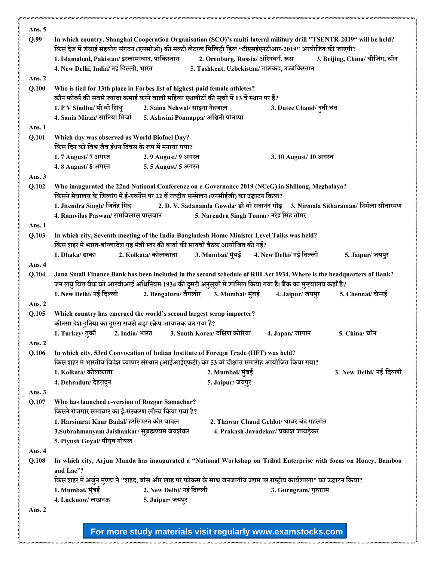| Ans. $5$<br>Q.99 |                                                                                                                                                                                                  |                               |                                               |                                        | In which country, Shanghai Cooperation Organisation (SCO)'s multi-lateral military drill "TSENTR-2019" will be held? |
|------------------|--------------------------------------------------------------------------------------------------------------------------------------------------------------------------------------------------|-------------------------------|-----------------------------------------------|----------------------------------------|----------------------------------------------------------------------------------------------------------------------|
|                  | किस देश में शंघाई सहयोग संगठन (एससीओ) की मल्टी लेटरल मिलिट्री ड्रिल "टीएसईएनटीआर-2019" आयोजित की जाएगी?                                                                                          |                               |                                               |                                        |                                                                                                                      |
|                  | 1. Islamabad, Pakistan/ इस्लामाबाद, पाकिस्तान 2. Orenburg, Russia/ ऑरेनबर्ग, रूस                                                                                                                 |                               |                                               |                                        | 3. Beijing, China/ बीजिंग, चीन                                                                                       |
|                  | 4. New Delhi, India/ नई दिल्ली, भारत                                                                                                                                                             |                               | 5. Tashkent, Uzbekistan/ ताशकंद, उज्बेकिस्तान |                                        |                                                                                                                      |
| Ans. $2$         |                                                                                                                                                                                                  |                               |                                               |                                        |                                                                                                                      |
| Q.100            | Who is tied for 13th place in Forbes list of highest-paid female athletes?<br>कौन फोर्ब्स की सबसे ज्यादा कमाई करने वाली महिला एथलीटों की सूची में 13 वें स्थान पर हैं?                           |                               |                                               |                                        |                                                                                                                      |
|                  | 1. P V Sindhu/ पी वी सिंधु                                                                                                                                                                       | 2. Saina Nehwal/ साइना नेहवाल |                                               | 3. Dutee Chand/ दूती चंद               |                                                                                                                      |
|                  | 4. Sania Mirza/ सानिया मिर्जा                                                                                                                                                                    |                               | 5. Ashwini Ponnappa/ अश्विनी पोनप्पा          |                                        |                                                                                                                      |
| Ans. 1           |                                                                                                                                                                                                  |                               |                                               |                                        |                                                                                                                      |
| Q.101            | Which day was observed as World Biofuel Day?                                                                                                                                                     |                               |                                               |                                        |                                                                                                                      |
|                  | किस दिन को विश्व जैव ईधन दिवस के रूप में मनाया गया?                                                                                                                                              |                               |                                               |                                        |                                                                                                                      |
|                  | 1.7 August/ 7 अगस्त                                                                                                                                                                              | 2.9 August/ 9 अगस्त           |                                               | 3.10 August/ 10 अगस्त                  |                                                                                                                      |
|                  | 4.8 August/ 8 अगस्त                                                                                                                                                                              | 5.5 August/ 5 अगस्त           |                                               |                                        |                                                                                                                      |
| Ans. 3           |                                                                                                                                                                                                  |                               |                                               |                                        |                                                                                                                      |
| Q.102            | Who inaugurated the 22nd National Conference on e-Governance 2019 (NCeG) in Shillong, Meghalaya?<br>किसने मेघालय के शिलांग में ई-गवर्नेंस पर 22 वें राष्ट्रीय सम्मेलन (एनसीईजी) का उद्घाटन किया? |                               |                                               |                                        |                                                                                                                      |
|                  | 1. Jitendra Singh/ जितेंद्र सिंह                                                                                                                                                                 |                               |                                               |                                        | 2. D. V. Sadananda Gowda/ डी वी सदानंद गौड़ 3. Nirmala Sitharaman/ निर्मला सीतारमण                                   |
|                  | 4. Ramvilas Paswan/ रामविलास पासवान                                                                                                                                                              |                               | 5. Narendra Singh Tomar/ नरेंद्र सिंह तोमर    |                                        |                                                                                                                      |
| Ans. 1           |                                                                                                                                                                                                  |                               |                                               |                                        |                                                                                                                      |
| Q.103            | In which city, Seventh meeting of the India-Bangladesh Home Minister Level Talks was held?                                                                                                       |                               |                                               |                                        |                                                                                                                      |
|                  | किस शहर में भारत-बांग्लादेश गृह मंत्री स्तर की वार्ता की सातवीं बैठक आयोजित की गई?                                                                                                               |                               |                                               |                                        |                                                                                                                      |
|                  | 1. Dhaka/ ढाका                                                                                                                                                                                   | 2. Kolkata/ कोलकाता           | 3. Mumbai/ मुंबई 4. New Delhi/ नई दिल्ली      |                                        | 5. Jaipur/ जयपुर                                                                                                     |
| Ans. 4           |                                                                                                                                                                                                  |                               |                                               |                                        |                                                                                                                      |
| Q.104            |                                                                                                                                                                                                  |                               |                                               |                                        | Jana Small Finance Bank has been included in the second schedule of RBI Act 1934. Where is the headquarters of Bank? |
|                  | जन लघु वित्त बैंक को आरबीआई अधिनियम 1934 की दूसरी अनुसूची में शामिल किया गया है। बैंक का मुख्यालय कहाँ है?                                                                                       |                               |                                               |                                        |                                                                                                                      |
|                  | 1. New Delhi/ नई दिल्ली                                                                                                                                                                          | 2. Bengaluru/ बैंगलोर         | 3. Mumbai/ मुंबई                              | 4. Jaipur/ जयपुर                       | 5. Chennai/ चेन्नई                                                                                                   |
| Ans. 2           |                                                                                                                                                                                                  |                               |                                               |                                        |                                                                                                                      |
| Q.105            | Which country has emerged the world's second largest scrap importer?                                                                                                                             |                               |                                               |                                        |                                                                                                                      |
|                  | कौनसा देश दुनिया का दूसरा सबसे बड़ा स्क्रैप आयातक बन गया है?                                                                                                                                     |                               |                                               |                                        |                                                                                                                      |
|                  | 1. Turkey/ तुर्की                                                                                                                                                                                | 2. India/ भारत                | 3. South Korea/ दक्षिण कोरिया                 | 4. Japan/ जापान                        | 5. China/ चीन                                                                                                        |
| Ans. 2           |                                                                                                                                                                                                  |                               |                                               |                                        |                                                                                                                      |
| Q.106            | In which city, 53rd Convocation of Indian Institute of Foreign Trade (IIFT) was held?                                                                                                            |                               |                                               |                                        |                                                                                                                      |
|                  | किस शहर में भारतीय विदेश व्यापार संस्थान (आईआईएफटी) का 53 वां दीक्षांत समारोह आयोजित किया गया?                                                                                                   |                               |                                               |                                        |                                                                                                                      |
|                  | 1. Kolkata/ कोलकाता                                                                                                                                                                              |                               | 2. Mumbai/ मुंबई                              |                                        | 3. New Delhi/ नई दिल्ली                                                                                              |
|                  | 4. Dehradun/ देहरादून                                                                                                                                                                            |                               | 5. Jaipur/ जयपुर                              |                                        |                                                                                                                      |
| Ans. 3           |                                                                                                                                                                                                  |                               |                                               |                                        |                                                                                                                      |
| Q.107            | Who has launched e-version of Rozgar Samachar?                                                                                                                                                   |                               |                                               |                                        |                                                                                                                      |
|                  | किसने रोजगार समाचार का ई-संस्करण लॉन्च किया गया है?                                                                                                                                              |                               |                                               |                                        |                                                                                                                      |
|                  | 1. Harsimrat Kaur Badal/ हरसिमरत कौर बादल                                                                                                                                                        |                               |                                               | 2. Thawar Chand Gehlot/ थावर चंद गहलोत |                                                                                                                      |
|                  | 3.Subrahmanyam Jaishankar/ सुब्रह्मण्यम जयशंकर                                                                                                                                                   |                               |                                               | 4. Prakash Javadekar/ प्रकाश जावड़ेकर  |                                                                                                                      |
|                  | 5. Piyush Goyal/ पीयूष गोयल                                                                                                                                                                      |                               |                                               |                                        |                                                                                                                      |
| Ans. 4           |                                                                                                                                                                                                  |                               |                                               |                                        |                                                                                                                      |
| Q.108            | and Lac"?                                                                                                                                                                                        |                               |                                               |                                        | In which city, Arjun Munda has inaugurated a "National Workshop on Tribal Enterprise with focus on Honey, Bamboo     |
|                  | किस शहर में अर्जुन मुण्डा ने "शहद, बांस और लाह पर फोकस के साथ जनजातीय उद्यम पर राष्ट्रीय कार्यशाला" का उद्घाटन किया?                                                                             |                               |                                               |                                        |                                                                                                                      |
|                  | 1. Mumbai/ मुंबई                                                                                                                                                                                 | 2. New Delhi/ नई दिल्ली       |                                               | 3. Gurugram/ गुरुग्राम                 |                                                                                                                      |
|                  | 4. Lucknow/ लखनऊ                                                                                                                                                                                 | 5. Jaipur/ जयपुर              |                                               |                                        |                                                                                                                      |
| Ans. $2$         |                                                                                                                                                                                                  |                               |                                               |                                        |                                                                                                                      |
|                  |                                                                                                                                                                                                  |                               |                                               |                                        |                                                                                                                      |
|                  |                                                                                                                                                                                                  |                               |                                               |                                        |                                                                                                                      |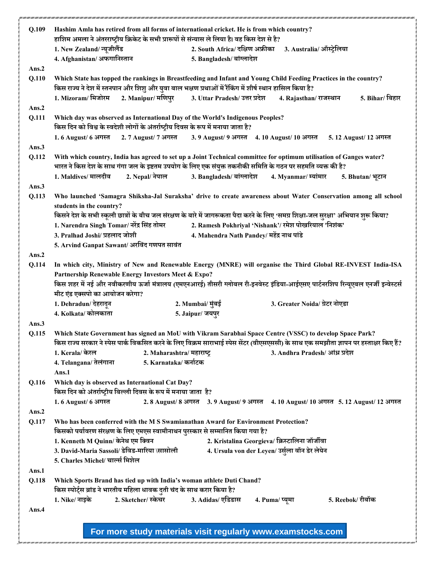| Q.109 | Hashim Amla has retired from all forms of international cricket. He is from which country?                                                                                                                                                        |                                                               |                                                                                 |                      |
|-------|---------------------------------------------------------------------------------------------------------------------------------------------------------------------------------------------------------------------------------------------------|---------------------------------------------------------------|---------------------------------------------------------------------------------|----------------------|
|       | हाशिम अमला ने अंतरराष्ट्रीय क्रिकेट के सभी प्रारूपों से संन्यास ले लिया है। वह किस देश से है?                                                                                                                                                     |                                                               |                                                                                 |                      |
|       | 1. New Zealand/ न्यूजीलैंड                                                                                                                                                                                                                        | 2. South Africa/ दक्षिण अफ्रीका                               | 3. Australia/ऑस्ट्रेलिया                                                        |                      |
|       | 4. Afghanistan/ अफगानिस्तान                                                                                                                                                                                                                       | 5. Bangladesh/ बांग्लादेश                                     |                                                                                 |                      |
| Ans.2 |                                                                                                                                                                                                                                                   |                                                               |                                                                                 |                      |
| Q.110 | Which State has topped the rankings in Breastfeeding and Infant and Young Child Feeding Practices in the country?<br>किस राज्य ने देश में स्तनपान और शिशु और युवा बाल भक्षण प्रथाओं में रैंकिंग में शीर्ष स्थान हासिल किया है?                    |                                                               |                                                                                 |                      |
|       | 1. Mizoram/ मिजोरम<br>2. Manipur/ मणिपुर                                                                                                                                                                                                          | 3. Uttar Pradesh/ उत्तर प्रदेश                                | 4. Rajasthan/ राजस्थान                                                          | 5. Bihar/ बिहार      |
| Ans.2 |                                                                                                                                                                                                                                                   |                                                               |                                                                                 |                      |
| Q.111 | Which day was observed as International Day of the World's Indigenous Peoples?                                                                                                                                                                    |                                                               |                                                                                 |                      |
|       | किस दिन को विश्व के स्वदेशी लोगों के अंतर्राष्ट्रीय दिवस के रूप में मनाया जाता है?                                                                                                                                                                |                                                               |                                                                                 |                      |
|       | 1.6 August/ 6 अगस्त                                                                                                                                                                                                                               | 2.7 August/ 7 अगस्त 3.9 August/ 9 अगस्त 4.10 August/ 10 अगस्त |                                                                                 | 5.12 August/12 अगस्त |
| Ans.3 |                                                                                                                                                                                                                                                   |                                                               |                                                                                 |                      |
| Q.112 | With which country, India has agreed to set up a Joint Technical committee for optimum utilisation of Ganges water?                                                                                                                               |                                                               |                                                                                 |                      |
|       | भारत ने किस देश के साथ गंगा जल के इष्टतम उपयोग के लिए एक संयुक्त तकनीकी समिति के गठन पर सहमति व्यक्त की है?                                                                                                                                       |                                                               |                                                                                 |                      |
|       | 1. Maldives/ मालदीव<br>2. Nepal/ नेपाल                                                                                                                                                                                                            | 3. Bangladesh/ बांग्लादेश                                     | 4. Myanmar/ म्यांमार                                                            | 5. Bhutan/ भूटान     |
| Ans.3 |                                                                                                                                                                                                                                                   |                                                               |                                                                                 |                      |
| Q.113 | Who launched 'Samagra Shiksha-Jal Suraksha' drive to create awareness about Water Conservation among all school<br>students in the country?                                                                                                       |                                                               |                                                                                 |                      |
|       | किसने देश के सभी स्कूली छात्रों के बीच जल संरक्षण के बारे में जागरूकता पैदा करने के लिए 'समग्र शिक्षा-जल सुरक्षा' अभियान शुरू किया?                                                                                                               |                                                               |                                                                                 |                      |
|       | 1. Narendra Singh Tomar/ नरेंद्र सिंह तोमर                                                                                                                                                                                                        |                                                               | 2. Ramesh Pokhriyal 'Nishank'/ रमेश पोखरियाल 'निशंक'                            |                      |
|       | 3. Pralhad Joshi/ प्रहलाद जोशी                                                                                                                                                                                                                    | 4. Mahendra Nath Pandey/ महेंद्र नाथ पांडे                    |                                                                                 |                      |
|       | 5. Arvind Ganpat Sawant/ अरविंद गणपत सावंत                                                                                                                                                                                                        |                                                               |                                                                                 |                      |
| Ans.2 |                                                                                                                                                                                                                                                   |                                                               |                                                                                 |                      |
| Q.114 | In which city, Ministry of New and Renewable Energy (MNRE) will organise the Third Global RE-INVEST India-ISA                                                                                                                                     |                                                               |                                                                                 |                      |
|       | Partnership Renewable Energy Investors Meet & Expo?                                                                                                                                                                                               |                                                               |                                                                                 |                      |
|       | किस शहर में नई और नवीकरणीय ऊर्जा मंत्रालय (एमएनआरई) तीसरी ग्लोबल री-इनवेस्ट इंडिया-आईएसए पार्टनरशिप रिन्यूएबल एनर्जी इन्वेस्टर्स                                                                                                                  |                                                               |                                                                                 |                      |
|       | मीट एंड एक्सपो का आयोजन करेगा?                                                                                                                                                                                                                    |                                                               |                                                                                 |                      |
|       | 1. Dehradun/ देहरादून                                                                                                                                                                                                                             | 2. Mumbai/ मुंबई                                              | 3. Greater Noida/ ग्रेटर नोएडा                                                  |                      |
|       | 4. Kolkata/ कोलकाता                                                                                                                                                                                                                               | 5. Jaipur/ जयपुर                                              |                                                                                 |                      |
| Ans.3 |                                                                                                                                                                                                                                                   |                                                               |                                                                                 |                      |
| Q.115 | Which State Government has signed an MoU with Vikram Sarabhai Space Centre (VSSC) to develop Space Park?<br>किस राज्य सरकार ने स्पेस पार्क विकसित करने के लिए विक्रम साराभाई स्पेस सेंटर (वीएसएससी) के साथ एक समझौता ज्ञापन पर हस्ताक्षर किए हैं? |                                                               |                                                                                 |                      |
|       | 1. Kerala/ केरल<br>2. Maharashtra/ महाराष्ट्र                                                                                                                                                                                                     |                                                               | 3. Andhra Pradesh/ आंध्र प्रदेश                                                 |                      |
|       | 5. Karnataka/ कर्नाटक<br>4. Telangana/ तेलंगाना                                                                                                                                                                                                   |                                                               |                                                                                 |                      |
|       | Ans.1                                                                                                                                                                                                                                             |                                                               |                                                                                 |                      |
| Q.116 | Which day is observed as International Cat Day?                                                                                                                                                                                                   |                                                               |                                                                                 |                      |
|       | किस दिन को अंतर्राष्ट्रीय बिल्ली दिवस के रूप में मनाया जाता है?                                                                                                                                                                                   |                                                               |                                                                                 |                      |
|       | 1.6 August/ 6 अगस्त                                                                                                                                                                                                                               |                                                               | 2.8 August/8 अगस्त 3.9 August/9 अगस्त 4.10 August/10 अगस्त 5.12 August/12 अगस्त |                      |
| Ans.2 |                                                                                                                                                                                                                                                   |                                                               |                                                                                 |                      |
| Q.117 | Who has been conferred with the M S Swamianathan Award for Environment Protection?                                                                                                                                                                |                                                               |                                                                                 |                      |
|       | किसको पर्यावरण संरक्षण के लिए एमएस स्वामीनाथन पुरस्कार से सम्मानित किया गया है?                                                                                                                                                                   |                                                               |                                                                                 |                      |
|       | 1. Kenneth M Quinn/ केनेथ एम क्विन                                                                                                                                                                                                                |                                                               | 2. Kristalina Georgieva/ क्रिस्टालिना जॉर्जीवा                                  |                      |
|       | 3. David-Maria Sassoli/ डेविड-मारिया \सासोली                                                                                                                                                                                                      |                                                               | 4. Ursula von der Leyen/ उर्सुला वॉन डेर लेयेन                                  |                      |
|       | 5. Charles Michel/ चार्ल्स मिशेल                                                                                                                                                                                                                  |                                                               |                                                                                 |                      |
| Ans.1 |                                                                                                                                                                                                                                                   |                                                               |                                                                                 |                      |
| Q.118 | Which Sports Brand has tied up with India's woman athlete Duti Chand?                                                                                                                                                                             |                                                               |                                                                                 |                      |
|       | किस स्पोर्ट्स ब्रांड ने भारतीय महिला धावक दुती चंद के साथ करार किया है?                                                                                                                                                                           |                                                               |                                                                                 |                      |
|       | 2. Sketcher/ स्केचर<br>1. Nike/ नाइके                                                                                                                                                                                                             | 3. Adidas/ एडिडास                                             | 5. Reebok/ रीबॉक<br>4. Puma/ प्यूमा                                             |                      |
| Ans.4 |                                                                                                                                                                                                                                                   |                                                               |                                                                                 |                      |
|       |                                                                                                                                                                                                                                                   |                                                               |                                                                                 |                      |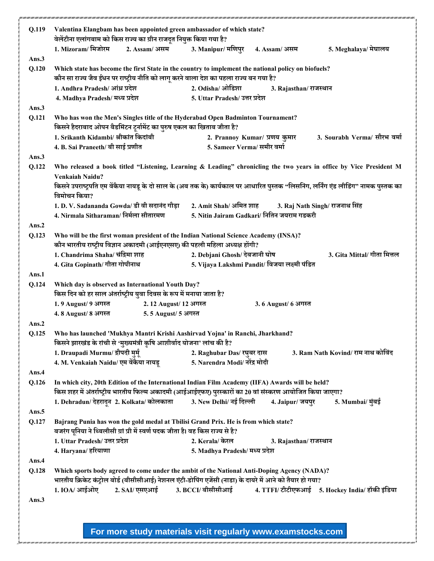| Q.119 | Valentina Elangbam has been appointed green ambassador of which state?                                                                                                 |                                                                                                                                                                                                          |
|-------|------------------------------------------------------------------------------------------------------------------------------------------------------------------------|----------------------------------------------------------------------------------------------------------------------------------------------------------------------------------------------------------|
|       | वेलेंटीना एलांगबाम को किस राज्य का ग्रीन राजदूत नियुक्त किया गया है?                                                                                                   |                                                                                                                                                                                                          |
|       | 1. Mizoram/ मिजोरम<br>2. Assam/ असम                                                                                                                                    | 3. Manipur/ मणिपुर<br>5. Meghalaya/ मेघालय<br>4. Assam/ असम                                                                                                                                              |
| Ans.3 |                                                                                                                                                                        |                                                                                                                                                                                                          |
| Q.120 | कौन सा राज्य जैव ईधन पर राष्ट्रीय नीति को लागू करने वाला देश का पहला राज्य बन गया है?                                                                                  | Which state has become the first State in the country to implement the national policy on biofuels?                                                                                                      |
|       | 1. Andhra Pradesh/ आंध्र प्रदेश                                                                                                                                        | 2. Odisha/ ओडिशा<br>3. Rajasthan/ राजस्थान                                                                                                                                                               |
|       | 4. Madhya Pradesh/ मध्य प्रदेश                                                                                                                                         | 5. Uttar Pradesh/ उत्तर प्रदेश                                                                                                                                                                           |
| Ans.3 |                                                                                                                                                                        |                                                                                                                                                                                                          |
| Q.121 | Who has won the Men's Singles title of the Hyderabad Open Badminton Tournament?                                                                                        |                                                                                                                                                                                                          |
|       | किसने हैदराबाद ओपन बैडमिंटन टूर्नामेंट का पुरुष एकल का खिताब जीता है?                                                                                                  |                                                                                                                                                                                                          |
|       | 1. Srikanth Kidambi/ श्रीकांत किदांबी                                                                                                                                  | 3. Sourabh Verma/ सौरभ वर्मा<br>2. Prannoy Kumar/ प्रणय कुमार                                                                                                                                            |
|       | 4. B. Sai Praneeth/ बी साई प्रणीत                                                                                                                                      | 5. Sameer Verma/ समीर वर्मा                                                                                                                                                                              |
| Ans.3 |                                                                                                                                                                        |                                                                                                                                                                                                          |
| Q.122 |                                                                                                                                                                        | Who released a book titled "Listening, Learning & Leading" chronicling the two years in office by Vice President M                                                                                       |
|       | Venkaiah Naidu?                                                                                                                                                        |                                                                                                                                                                                                          |
|       | विमोचन किया?                                                                                                                                                           | किसने उपराष्ट्रपति एम वेंकैया नायडू के दो साल के (अब तक के) कार्यकाल पर आधारित पुस्तक "लिसनिंग, लर्निंग एंड लीडिंग" नामक पुस्तक का                                                                       |
|       | 1. D. V. Sadananda Gowda/ डी वी सदानंद गौड़ा                                                                                                                           | 2. Amit Shah/ अमित शाह<br>3. Raj Nath Singh/ राजनाथ सिंह                                                                                                                                                 |
|       | 4. Nirmala Sitharaman/ निर्मला सीतारमण                                                                                                                                 | 5. Nitin Jairam Gadkari/ नितिन जयराम गडकरी                                                                                                                                                               |
| Ans.2 |                                                                                                                                                                        |                                                                                                                                                                                                          |
| Q.123 | Who will be the first woman president of the Indian National Science Academy (INSA)?                                                                                   |                                                                                                                                                                                                          |
|       | कौन भारतीय राष्ट्रीय विज्ञान अकादमी (आईएनएसए) की पहली महिला अध्यक्ष होंगी?                                                                                             |                                                                                                                                                                                                          |
|       | 1. Chandrima Shaha/ चंद्रिमा शाह                                                                                                                                       | 2. Debjani Ghosh/ देबजानी घोष<br>3. Gita Mittal/ गीता मित्तल                                                                                                                                             |
|       | 4. Gita Gopinath/ गीता गोपीनाथ                                                                                                                                         | 5. Vijaya Lakshmi Pandit/ विजया लक्ष्मी पंडित                                                                                                                                                            |
| Ans.1 |                                                                                                                                                                        |                                                                                                                                                                                                          |
| Q.124 | Which day is observed as International Youth Day?                                                                                                                      |                                                                                                                                                                                                          |
|       | किस दिन को हर साल अंतर्राष्ट्रीय युवा दिवस के रूप में मनाया जाता है?                                                                                                   |                                                                                                                                                                                                          |
|       | 1.9 August/ 9 अगस्त<br>2.12 August/ 12 अगस्त                                                                                                                           | 3.6 August/ 6 अगस्त                                                                                                                                                                                      |
|       | 4. 8 August/ 8 अगस्त<br>5.5 August/ 5 अगस्त                                                                                                                            |                                                                                                                                                                                                          |
| Ans.2 |                                                                                                                                                                        |                                                                                                                                                                                                          |
| Q.125 | Who has launched 'Mukhya Mantri Krishi Aashirvad Yojna' in Ranchi, Jharkhand?<br>किसने झारखंड के रांची से 'मुख्यमंत्री कृषि आशीर्वाद योजना' लांच की है?                |                                                                                                                                                                                                          |
|       | 1. Draupadi Murmu/ द्रौपदी मुर्मू                                                                                                                                      | 2. Raghubar Das/ रघुबर दास<br>3. Ram Nath Kovind/ राम नाथ कोविंद                                                                                                                                         |
|       | 4. M. Venkaiah Naidu/ एम वेंकैया नायडू                                                                                                                                 | 5. Narendra Modi/ नरेंद्र मोदी                                                                                                                                                                           |
| Ans.4 |                                                                                                                                                                        |                                                                                                                                                                                                          |
| Q.126 |                                                                                                                                                                        | In which city, 20th Edition of the International Indian Film Academy (IIFA) Awards will be held?                                                                                                         |
|       |                                                                                                                                                                        | किस शहर में अंतर्राष्ट्रीय भारतीय फिल्म अकादमी (आईआईएफए) पुरस्कारों का 20 वां संस्करण आयोजित किया जाएगा?                                                                                                 |
|       | 1. Dehradun/ देहरादून 2. Kolkata/ कोलकाता 3. New Delhi/ नई दिल्ली                                                                                                      | 4. Jaipur/ जयपुर<br>5. Mumbai/ मुंबई                                                                                                                                                                     |
| Ans.5 |                                                                                                                                                                        |                                                                                                                                                                                                          |
| Q.127 | Bajrang Punia has won the gold medal at Tbilisi Grand Prix. He is from which state?<br>बजरंग पूनिया ने थ्बिलीसी ग्रां प्री में स्वर्ण पदक जीता है। वह किस राज्य से है? |                                                                                                                                                                                                          |
|       | 1. Uttar Pradesh/ उत्तर प्रदेश                                                                                                                                         | 2. Kerala/ केरल<br>3. Rajasthan/ राजस्थान                                                                                                                                                                |
|       | 4. Haryana/ हरियाणा                                                                                                                                                    | 5. Madhya Pradesh/ मध्य प्रदेश                                                                                                                                                                           |
| Ans.4 |                                                                                                                                                                        |                                                                                                                                                                                                          |
| Q.128 |                                                                                                                                                                        | Which sports body agreed to come under the ambit of the National Anti-Doping Agency (NADA)?<br>भारतीय क्रिकेट कंट्रोल बोर्ड (बीसीसीआई) नेशनल एंटी-डोपिंग एजेंसी (नाडा) के दायरे में आने को तैयार हो गया? |
|       | 1. IOA/ आईओए<br>2. SAI/ एसएआई                                                                                                                                          | 3. BCCI/ बीसीसीआई 4. TTFI/ टीटीएफआई 5. Hockey India/ हॉकी इंडिया                                                                                                                                         |
| Ans.3 |                                                                                                                                                                        |                                                                                                                                                                                                          |
|       |                                                                                                                                                                        |                                                                                                                                                                                                          |
|       |                                                                                                                                                                        |                                                                                                                                                                                                          |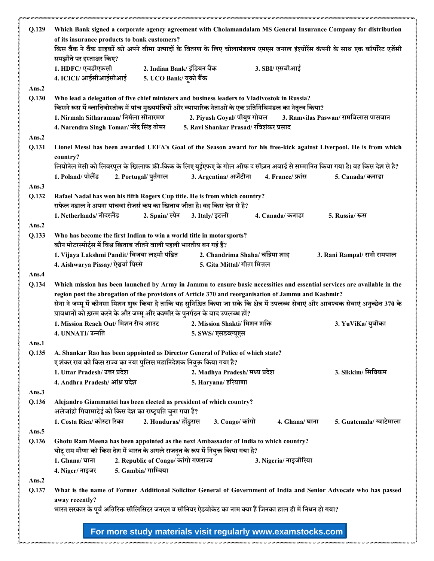| Q.129          | Which Bank signed a corporate agency agreement with Cholamandalam MS General Insurance Company for distribution                                                                                                                  |                                     |                                        |                                                                 |                             |
|----------------|----------------------------------------------------------------------------------------------------------------------------------------------------------------------------------------------------------------------------------|-------------------------------------|----------------------------------------|-----------------------------------------------------------------|-----------------------------|
|                | of its insurance products to bank customers?                                                                                                                                                                                     |                                     |                                        |                                                                 |                             |
|                | किस बैंक ने बैंक ग्राहकों को अपने बीमा उत्पादों के वितरण के लिए चोलामंडलम एमएस जनरल इंश्योरेंस कंपनी के साथ एक कॉर्पोरेट एजेंसी                                                                                                  |                                     |                                        |                                                                 |                             |
|                | समझौते पर हस्ताक्षर किए?<br>1. HDFC/ एचडीएफसी                                                                                                                                                                                    |                                     |                                        |                                                                 |                             |
|                |                                                                                                                                                                                                                                  | 2. Indian Bank/ इंडियन बैंक         |                                        | 3. SBI/ एसबीआई                                                  |                             |
|                | 4. ICICI/ आईसीआईसीआई                                                                                                                                                                                                             | 5. UCO Bank/ यूको बैंक              |                                        |                                                                 |                             |
| Ans.2          |                                                                                                                                                                                                                                  |                                     |                                        |                                                                 |                             |
| Q.130          | Who lead a delegation of five chief ministers and business leaders to Vladivostok in Russia?                                                                                                                                     |                                     |                                        |                                                                 |                             |
|                | किसने रूस में व्लादिवोस्तोक में पांच मुख्यमंत्रियों और व्यापारिक नेताओं के एक प्रतिनिधिमंडल का नेतृत्व किया?                                                                                                                     |                                     |                                        |                                                                 |                             |
|                | 1. Nirmala Sitharaman/ निर्मला सीतारमण                                                                                                                                                                                           |                                     |                                        | 2. Piyush Goyal/ पीयूष गोयल 3. Ramvilas Paswan/ रामविलास पासवान |                             |
|                | 4. Narendra Singh Tomar/ नरेंद्र सिंह तोमर                                                                                                                                                                                       |                                     | 5. Ravi Shankar Prasad/ रविशंकर प्रसाद |                                                                 |                             |
| Ans.2          |                                                                                                                                                                                                                                  |                                     |                                        |                                                                 |                             |
| Q.131          | Lionel Messi has been awarded UEFA's Goal of the Season award for his free-kick against Liverpool. He is from which                                                                                                              |                                     |                                        |                                                                 |                             |
|                | country?                                                                                                                                                                                                                         |                                     |                                        |                                                                 |                             |
|                | लियोनेल मेसी को लिवरपूल के खिलाफ फ्री-किक के लिए यूईएफए के गोल ऑफ द सीज़न अवार्ड से सम्मानित किया गया है। वह किस देश से है?                                                                                                      |                                     |                                        |                                                                 |                             |
|                | 1. Poland/ पोलैंड                                                                                                                                                                                                                | 2. Portugal/ पुर्तगाल               | 3. Argentina/ अर्जेंटीना               | 4. France/ फ्रांस                                               | 5. Canada/ कनाडा            |
| Ans.3          |                                                                                                                                                                                                                                  |                                     |                                        |                                                                 |                             |
| Q.132          | Rafael Nadal has won his fifth Rogers Cup title. He is from which country?                                                                                                                                                       |                                     |                                        |                                                                 |                             |
|                | राफेल नडाल ने अपना पांचवां रोजर्स कप का खिताब जीता है। वह किस देश से है?                                                                                                                                                         |                                     |                                        |                                                                 |                             |
|                | 1. Netherlands/ नीदरलैंड                                                                                                                                                                                                         | 2. Spain/ स्पेन                     | 3. Italy/ इटली                         | 4. Canada/ कनाडा                                                | 5. Russia/ रूस              |
| Ans.2          |                                                                                                                                                                                                                                  |                                     |                                        |                                                                 |                             |
| Q.133          | Who has become the first Indian to win a world title in motorsports?                                                                                                                                                             |                                     |                                        |                                                                 |                             |
|                | कौन मोटरस्पोर्ट्स में विश्व खिताब जीतने वाली पहली भारतीय बन गई हैं?                                                                                                                                                              |                                     |                                        | 2. Chandrima Shaha/ चंद्रिमा शाह                                |                             |
|                | 1. Vijaya Lakshmi Pandit/ विजया लक्ष्मी पंडित<br>4. Aishwarya Pissay/ ऐश्वर्या पिस्से                                                                                                                                            |                                     | 5. Gita Mittal/ गीता मित्तल            |                                                                 | 3. Rani Rampal/ रानी रामपाल |
|                |                                                                                                                                                                                                                                  |                                     |                                        |                                                                 |                             |
| Ans.4<br>Q.134 |                                                                                                                                                                                                                                  |                                     |                                        |                                                                 |                             |
|                | Which mission has been launched by Army in Jammu to ensure basic necessities and essential services are available in the<br>region post the abrogation of the provisions of Article 370 and reorganisation of Jammu and Kashmir? |                                     |                                        |                                                                 |                             |
|                | सेना ने जम्मू में कौनसा मिशन शुरू किया है ताकि यह सुनिश्चित किया जा सके कि क्षेत्र में उपलब्ध सेवाएं और आवश्यक सेवाएं अनुच्छेद 370 के                                                                                            |                                     |                                        |                                                                 |                             |
|                | प्रावधानों को ख़त्म करने के और जम्मू और कश्मीर के पुनर्गठन के बाद उपलब्ध हों?                                                                                                                                                    |                                     |                                        |                                                                 |                             |
|                | 1. Mission Reach Out/ मिशन रीच आउट                                                                                                                                                                                               |                                     | 2. Mission Shakti/ मिशन शक्ति          |                                                                 | 3. YuViKa/ युवीका           |
|                | 4. UNNATI/ उन्नति                                                                                                                                                                                                                |                                     | 5. SWS/ एसडब्ल्यूएस                    |                                                                 |                             |
| Ans.1          |                                                                                                                                                                                                                                  |                                     |                                        |                                                                 |                             |
| Q.135          | A. Shankar Rao has been appointed as Director General of Police of which state?                                                                                                                                                  |                                     |                                        |                                                                 |                             |
|                | ए शंकर राव को किस राज्य का नया पुलिस महानिदेशक नियुक्त किया गया है?                                                                                                                                                              |                                     |                                        |                                                                 |                             |
|                | 1. Uttar Pradesh/ उत्तर प्रदेश                                                                                                                                                                                                   |                                     | 2. Madhya Pradesh/ मध्य प्रदेश         |                                                                 | 3. Sikkim/ सिक्किम          |
|                | 4. Andhra Pradesh/ आंध्र प्रदेश                                                                                                                                                                                                  |                                     | 5. Haryana/ हरियाणा                    |                                                                 |                             |
| Ans.3          |                                                                                                                                                                                                                                  |                                     |                                        |                                                                 |                             |
| Q.136          | Alejandro Giammattei has been elected as president of which country?                                                                                                                                                             |                                     |                                        |                                                                 |                             |
|                | अलेजांद्रो गियामाटेई को किस देश का राष्ट्रपति चुना गया है?                                                                                                                                                                       |                                     |                                        |                                                                 |                             |
|                | 1. Costa Rica/ कोस्टा रिका                                                                                                                                                                                                       | 2. Honduras/ होंडुरास               | 3. Congo/ कांगो                        | 4. Ghana/ घाना                                                  | 5. Guatemala/ ग्वाटेमाला    |
| Ans.5          |                                                                                                                                                                                                                                  |                                     |                                        |                                                                 |                             |
| Q.136          | Ghotu Ram Meena has been appointed as the next Ambassador of India to which country?                                                                                                                                             |                                     |                                        |                                                                 |                             |
|                | घोटू राम मीणा को किस देश में भारत के अगले राजदूत के रूप में नियुक्त किया गया है?                                                                                                                                                 |                                     |                                        |                                                                 |                             |
|                | 1. Ghana/ घाना                                                                                                                                                                                                                   | 2. Republic of Congo/ कांगो गणराज्य |                                        | 3. Nigeria/ नाइजीरिया                                           |                             |
|                | 4. Niger/ नाइजर                                                                                                                                                                                                                  | 5. Gambia/ गाम्बिया                 |                                        |                                                                 |                             |
| Ans.2          |                                                                                                                                                                                                                                  |                                     |                                        |                                                                 |                             |
| Q.137          | What is the name of Former Additional Solicitor General of Government of India and Senior Advocate who has passed                                                                                                                |                                     |                                        |                                                                 |                             |
|                | away recently?                                                                                                                                                                                                                   |                                     |                                        |                                                                 |                             |
|                | भारत सरकार के पूर्व अतिरिक्त सॉलिसिटर जनरल व सीनियर ऐडवोकेट का नाम क्या हैं जिनका हाल ही में निधन हो गया?                                                                                                                        |                                     |                                        |                                                                 |                             |
|                |                                                                                                                                                                                                                                  |                                     |                                        |                                                                 |                             |
|                |                                                                                                                                                                                                                                  |                                     |                                        |                                                                 |                             |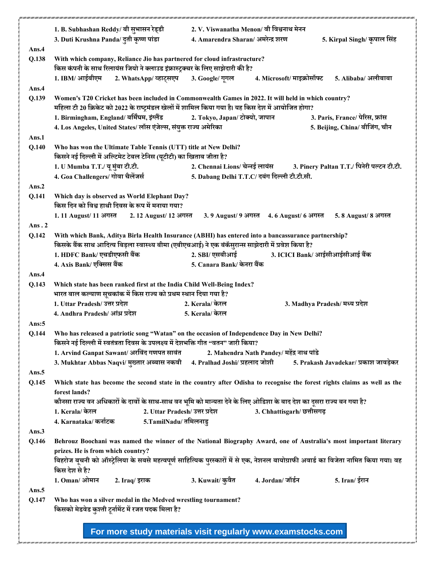|       | 1. B. Subhashan Reddy/ बी सूभासन रेड्डी                                                                                             | 2. V. Viswanatha Menon/ वी विश्वनाथ मेनन                                                                                            |  |  |
|-------|-------------------------------------------------------------------------------------------------------------------------------------|-------------------------------------------------------------------------------------------------------------------------------------|--|--|
|       | 3. Duti Krushna Panda/ दुती कृष्ण पांडा                                                                                             | 4. Amarendra Sharan/ अमरेन्द्र शरण<br>5. Kirpal Singh/ कृपाल सिंह                                                                   |  |  |
| Ans.4 |                                                                                                                                     |                                                                                                                                     |  |  |
| Q.138 | With which company, Reliance Jio has partnered for cloud infrastructure?                                                            |                                                                                                                                     |  |  |
|       | किस कंपनी के साथ रिलायंस जियो ने क्लाउड इंफ्रास्ट्रक्चर के लिए साझेदारी की है?                                                      |                                                                                                                                     |  |  |
|       | 1. IBM/ आईबीएम<br>2. WhatsApp/व्हाट्सएप 3. Google/ गूगल                                                                             | 4. Microsoft/ माइक्रोसॉफ्ट<br>5. Alibaba/ अलीबाबा                                                                                   |  |  |
| Ans.4 |                                                                                                                                     |                                                                                                                                     |  |  |
| Q.139 |                                                                                                                                     | Women's T20 Cricket has been included in Commonwealth Games in 2022. It will held in which country?                                 |  |  |
|       | महिला टी 20 क्रिकेट को 2022 के राष्ट्रमंडल खेलों में शामिल किया गया है। यह किस देश में आयोजित होगा?                                 |                                                                                                                                     |  |  |
|       | 1. Birmingham, England/ बर्मिंघम, इंग्लैंड<br>4. Los Angeles, United States/ लॉस एंजेल्स, संयुक्त राज्य अमेरिका                     | 2. Tokyo, Japan/ टोक्यो, जापान<br>3. Paris, France/ पेरिस, फ्रांस<br>5. Beijing, China/ बीजिंग, चीन                                 |  |  |
| Ans.1 |                                                                                                                                     |                                                                                                                                     |  |  |
| Q.140 | Who has won the Ultimate Table Tennis (UTT) title at New Delhi?                                                                     |                                                                                                                                     |  |  |
|       | किसने नई दिल्ली में अल्टिमेट टेबल टेनिस (यूटीटी) का खिताब जीता है?                                                                  |                                                                                                                                     |  |  |
|       | 1. U Mumba T.T./ यू मुंबा टी.टी.                                                                                                    | 2. Chennai Lions/ चेन्नई लायंस<br>3. Pinery Paltan T.T./ पिनेरी पल्टन टी.टी.                                                        |  |  |
|       | 4. Goa Challengers/ गोवा चैलेंजर्स                                                                                                  | 5. Dabang Delhi T.T.C/ दबंग दिल्ली टी.टी.सी.                                                                                        |  |  |
| Ans.2 |                                                                                                                                     |                                                                                                                                     |  |  |
| Q.141 | Which day is observed as World Elephant Day?                                                                                        |                                                                                                                                     |  |  |
|       | किस दिन को विश्व हाथी दिवस के रूप में मनाया गया?                                                                                    |                                                                                                                                     |  |  |
|       | 1.11 August/11 अगस्त<br>2.12 August/ 12 अगस्त                                                                                       | 3.9 August/ 9 अगस्त 4.6 August/ 6 अगस्त<br>5.8 August/ 8 अगस्त                                                                      |  |  |
| Ans.2 |                                                                                                                                     |                                                                                                                                     |  |  |
| Q.142 |                                                                                                                                     | With which Bank, Aditya Birla Health Insurance (ABHI) has entered into a bancassurance partnership?                                 |  |  |
|       | किसके बैंक साथ आदित्य बिड़ला स्वास्थ्य बीमा (एबीएचआई) ने एक बंकॅसुरान्स साझेदारी में प्रवेश किया है?<br>1. HDFC Bank/ एचडीएफसी बैंक | 2. SBI/ एसबीआई<br>3. ICICI Bank/ आईसीआईसीआई बैंक                                                                                    |  |  |
|       | 4. Axis Bank/ एक्सिस बैंक                                                                                                           | 5. Canara Bank/ केनरा बैंक                                                                                                          |  |  |
| Ans.4 |                                                                                                                                     |                                                                                                                                     |  |  |
| Q.143 | Which state has been ranked first at the India Child Well-Being Index?                                                              |                                                                                                                                     |  |  |
|       | भारत बाल कल्याण सूचकांक में किस राज्य को प्रथम स्थान दिया गया है?                                                                   |                                                                                                                                     |  |  |
|       | 1. Uttar Pradesh/ उत्तर प्रदेश                                                                                                      | 2. Kerala/ केरल<br>3. Madhya Pradesh/ मध्य प्रदेश                                                                                   |  |  |
|       | 4. Andhra Pradesh/ आंध्र प्रदेश                                                                                                     | 5. Kerala/ केरल                                                                                                                     |  |  |
| Ans:5 |                                                                                                                                     |                                                                                                                                     |  |  |
| Q.144 |                                                                                                                                     | Who has released a patriotic song "Watan" on the occasion of Independence Day in New Delhi?                                         |  |  |
|       | किसने नई दिल्ली में स्वतंत्रता दिवस के उपलक्ष्य में देशभक्ति गीत "वतन" जारी किया?<br>1. Arvind Ganpat Sawant/ अरविंद गणपत सावंत     | 2. Mahendra Nath Pandey/ महेंद्र नाथ पांडे                                                                                          |  |  |
|       | 3. Mukhtar Abbas Naqvi/ मुख्तार अब्बास नकवी                                                                                         | 4. Pralhad Joshi/ प्रहलाद जोशी<br>5. Prakash Javadekar/ प्रकाश जावड़ेकर                                                             |  |  |
| Ans.5 |                                                                                                                                     |                                                                                                                                     |  |  |
| Q.145 |                                                                                                                                     | Which state has become the second state in the country after Odisha to recognise the forest rights claims as well as the            |  |  |
|       | forest lands?                                                                                                                       |                                                                                                                                     |  |  |
|       |                                                                                                                                     | कौनसा राज्य वन अधिकारों के दावों के साथ-साथ वन भूमि को मान्यता देने के लिए ओडिशा के बाद देश का दूसरा राज्य बन गया है?               |  |  |
|       | 1. Kerala/ केरल<br>2. Uttar Pradesh/ उत्तर प्रदेश                                                                                   | 3. Chhattisgarh/ छत्तीसगढ़                                                                                                          |  |  |
|       | 5.TamilNadu/ तमिलनाडु<br>4. Karnataka/ कर्नाटक                                                                                      |                                                                                                                                     |  |  |
| Ans.3 |                                                                                                                                     |                                                                                                                                     |  |  |
| Q.146 |                                                                                                                                     |                                                                                                                                     |  |  |
|       |                                                                                                                                     | Behrouz Boochani was named the winner of the National Biography Award, one of Australia's most important literary                   |  |  |
|       | prizes. He is from which country?                                                                                                   |                                                                                                                                     |  |  |
|       |                                                                                                                                     | बिहरोज बूचनी को ऑस्ट्रेलिया के सबसे महत्वपूर्ण साहित्यिक पुरस्कारों में से एक, नेशनल बायोग्राफी अवार्ड का विजेता नामित किया गया। वह |  |  |
|       | किस देश से है?                                                                                                                      |                                                                                                                                     |  |  |
|       | 1. Oman/ ओमान<br>2. Iraq/ इराक                                                                                                      | 4. Jordan/जॉर्डन<br>3. Kuwait/ कुवैत<br>5. Iran/ ईरान                                                                               |  |  |
| Ans.5 |                                                                                                                                     |                                                                                                                                     |  |  |
| Q.147 | Who has won a silver medal in the Medved wrestling tournament?<br>किसको मेडवेड कुश्ती टूर्नामेंट में रजत पदक मिला है?               |                                                                                                                                     |  |  |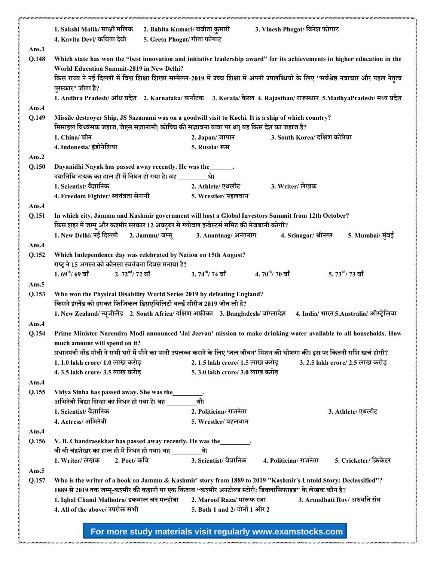|       | 1. Sakshi Malik/ साक्षी मलिक<br>4. Kavita Devi/ कविता देवी                                                                                                                                           | 2. Babita Kumari/ बबीता कुमारी<br>5. Geeta Phogat/ गीता फोगाट | 3. Vinesh Phogat/ विनेश फोगाट                                                                                                           |  |
|-------|------------------------------------------------------------------------------------------------------------------------------------------------------------------------------------------------------|---------------------------------------------------------------|-----------------------------------------------------------------------------------------------------------------------------------------|--|
| Ans.3 |                                                                                                                                                                                                      |                                                               |                                                                                                                                         |  |
| Q.148 |                                                                                                                                                                                                      |                                                               | Which state has won the "best innovation and initiative leadership award" for its achievements in higher education in the               |  |
|       | World Education Summit-2019 in New Delhi?                                                                                                                                                            |                                                               |                                                                                                                                         |  |
|       | पुरस्कार" जीता है?                                                                                                                                                                                   |                                                               | किस राज्य ने नई दिल्ली में विश्व शिक्षा शिखर सम्मेलन-2019 में उच्च शिक्षा में अपनी उपलब्धियों के लिए "सर्वश्रेष्ठ नवाचार और पहल नेतृत्व |  |
|       |                                                                                                                                                                                                      |                                                               | 1. Andhra Pradesh/ आंध्र प्रदेश 2. Karnataka/ कर्नाटक 3. Kerala/ केरल 4. Rajasthan/ राजस्थान 5. Madhya Pradesh/ मध्य प्रदेश             |  |
| Ans.4 |                                                                                                                                                                                                      |                                                               |                                                                                                                                         |  |
| Q.149 | Missile destroyer Ship, JS Sazanami was on a goodwill visit to Kochi. It is a ship of which country?<br>मिसाइल विध्वंसक जहाज, जेएस सज़ानामी  कोच्चि की सद्भावना यात्रा पर था  यह किस देश का जहाज है? |                                                               |                                                                                                                                         |  |
|       | 1. China/ चीन                                                                                                                                                                                        | 2. Japan/ जापान                                               | 3. South Korea/ दक्षिण कोरिया                                                                                                           |  |
|       | 4. Indonesia/ इंडोनेशिया                                                                                                                                                                             | 5. Russia/ रूस                                                |                                                                                                                                         |  |
| Ans.2 |                                                                                                                                                                                                      |                                                               |                                                                                                                                         |  |
| Q.150 | Dayanidhi Nayak has passed away recently. He was the______.                                                                                                                                          |                                                               |                                                                                                                                         |  |
|       | दयानिधि नायक का हाल ही में निधन हो गया है। वह _______                                                                                                                                                | थे।                                                           |                                                                                                                                         |  |
|       | 1. Scientist/ वैज्ञानिक                                                                                                                                                                              | 2. Athlete/ एथलीट                                             | 3. Writer/ लेखक                                                                                                                         |  |
|       | 4. Freedom Fighter/ स्वतंत्रता सेनानी                                                                                                                                                                | 5. Wrestler/ पहलवान                                           |                                                                                                                                         |  |
| Ans.4 |                                                                                                                                                                                                      |                                                               |                                                                                                                                         |  |
| Q.151 | किस शहर में जम्मू और कश्मीर सरकार 12 अक्टूबर से ग्लोबल इन्वेस्टर्स समिट की मेजबानी करेगी?                                                                                                            |                                                               | In which city, Jammu and Kashmir government will host a Global Investors Summit from 12th October?                                      |  |
|       | 1. New Delhi/ नई दिल्ली 2. Jammu/ जम्मू 3. Anantnag/ अनंतनाग                                                                                                                                         |                                                               | 4. Srinagar/ श्रीनगर<br>5. Mumbai/ मुंबई                                                                                                |  |
| Ans.4 |                                                                                                                                                                                                      |                                                               |                                                                                                                                         |  |
| Q.152 | Which Independence day was celebrated by Nation on 15th August?<br>राष्ट्र ने 15 अगस्त को कौनसा स्वतंत्रता दिवस मनाया है?                                                                            |                                                               |                                                                                                                                         |  |
|       | $1.69^{\text{th}}/69$ वाँ $2.72^{\text{nd}}/72$ वाँ                                                                                                                                                  | $3.\,74^{\rm th}/\,74$ वाँ                                    | $4.\,70^\mathrm{th}$ / 70 वाँ<br>$5.\,73^{\rm rd}/\,73$ वाँ                                                                             |  |
| Ans.5 |                                                                                                                                                                                                      |                                                               |                                                                                                                                         |  |
| Q.153 | Who won the Physical Disability World Series 2019 by defeating England?<br>किसने इंग्लैंड को हराकर फिजिकल डिसएबिलिटी वर्ल्ड सीरीज 2019 जीत ली है?                                                    |                                                               |                                                                                                                                         |  |
|       |                                                                                                                                                                                                      |                                                               | 1. New Zealand/ न्यूजीलैंड 2. South Africa/ दक्षिण अफ्रीका 3. Bangladesh/ बांग्लादेश 4. India/ भारत 5.Australia/ ऑस्ट्रेलिया            |  |
| Ans.4 |                                                                                                                                                                                                      |                                                               |                                                                                                                                         |  |
| Q.154 |                                                                                                                                                                                                      |                                                               | Prime Minister Narendra Modi announced 'Jal Jeevan' mission to make drinking water available to all households. How                     |  |
|       | much amount will spend on it?                                                                                                                                                                        |                                                               |                                                                                                                                         |  |
|       |                                                                                                                                                                                                      |                                                               | प्रधानमंत्री नरेंद्र मोदी ने सभी घरों में पीने का पानी उपलब्ध कराने के लिए 'जल जीवन' मिशन की घोषणा की। इस पर कितनी राशि खर्च होगी?      |  |
|       | 1.1.0 lakh crore/1.0 लाख करोड़                                                                                                                                                                       | 2.1.5 lakh crore/ 1.5 लाख करोड़                               | 3. 2.5 lakh crore/ 2.5 लाख करोड़                                                                                                        |  |
|       | 4.3.5 lakh crore/ 3.5 लाख करोड़                                                                                                                                                                      | 5.3.0 lakh crore/ 3.0 लाख करोड़                               |                                                                                                                                         |  |
| Ans.4 |                                                                                                                                                                                                      |                                                               |                                                                                                                                         |  |
| Q.155 | Vidya Sinha has passed away. She was the                                                                                                                                                             |                                                               |                                                                                                                                         |  |
|       | अभिनेत्री विद्या सिन्हा का निधन हो गया है। वह ____                                                                                                                                                   | थी।                                                           |                                                                                                                                         |  |
|       | 1. Scientist/ वैज्ञानिक                                                                                                                                                                              | 2. Politician/ राजनेता                                        | 3. Athlete/ एथलीट                                                                                                                       |  |
|       | 4. Actress/अभिनेत्री                                                                                                                                                                                 | 5. Wrestler/ पहलवान                                           |                                                                                                                                         |  |
| Ans.4 |                                                                                                                                                                                                      |                                                               |                                                                                                                                         |  |
| Q.156 | V. B. Chandrasekhar has passed away recently. He was the                                                                                                                                             |                                                               |                                                                                                                                         |  |
|       | वी बी चंद्रशेखर का हाल ही में निधन हो गया। वह ________थे।                                                                                                                                            |                                                               |                                                                                                                                         |  |
|       | 1. Writer/ लेखक<br>2. Poet/ कवि                                                                                                                                                                      | 3. Scientist/ वैज्ञानिक                                       | 4. Politician/ राजनेता<br>5. Cricketer/ क्रिकेटर                                                                                        |  |
| Ans.5 |                                                                                                                                                                                                      |                                                               |                                                                                                                                         |  |
| Q.157 |                                                                                                                                                                                                      |                                                               | Who is the writer of a book on Jammu & Kashmir' story from 1889 to 2019 "Kashmir's Untold Story: Declassified"?                         |  |
|       |                                                                                                                                                                                                      |                                                               | 1889 से 2019 तक जम्मू-कश्मीर की कहानी पर एक किताब "कश्मीर अनटोल्ड स्टोरी: डिक्लासिफाइड" के लेखक कौन है?                                 |  |
|       | 1. Iqbal Chand Malhotra/ इकबाल चंद मल्होत्रा                                                                                                                                                         | 2. Maroof Raza/ मारूफ रज़ा                                    | 3. Arundhati Roy/ अरुंधति रॉय                                                                                                           |  |
|       | 4. All of the above/ उपरोक्त सभी                                                                                                                                                                     | 5. Both 1 and 2/ दोनों 1 और 2                                 |                                                                                                                                         |  |
|       |                                                                                                                                                                                                      |                                                               |                                                                                                                                         |  |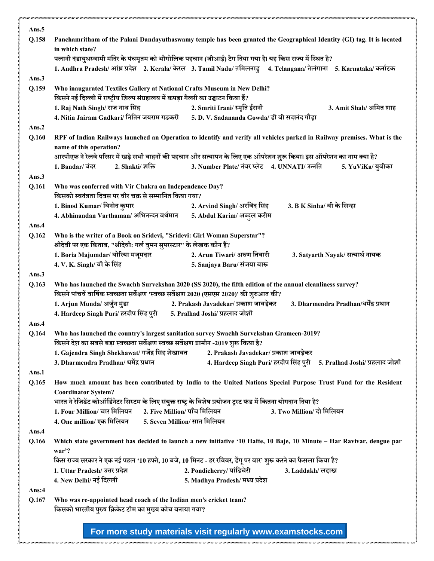| Ans.5 |                                                                                                                                                                                                              |  |  |  |
|-------|--------------------------------------------------------------------------------------------------------------------------------------------------------------------------------------------------------------|--|--|--|
| Q.158 | Panchamritham of the Palani Dandayuthaswamy temple has been granted the Geographical Identity (GI) tag. It is located<br>in which state?                                                                     |  |  |  |
|       | पलानी दंडायुथस्वामी मंदिर के पंचमृतम को भौगोलिक पहचान (जीआई) टैग दिया गया है। यह किस राज्य में स्थित है?                                                                                                     |  |  |  |
|       | 1. Andhra Pradesh/ आंध्र प्रदेश 2. Kerala/ केरल 3. Tamil Nadu/ तमिलनाडु 4. Telangana/ तेलंगाना 5. Karnataka/ कर्नाटक                                                                                         |  |  |  |
| Ans.3 |                                                                                                                                                                                                              |  |  |  |
| Q.159 | Who inaugurated Textiles Gallery at National Crafts Museum in New Delhi?                                                                                                                                     |  |  |  |
|       | किसने नई दिल्ली में राष्ट्रीय शिल्प संग्रहालय में कपड़ा गैलरी का उद्घाटन किया हैं?<br>3. Amit Shah/ अमित शाह                                                                                                 |  |  |  |
|       | 1. Raj Nath Singh/ राज नाथ सिंह<br>2. Smriti Irani/ स्मृति ईरानी<br>4. Nitin Jairam Gadkari/ नितिन जयराम गडकरी<br>5. D. V. Sadananda Gowda/ डी वी सदानंद गौड़ा                                               |  |  |  |
| Ans.2 |                                                                                                                                                                                                              |  |  |  |
| Q.160 | RPF of Indian Railways launched an Operation to identify and verify all vehicles parked in Railway premises. What is the<br>name of this operation?                                                          |  |  |  |
|       | आरपीएफ ने रेलवे परिसर में खड़े सभी वाहनों की पहचान और सत्यापन के लिए एक ऑपरेशन शुरू किया। इस ऑपरेशन का नाम क्या है?                                                                                          |  |  |  |
|       | 3. Number Plate/ नंबर प्लेट 4. UNNATI/ उन्नति<br>2. Shakti/ शक्ति<br>1. Bandar/ बंदर<br>5. YuViKa/ युवीका                                                                                                    |  |  |  |
| Ans.3 |                                                                                                                                                                                                              |  |  |  |
| Q.161 | Who was conferred with Vir Chakra on Independence Day?                                                                                                                                                       |  |  |  |
|       | किसको स्वतंत्रता दिवस पर वीर चक्र से सम्मानित किया गया?                                                                                                                                                      |  |  |  |
|       | 1. Binod Kumar/ बिनोद कुमार<br>3. B K Sinha/ बी के सिन्हा<br>2. Arvind Singh/ अरविंद सिंह                                                                                                                    |  |  |  |
| Ans.4 | 4. Abhinandan Varthaman/ अभिनन्दन वर्थमान<br>5. Abdul Karim/ अब्दुल करीम                                                                                                                                     |  |  |  |
| Q.162 | Who is the writer of a Book on Sridevi, "Sridevi: Girl Woman Superstar"?                                                                                                                                     |  |  |  |
|       | श्रीदेवी पर एक किताब, "श्रीदेवी: गर्ल वुमन सुपरस्टार" के लेखक कौन हैं?                                                                                                                                       |  |  |  |
|       | 1. Boria Majumdar/ बोरिया मजूमदार<br>2. Arun Tiwari/ अरुण तिवारी<br>3. Satyarth Nayak/ सत्यार्थ नायक                                                                                                         |  |  |  |
|       | 4. V. K. Singh/ वी के सिंह<br>5. Sanjaya Baru/ संजया बारू                                                                                                                                                    |  |  |  |
| Ans.3 |                                                                                                                                                                                                              |  |  |  |
| Q.163 | Who has launched the Swachh Survekshan 2020 (SS 2020), the fifth edition of the annual cleanliness survey?<br>किसने पांचवें वार्षिक स्वच्छता सर्वेक्षण 'स्वच्छ सर्वेक्षण 2020 (एसएस 2020)' की शुरुआत की?     |  |  |  |
|       | 1. Arjun Munda/ अर्जुन मुंडा<br>2. Prakash Javadekar/ प्रकाश जावड़ेकर<br>3. Dharmendra Pradhan/धर्मेंद्र प्रधान                                                                                              |  |  |  |
|       | 4. Hardeep Singh Puri/ हरदीप सिंह पुरी<br>5. Pralhad Joshi/ प्रहलाद जोशी                                                                                                                                     |  |  |  |
| Ans.4 |                                                                                                                                                                                                              |  |  |  |
| Q.164 | Who has launched the country's largest sanitation survey Swachh Survekshan Grameen-2019?<br>किसने देश का सबसे बड़ा स्वच्छता सर्वेक्षण स्वच्छ सर्वेक्षण ग्रामीन -2019 शुरू किया है?                           |  |  |  |
|       | 1. Gajendra Singh Shekhawat/ गजेंद्र सिंह शेखावत<br>2. Prakash Javadekar/ प्रकाश जावड़ेकर                                                                                                                    |  |  |  |
|       | 3. Dharmendra Pradhan/ धर्मेंद्र प्रधान<br>4. Hardeep Singh Puri/ हरदीप सिंह पुरी 5. Pralhad Joshi/ प्रहलाद जोशी                                                                                             |  |  |  |
| Ans.1 |                                                                                                                                                                                                              |  |  |  |
| Q.165 | How much amount has been contributed by India to the United Nations Special Purpose Trust Fund for the Resident                                                                                              |  |  |  |
|       | <b>Coordinator System?</b>                                                                                                                                                                                   |  |  |  |
|       | भारत ने रेजिडेंट कोऑर्डिनेटर सिस्टम के लिए संयुक्त राष्ट्र के विशेष प्रयोजन ट्रस्ट फंड में कितना योगदान दिया है?<br>2. Five Million/ पाँच मिलियन<br>1. Four Million/ चार मिलियन<br>3. Two Million/ दो मिलियन |  |  |  |
|       | 5. Seven Million/ सात मिलियन<br>4. One million/ एक मिलियन                                                                                                                                                    |  |  |  |
| Ans.4 |                                                                                                                                                                                                              |  |  |  |
| Q.166 | Which state government has decided to launch a new initiative '10 Hafte, 10 Baje, 10 Minute - Har Ravivar, dengue par<br>war'?                                                                               |  |  |  |
|       | किस राज्य सरकार ने एक नई पहल '10 हफ्ते, 10 बजे, 10 मिनट - हर रविवर, डेंगू पर वार' शुरू करने का फैसला किया है?                                                                                                |  |  |  |
|       | 1. Uttar Pradesh/ उत्तर प्रदेश<br>2. Pondicherry/ पांडिचेरी<br>3. Laddakh/ लद्दाख                                                                                                                            |  |  |  |
|       | 4. New Delhi/ नई दिल्ली<br>5. Madhya Pradesh/ मध्य प्रदेश                                                                                                                                                    |  |  |  |
| Ans:4 |                                                                                                                                                                                                              |  |  |  |
| Q.167 | Who was re-appointed head coach of the Indian men's cricket team?<br>किसको भारतीय पुरुष क्रिकेट टीम का मुख्य कोच बनाया गया?                                                                                  |  |  |  |
|       |                                                                                                                                                                                                              |  |  |  |
|       | For more study materials visit regularly www.examstocks.com                                                                                                                                                  |  |  |  |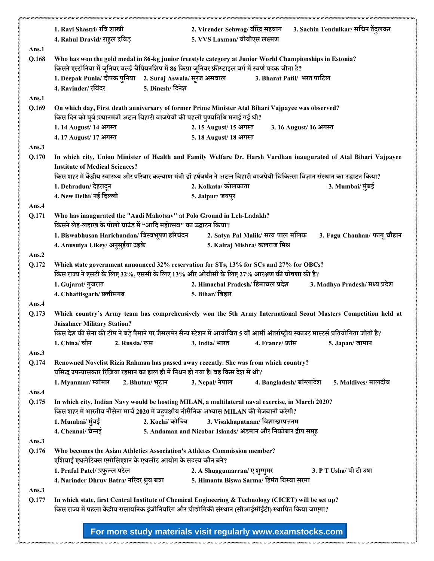|          | 1. Ravi Shastri/ रवि शास्त्री                                                                                                                                                       | 2. Virender Sehwag/ वीरेंद्र सहवाग<br>3. Sachin Tendulkar/ सचिन तेंदुलकर                                                                                                                                         |  |  |  |
|----------|-------------------------------------------------------------------------------------------------------------------------------------------------------------------------------------|------------------------------------------------------------------------------------------------------------------------------------------------------------------------------------------------------------------|--|--|--|
|          | 4. Rahul Dravid/ राहुल द्रविड़                                                                                                                                                      | 5. VVS Laxman/ वीवीएस लक्ष्मण                                                                                                                                                                                    |  |  |  |
| Ans.1    |                                                                                                                                                                                     |                                                                                                                                                                                                                  |  |  |  |
| Q.168    |                                                                                                                                                                                     | Who has won the gold medal in 86-kg junior freestyle category at Junior World Championships in Estonia?                                                                                                          |  |  |  |
|          | किसने एस्टोनिया में जूनियर वर्ल्ड चैंपियनशिप में 86 किग्रा जूनियर फ्रीस्टाइल वर्ग में स्वर्ण पदक जीता है?                                                                           |                                                                                                                                                                                                                  |  |  |  |
|          | 1. Deepak Punia/ दीपक पुनिया      2. Suraj Aswala/ सूरज असवाल                                                                                                                       | 3. Bharat Patil/ भरत पाटिल                                                                                                                                                                                       |  |  |  |
|          | 5. Dinesh/ दिनेश<br>4. Ravinder/ रविंदर                                                                                                                                             |                                                                                                                                                                                                                  |  |  |  |
| Ans.1    |                                                                                                                                                                                     |                                                                                                                                                                                                                  |  |  |  |
| Q.169    | On which day, First death anniversary of former Prime Minister Atal Bihari Vajpayee was observed?<br>किस दिन को पूर्व प्रधानमंत्री अटल बिहारी वाजपेयी की पहली पुण्यतिथि मनाई गई थी? |                                                                                                                                                                                                                  |  |  |  |
|          |                                                                                                                                                                                     |                                                                                                                                                                                                                  |  |  |  |
|          | 1.14 August/14 अगस्त                                                                                                                                                                | 2.15 August/ 15 अगस्त<br>3.16 August/16 अगस्त                                                                                                                                                                    |  |  |  |
|          | 4.17 August/17 अगस्त                                                                                                                                                                | 5.18 August/ 18 अगस्त                                                                                                                                                                                            |  |  |  |
| Ans.3    |                                                                                                                                                                                     |                                                                                                                                                                                                                  |  |  |  |
| Q.170    | <b>Institute of Medical Sciences?</b>                                                                                                                                               | In which city, Union Minister of Health and Family Welfare Dr. Harsh Vardhan inaugurated of Atal Bihari Vajpayee                                                                                                 |  |  |  |
|          |                                                                                                                                                                                     | किस शहर में केंद्रीय स्वास्थ्य और परिवार कल्याण मंत्री डॉ हर्षवर्धन ने अटल बिहारी वाजपेयी चिकित्सा विज्ञान संस्थान का उद्घाटन किया?                                                                              |  |  |  |
|          | 1. Dehradun/ देहरादुन                                                                                                                                                               | 2. Kolkata/ कोलकाता<br>3. Mumbai/ मुंबई                                                                                                                                                                          |  |  |  |
|          | 4. New Delhi/ नई दिल्ली                                                                                                                                                             | 5. Jaipur/ जयपुर                                                                                                                                                                                                 |  |  |  |
| Ans.4    |                                                                                                                                                                                     |                                                                                                                                                                                                                  |  |  |  |
| Q.171    | Who has inaugurated the "Aadi Mahotsav" at Polo Ground in Leh-Ladakh?                                                                                                               |                                                                                                                                                                                                                  |  |  |  |
|          | किसने लेह-लद्दाख के पोलो ग्राउंड में "आदि महोत्सव" का उद्घाटन किया?                                                                                                                 |                                                                                                                                                                                                                  |  |  |  |
|          | 1. Biswabhusan Harichandan/ बिस्वभूषण हरिचंदन                                                                                                                                       | 2. Satya Pal Malik/ सत्य पाल मलिक<br>3. Fagu Chauhan/ फागू चौहान                                                                                                                                                 |  |  |  |
|          | 4. Anusuiya Uikey/ अनुसुईया उइके                                                                                                                                                    | 5. Kalraj Mishra/ कलराज मिश्र                                                                                                                                                                                    |  |  |  |
| Ans.2    |                                                                                                                                                                                     |                                                                                                                                                                                                                  |  |  |  |
| Q.172    |                                                                                                                                                                                     | Which state government announced 32% reservation for STs, 13% for SCs and 27% for OBCs?                                                                                                                          |  |  |  |
|          | किस राज्य ने एसटी के लिए 32%, एससी के लिए 13% और ओबीसी के लिए 27% आरक्षण की घोषणा की है?                                                                                            |                                                                                                                                                                                                                  |  |  |  |
|          | 1. Gujarat/ गुजरात                                                                                                                                                                  | 2. Himachal Pradesh/ हिमाचल प्रदेश<br>3. Madhya Pradesh/ मध्य प्रदेश                                                                                                                                             |  |  |  |
|          | 4. Chhattisgarh/ छत्तीसगढ़                                                                                                                                                          | 5. Bihar/ बिहार                                                                                                                                                                                                  |  |  |  |
| Ans.4    |                                                                                                                                                                                     |                                                                                                                                                                                                                  |  |  |  |
| Q.173    | <b>Jaisalmer Military Station?</b>                                                                                                                                                  | Which country's Army team has comprehensively won the 5th Army International Scout Masters Competition held at                                                                                                   |  |  |  |
|          |                                                                                                                                                                                     | किस देश की सेना की टीम ने बड़े पैमाने पर जैसलमेर सैन्य स्टेशन में आयोजित 5 वीं आर्मी अंतर्राष्ट्रीय स्काउट मास्टर्स प्रतियोगिता जीती है?                                                                         |  |  |  |
|          | 1. China/ चीन<br>2. Russia/ रूस                                                                                                                                                     | 3. India/ भारत<br>4. France/ फ्रांस<br>5. Japan/ जापान                                                                                                                                                           |  |  |  |
| Ans. $3$ |                                                                                                                                                                                     |                                                                                                                                                                                                                  |  |  |  |
| Q.174    |                                                                                                                                                                                     | Renowned Novelist Rizia Rahman has passed away recently. She was from which country?                                                                                                                             |  |  |  |
|          | प्रसिद्ध उपन्यासकार रिज़िया रहमान का हाल ही में निधन हो गया है। वह किस देश से थी?                                                                                                   |                                                                                                                                                                                                                  |  |  |  |
|          | 1. Myanmar/ म्यांमार<br>2. Bhutan/ भूटान                                                                                                                                            | 3. Nepal/ नेपाल<br>4. Bangladesh/ बांग्लादेश<br>5. Maldives/ मालदीव                                                                                                                                              |  |  |  |
| Ans.4    |                                                                                                                                                                                     |                                                                                                                                                                                                                  |  |  |  |
| Q.175    |                                                                                                                                                                                     | In which city, Indian Navy would be hosting MILAN, a multilateral naval exercise, in March 2020?                                                                                                                 |  |  |  |
|          | किस शहर में भारतीय नौसेना मार्च 2020 में बहुपक्षीय नौसैनिक अभ्यास MILAN की मेजबानी करेगी?                                                                                           |                                                                                                                                                                                                                  |  |  |  |
|          | 2. Kochi/ कोच्चि<br>1. Mumbai/ मुंबई                                                                                                                                                | 3. Visakhapatnam/विशाखापत्तनम                                                                                                                                                                                    |  |  |  |
|          | 4. Chennai/ चेन्नई                                                                                                                                                                  | 5. Andaman and Nicobar Islands/ अंडमान और निकोबार द्वीप समूह                                                                                                                                                     |  |  |  |
| Ans.3    |                                                                                                                                                                                     |                                                                                                                                                                                                                  |  |  |  |
| Q.176    | Who becomes the Asian Athletics Association's Athletes Commission member?                                                                                                           |                                                                                                                                                                                                                  |  |  |  |
|          | एशियाई एथलेटिक्स एसोसिएशन के एथलीट आयोग के सदस्य कौन बने?                                                                                                                           |                                                                                                                                                                                                                  |  |  |  |
|          | 1. Praful Patel/ प्रफुल्ल पटेल                                                                                                                                                      | 3. P T Usha/ पी टी उषा<br>2. A Shuggumarran/ ए शुग्गुमर                                                                                                                                                          |  |  |  |
|          | 4. Narinder Dhruv Batra/ नरिंदर ध्रुव बत्रा                                                                                                                                         | 5. Himanta Biswa Sarma/ हिमंत बिस्वा सरमा                                                                                                                                                                        |  |  |  |
| Ans.3    |                                                                                                                                                                                     |                                                                                                                                                                                                                  |  |  |  |
| Q.177    |                                                                                                                                                                                     | In which state, first Central Institute of Chemical Engineering & Technology (CICET) will be set up?<br>किस राज्य में पहला केंद्रीय रासायनिक इंजीनियरिंग और प्रौद्योगिकी संस्थान (सीआईसीईटी) स्थापित किया जाएगा? |  |  |  |
|          |                                                                                                                                                                                     |                                                                                                                                                                                                                  |  |  |  |
|          |                                                                                                                                                                                     |                                                                                                                                                                                                                  |  |  |  |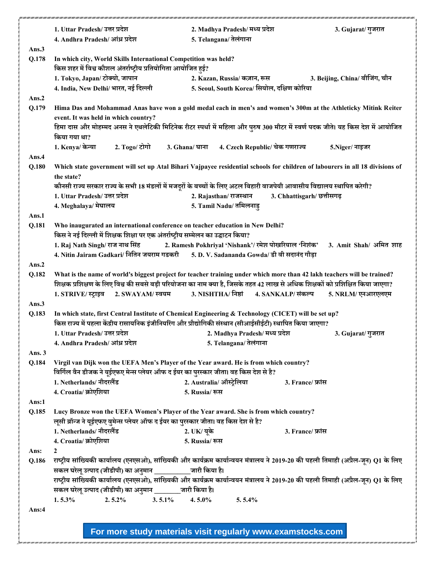|                | 1. Uttar Pradesh/ उत्तर प्रदेश                                                                                                                                                                                   | 2. Madhya Pradesh/ मध्य प्रदेश                              |                                | 3. Gujarat/गुजरात              |
|----------------|------------------------------------------------------------------------------------------------------------------------------------------------------------------------------------------------------------------|-------------------------------------------------------------|--------------------------------|--------------------------------|
|                | 4. Andhra Pradesh/ आंध्र प्रदेश                                                                                                                                                                                  | 5. Telangana/ तेलंगाना                                      |                                |                                |
| Ans.3          |                                                                                                                                                                                                                  |                                                             |                                |                                |
| Q.178          | In which city, World Skills International Competition was held?<br>किस शहर में विश्व कौशल अंतर्राष्ट्रीय प्रतियोगिता आयोजित हुई?                                                                                 |                                                             |                                |                                |
|                | 1. Tokyo, Japan/ टोक्यो, जापान                                                                                                                                                                                   | 2. Kazan, Russia/ कज़ान, रूस                                |                                | 3. Beijing, China/ बीजिंग, चीन |
|                | 4. India, New Delhi/ भारत, नई दिल्ली                                                                                                                                                                             | 5. Seoul, South Korea/ सियोल, दक्षिण कोरिया                 |                                |                                |
|                |                                                                                                                                                                                                                  |                                                             |                                |                                |
| Ans.2<br>Q.179 | Hima Das and Mohammad Anas have won a gold medal each in men's and women's 300m at the Athleticky Mitink Reiter                                                                                                  |                                                             |                                |                                |
|                | event. It was held in which country?                                                                                                                                                                             |                                                             |                                |                                |
|                | हिमा दास और मोहम्मद अनस ने एथलेटिकी मिटिनेक रीटर स्पर्धा में महिला और पुरुष 300 मीटर में स्वर्ण पदक जीते। यह किस देश में आयोजित                                                                                  |                                                             |                                |                                |
|                | किया गया था?                                                                                                                                                                                                     |                                                             |                                |                                |
|                | 1. Kenya/ केन्या<br>2. Togo/ टोगो                                                                                                                                                                                | 3. Ghana/ घाना                                              | 4. Czech Republic/ चेक गणराज्य | 5. Niger/ नाइजर                |
| Ans.4          |                                                                                                                                                                                                                  |                                                             |                                |                                |
| Q.180          | Which state government will set up Atal Bihari Vajpayee residential schools for children of labourers in all 18 divisions of                                                                                     |                                                             |                                |                                |
|                | the state?                                                                                                                                                                                                       |                                                             |                                |                                |
|                | कौनसी राज्य सरकार राज्य के सभी 18 मंडलों में मजदूरों के बच्चों के लिए अटल बिहारी वाजपेयी आवासीय विद्यालय स्थापित करेगी?                                                                                          |                                                             |                                |                                |
|                | 1. Uttar Pradesh/ उत्तर प्रदेश                                                                                                                                                                                   | 2. Rajasthan/ राजस्थान                                      | 3. Chhattisgarh/ छत्तीसगढ़     |                                |
|                | 4. Meghalaya/ मेघालय                                                                                                                                                                                             | 5. Tamil Nadu/ तमिलनाड़                                     |                                |                                |
| Ans.1          |                                                                                                                                                                                                                  |                                                             |                                |                                |
| Q.181          | Who inaugurated an international conference on teacher education in New Delhi?<br>किस ने नई दिल्ली में शिक्षक शिक्षा पर एक अंतर्राष्ट्रीय सम्मेलन का उद्घाटन किया?                                               |                                                             |                                |                                |
|                | 1. Raj Nath Singh/ राज नाथ सिंह                                                                                                                                                                                  | 2. Ramesh Pokhriyal 'Nishank'/ रमेश पोखरियाल 'निशंक'        |                                | 3. Amit Shah/ अमित शाह         |
|                | 4. Nitin Jairam Gadkari/ नितिन जयराम गडकरी                                                                                                                                                                       | 5. D. V. Sadananda Gowda/ डी वी सदानंद गौड़ा                |                                |                                |
| Ans.2          |                                                                                                                                                                                                                  |                                                             |                                |                                |
| Q.182          | What is the name of world's biggest project for teacher training under which more than 42 lakh teachers will be trained?                                                                                         |                                                             |                                |                                |
|                | शिक्षक प्रशिक्षण के लिए विश्व की सबसे बड़ी परियोजना का नाम क्या है, जिसके तहत 42 लाख से अधिक शिक्षकों को प्रशिक्षित किया जाएगा?                                                                                  |                                                             |                                |                                |
|                | 1. STRIVE/ स्ट्राइव<br>2. SWAYAM/ स्वयम                                                                                                                                                                          | 3. NISHTHA/ निष्ठां                                         | 4. SANKALP/ संकल्प             | 5. NRLM/ एनआरएलएम              |
| Ans.3          |                                                                                                                                                                                                                  |                                                             |                                |                                |
| Q.183          | In which state, first Central Institute of Chemical Engineering & Technology (CICET) will be set up?<br>किस राज्य में पहला केंद्रीय रासायनिक इंजीनियरिंग और प्रौद्योगिकी संस्थान (सीआईसीईटी) स्थापित किया जाएगा? |                                                             |                                |                                |
|                | 1. Uttar Pradesh/ उत्तर प्रदेश                                                                                                                                                                                   | 2. Madhya Pradesh/ मध्य प्रदेश                              |                                | 3. Gujarat/ गुजरात             |
|                | 4. Andhra Pradesh/ आंध्र प्रदेश                                                                                                                                                                                  | 5. Telangana/ तेलंगाना                                      |                                |                                |
| Ans. $3$       |                                                                                                                                                                                                                  |                                                             |                                |                                |
| Q.184          | Virgil van Dijk won the UEFA Men's Player of the Year award. He is from which country?                                                                                                                           |                                                             |                                |                                |
|                | विर्गिल वैन डीजक ने यूईएफए मेन्स प्लेयर ऑफ द ईयर का पुरस्कार जीता। वह किस देश से है?                                                                                                                             |                                                             |                                |                                |
|                | 1. Netherlands/ नीदरलैंड                                                                                                                                                                                         | 2. Australia/ ऑस्ट्रेलिया                                   | 3. France/ फ्रांस              |                                |
|                | 4. Croatia/ क्रोएशिया                                                                                                                                                                                            | 5. Russia/ रूस                                              |                                |                                |
| Ans:1          |                                                                                                                                                                                                                  |                                                             |                                |                                |
| Q.185          | Lucy Bronze won the UEFA Women's Player of the Year award. She is from which country?                                                                                                                            |                                                             |                                |                                |
|                | लूसी ब्रॉन्ज ने यूईएफए वुमेन्स प्लेयर ऑफ द ईयर का पुरस्कार जीता। वह किस देश से है?                                                                                                                               |                                                             |                                |                                |
|                | 1. Netherlands/ नीदरलैंड                                                                                                                                                                                         | 2. UK/ यूके                                                 | 3. France/ फ्रांस              |                                |
|                | 4. Croatia/ क्रोएशिया                                                                                                                                                                                            | 5. Russia/ रूस                                              |                                |                                |
| Ans:           | $\mathbf{2}$                                                                                                                                                                                                     |                                                             |                                |                                |
| Q.186          | राष्ट्रीय सांख्यिकी कार्यालय (एनएसओ), सांख्यिकी और कार्यक्रम कार्यान्वयन मंत्रालय ने 2019-20 की पहली तिमाही (अप्रैल-जून) Q1 के लिए                                                                               |                                                             |                                |                                |
|                | सकल घरेलू उत्पाद (जीडीपी) का अनुमान ____________ जारी किया है।                                                                                                                                                   |                                                             |                                |                                |
|                | राष्ट्रीय सांख्यिकी कार्यालय (एनएसओ), सांख्यिकी और कार्यक्रम कार्यान्वयन मंत्रालय ने 2019-20 की पहली तिमाही (अप्रैल-जून) Q1 के लिए                                                                               |                                                             |                                |                                |
|                | सकल घरेलू उत्पाद (जीडीपी) का अनुमान _______ जारी किया है।                                                                                                                                                        |                                                             |                                |                                |
|                | 1.5.3%<br>$2.5.2\%$                                                                                                                                                                                              | $3.5.1\%$<br>$4.5.0\%$<br>5.5.4%                            |                                |                                |
| Ans: $4$       |                                                                                                                                                                                                                  |                                                             |                                |                                |
|                |                                                                                                                                                                                                                  |                                                             |                                |                                |
|                |                                                                                                                                                                                                                  | For more study materials visit regularly www.examstocks.com |                                |                                |
|                |                                                                                                                                                                                                                  |                                                             |                                |                                |

r i ann i ann i ann i ann i ann i ann i ann i ann i ann i ann i ann i ann i ann i ann i ann i ann i ann i ann i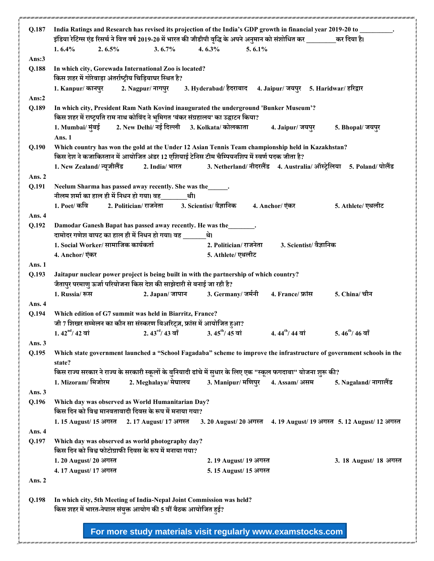| Q.187    | India Ratings and Research has revised its projection of the India's GDP growth in financial year 2019-20 to _________.<br>इंडिया रेटिग्स एंड रिसर्च ने वित्त वर्ष 2019-20 में भारत की जीडीपी वृद्धि के अपने अनुमान को संशोधित कर _________कर दिया है। |
|----------|--------------------------------------------------------------------------------------------------------------------------------------------------------------------------------------------------------------------------------------------------------|
|          | $5.6.1\%$<br>1.6.4%<br>$2.6.5\%$<br>$3.6.7\%$<br>$4.6.3\%$                                                                                                                                                                                             |
| Ans: $3$ |                                                                                                                                                                                                                                                        |
| Q.188    | In which city, Gorewada International Zoo is located?<br>किस शहर में गोरेवाड़ा अंतर्राष्ट्रीय चिड़ियाघर स्थित है?                                                                                                                                      |
|          | 1. Kanpur/ कानपुर 2. Nagpur/ नागपुर 3. Hyderabad/ हैदराबाद 4. Jaipur/ जयपुर 5. Haridwar/ हरिद्वार                                                                                                                                                      |
| Ans: $2$ |                                                                                                                                                                                                                                                        |
| Q.189    | In which city, President Ram Nath Kovind inaugurated the underground 'Bunker Museum'?                                                                                                                                                                  |
|          | किस शहर में राष्ट्रपति राम नाथ कोविंद ने भूमिगत 'बंकर संग्रहालय' का उद्घाटन किया?                                                                                                                                                                      |
|          | 1. Mumbai/ मुंबई 2. New Delhi/ नई दिल्ली 3. Kolkata/ कोलकाता<br>4. Jaipur/ जयपुर                                                                                                                                                                       |
|          | 5. Bhopal/ जयपुर                                                                                                                                                                                                                                       |
|          | Ans. 1                                                                                                                                                                                                                                                 |
| Q.190    | Which country has won the gold at the Under 12 Asian Tennis Team championship held in Kazakhstan?                                                                                                                                                      |
|          | किस देश ने कजाकिस्तान में आयोजित अंडर 12 एशियाई टेनिस टीम चैम्पियनशिप में स्वर्ण पदक जीता है?                                                                                                                                                          |
|          | 2. India/ भारत 3. Netherland/ नीदरलैंड 4. Australia/ ऑस्ट्रेलिया 5. Poland/ पोलैंड<br>1. New Zealand/ न्यूजीलैंड                                                                                                                                       |
| Ans. 2   |                                                                                                                                                                                                                                                        |
| Q.191    | Neelum Sharma has passed away recently. She was the______.                                                                                                                                                                                             |
|          | नीलम शर्मा का हाल ही में निधन हो गया। वह<br>थी।                                                                                                                                                                                                        |
|          | 1. Poet/ कवि<br>2. Politician/ राजनेता<br>3. Scientist/ वैज्ञानिक<br>4. Anchor/ एंकर<br>5. Athlete/ एथलीट                                                                                                                                              |
| Ans. 4   |                                                                                                                                                                                                                                                        |
| Q.192    | Damodar Ganesh Bapat has passed away recently. He was the                                                                                                                                                                                              |
|          | दामोदर गणेश बापट का हाल ही में निधन हो गया। वह ______थे।                                                                                                                                                                                               |
|          | 1. Social Worker/ सामाजिक कार्यकर्ता<br>3. Scientist/ वैज्ञानिक<br>2. Politician/ राजनेता                                                                                                                                                              |
|          | 5. Athlete/ एथलीट<br>4. Anchor/ एंकर                                                                                                                                                                                                                   |
| Ans. 1   |                                                                                                                                                                                                                                                        |
| Q.193    | Jaitapur nuclear power project is being built in with the partnership of which country?                                                                                                                                                                |
|          | जैतापुर परमाणु ऊर्जा परियोजना किस देश की साझेदारी से बनाई जा रही है?                                                                                                                                                                                   |
|          | 2. Japan/ जापान 3. Germany/ जर्मनी<br>5. China/ चीन<br>1. Russia/ रूस<br>4. France/ फ्रांस                                                                                                                                                             |
| Ans. 4   |                                                                                                                                                                                                                                                        |
| Q.194    | Which edition of G7 summit was held in Biarritz, France?                                                                                                                                                                                               |
|          | जी 7 शिखर सम्मेलन का कौन सा संस्करण बिअरिट्ज़, फ्रांस में आयोजित हुआ?                                                                                                                                                                                  |
|          | 2. $43^{\text{rd}}$ / $43 \text{ } \text{at}$ 3. $45^{\text{th}}$ / $45 \text{ } \text{at}$<br>$4.44^{\text{th}}$ / 44 बां 5.46 <sup>th</sup> / 46 बाँ<br>$1.42^{\rm nd}$ / 42 वां                                                                     |
|          |                                                                                                                                                                                                                                                        |
| Ans. 3   |                                                                                                                                                                                                                                                        |
| Q.195    | Which state government launched a "School Fagadaba" scheme to improve the infrastructure of government schools in the                                                                                                                                  |
|          | state?                                                                                                                                                                                                                                                 |
|          | किस राज्य सरकार ने राज्य के सरकारी स्कूलों के बुनियादी ढांचे में सुधार के लिए एक "स्कूल फगदाबा" योजना शुरू की?                                                                                                                                         |
|          | 1. Mizoram/ मिजोरम<br>2. Meghalaya/ मेघालय<br>3. Manipur/ मणिपुर<br>5. Nagaland/ नागालैंड<br>4. Assam/ असम                                                                                                                                             |
| Ans. $3$ |                                                                                                                                                                                                                                                        |
| Q.196    | Which day was observed as World Humanitarian Day?                                                                                                                                                                                                      |
|          | किस दिन को विश्व मानवतावादी दिवस के रूप में मनाया गया?                                                                                                                                                                                                 |
|          | 1.15 August/ 15 अगस्त<br>2.17 August/ 17 अगस्त<br>3. 20 August/ 20 अगस्त<br>4. 19 August/ 19 अगस्त 5. 12 August/ 12 अगस्त                                                                                                                              |
| Ans. 4   |                                                                                                                                                                                                                                                        |
| Q.197    | Which day was observed as world photography day?                                                                                                                                                                                                       |
|          | किस दिन को विश्व फोटोग्राफी दिवस के रूप में मनाया गया?                                                                                                                                                                                                 |
|          | 1.20 August/ 20 अगस्त<br>2.19 August/ 19 अगस्त<br>3. 18 August/ 18 अगस्त                                                                                                                                                                               |
|          | 4.17 August/17 अगस्त<br>5.15 August/ 15 अगस्त                                                                                                                                                                                                          |
| Ans. 2   |                                                                                                                                                                                                                                                        |
|          |                                                                                                                                                                                                                                                        |
| Q.198    | In which city, 5th Meeting of India-Nepal Joint Commission was held?                                                                                                                                                                                   |
|          | किस शहर में भारत-नेपाल संयुक्त आयोग की 5 वीं बैठक आयोजित हुई?                                                                                                                                                                                          |
|          |                                                                                                                                                                                                                                                        |
|          |                                                                                                                                                                                                                                                        |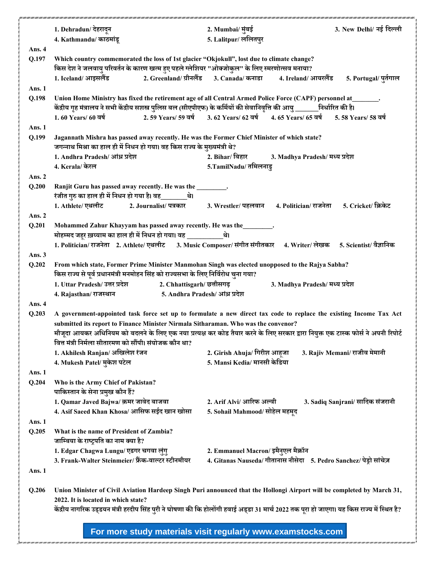|               | 1. Dehradun/ देहरादून                                                                                                                                                                                                                         | 2. Mumbai/ मुंबई                    | 3. New Delhi/ नई दिल्ली                                                               |  |  |
|---------------|-----------------------------------------------------------------------------------------------------------------------------------------------------------------------------------------------------------------------------------------------|-------------------------------------|---------------------------------------------------------------------------------------|--|--|
|               | 4. Kathmandu/ काठमांडू                                                                                                                                                                                                                        | 5. Lalitpur/ ललितपुर                |                                                                                       |  |  |
| Ans. 4        |                                                                                                                                                                                                                                               |                                     |                                                                                       |  |  |
| Q.197         | Which country commemorated the loss of 1st glacier "Okjokull", lost due to climate change?                                                                                                                                                    |                                     |                                                                                       |  |  |
|               | किस देश ने जलवायु परिवर्तन के कारण खत्म हुए पहले ग्लेशियर "ओक्जोकुल" के लिए स्मरणोत्सव मनाया?                                                                                                                                                 |                                     |                                                                                       |  |  |
|               | 1. Iceland/ आइसलैंड                                                                                                                                                                                                                           |                                     | 2. Greenland/ ग्रीनलैंड 3. Canada/ कनाडा 4. Ireland/ आयरलैंड<br>5. Portugal/ पूर्तगाल |  |  |
| Ans. 1        |                                                                                                                                                                                                                                               |                                     |                                                                                       |  |  |
| Q.198         | Union Home Ministry has fixed the retirement age of all Central Armed Police Force (CAPF) personnel at_______.<br>केंद्रीय गृह मंत्रालय ने सभी केंद्रीय सशस्त्र पुलिस बल (सीएपीएफ) के कर्मियों की सेवानिवृत्ति की आयु _______निर्धारित की है। |                                     |                                                                                       |  |  |
|               | 1. 60 Years/ 60 वर्ष                                                                                                                                                                                                                          |                                     | 2.59 Years/ 59 वर्ष 3.62 Years/ 62 वर्ष 4.65 Years/ 65 वर्ष 5.58 Years/ 58 वर्ष       |  |  |
| Ans. 1        |                                                                                                                                                                                                                                               |                                     |                                                                                       |  |  |
| Q.199         | Jagannath Mishra has passed away recently. He was the Former Chief Minister of which state?<br>जगन्नाथ मिश्रा का हाल ही में निधन हो गया। वह किस राज्य के मुख्यमंत्री थे?                                                                      |                                     |                                                                                       |  |  |
|               | 1. Andhra Pradesh/ आंध्र प्रदेश                                                                                                                                                                                                               |                                     | 2. Bihar/ बिहार 3. Madhya Pradesh/ मध्य प्रदेश                                        |  |  |
|               | 4. Kerala/ केरल                                                                                                                                                                                                                               | 5.TamilNadu/ तमिलनाडु               |                                                                                       |  |  |
| Ans. 2        |                                                                                                                                                                                                                                               |                                     |                                                                                       |  |  |
| Q.200         | Ranjit Guru has passed away recently. He was the ________.<br>रंजीत गुरु का हाल ही में निधन हो गया है। वह________थे।                                                                                                                          |                                     |                                                                                       |  |  |
|               | 2. Journalist/ पत्रकार<br>1. Athlete/ एथलीट                                                                                                                                                                                                   |                                     | 3. Wrestler/ पहलवान        4. Politician/ राजनेता<br>5. Cricket/ क्रिकेट              |  |  |
| Ans. 2        |                                                                                                                                                                                                                                               |                                     |                                                                                       |  |  |
| Q.201         | Mohammed Zahur Khayyam has passed away recently. He was the ________.                                                                                                                                                                         |                                     |                                                                                       |  |  |
|               | मोहम्मद जहूर ख़य्याम का हाल ही में निधन हो गया। वह ___________थे।                                                                                                                                                                             |                                     |                                                                                       |  |  |
|               | 1. Politician/ राजनेता 2. Athlete/ एथलीट 3. Music Composer/ संगीत संगीतकार 4. Writer/ लेखक                                                                                                                                                    |                                     | 5. Scientist/ वैज्ञानिक                                                               |  |  |
| Ans. $3$      |                                                                                                                                                                                                                                               |                                     |                                                                                       |  |  |
| Q.202         | From which state, Former Prime Minister Manmohan Singh was elected unopposed to the Rajya Sabha?                                                                                                                                              |                                     |                                                                                       |  |  |
|               | किस राज्य से पूर्व प्रधानमंत्री मनमोहन सिंह को राज्यसभा के लिए निर्विरोध चुना गया?                                                                                                                                                            |                                     |                                                                                       |  |  |
|               | 1. Uttar Pradesh/ उत्तर प्रदेश<br>2. Chhattisgarh/ छत्तीसगढ़                                                                                                                                                                                  |                                     | 3. Madhya Pradesh/ मध्य प्रदेश                                                        |  |  |
|               | 4. Rajasthan/ राजस्थान                                                                                                                                                                                                                        | 5. Andhra Pradesh/ आंध्र प्रदेश     |                                                                                       |  |  |
| Ans. 4        |                                                                                                                                                                                                                                               |                                     |                                                                                       |  |  |
| Q.203         | A government-appointed task force set up to formulate a new direct tax code to replace the existing Income Tax Act                                                                                                                            |                                     |                                                                                       |  |  |
|               | submitted its report to Finance Minister Nirmala Sitharaman. Who was the convenor?                                                                                                                                                            |                                     |                                                                                       |  |  |
|               | मौजूदा आयकर अधिनियम को बदलने के लिए एक नया प्रत्यक्ष कर कोड तैयार करने के लिए सरकार द्वारा नियुक्त एक टास्क फोर्स ने अपनी रिपोर्ट                                                                                                             |                                     |                                                                                       |  |  |
|               | वित्त मंत्री निर्मला सीतारमण को सौंपी। संयोजक कौन था?                                                                                                                                                                                         |                                     |                                                                                       |  |  |
|               | 1. Akhilesh Ranjan/अखिलेश रंजन                                                                                                                                                                                                                | 2. Girish Ahuja/ गिरीश आहजा         | 3. Rajiv Memani/ राजीव मेमानी                                                         |  |  |
|               | 4. Mukesh Patel/ मुकेश पटेल                                                                                                                                                                                                                   | 5. Mansi Kedia/ मानसी केडिया        |                                                                                       |  |  |
| <b>Ans. 1</b> |                                                                                                                                                                                                                                               |                                     |                                                                                       |  |  |
| Q.204         | Who is the Army Chief of Pakistan?                                                                                                                                                                                                            |                                     |                                                                                       |  |  |
|               | पाकिस्तान के सेना प्रमुख कौन हैं?                                                                                                                                                                                                             |                                     |                                                                                       |  |  |
|               | 1. Qamar Javed Bajwa/ क़मर जावेद बाजवा                                                                                                                                                                                                        | 2. Arif Alvi/ आरिफ अल्वी            | 3. Sadiq Sanjrani/ सादिक संजरानी                                                      |  |  |
|               | 4. Asif Saeed Khan Khosa/ आसिफ सईद खान खोसा                                                                                                                                                                                                   | 5. Sohail Mahmood/ सोहेल महमूद      |                                                                                       |  |  |
| <b>Ans. 1</b> |                                                                                                                                                                                                                                               |                                     |                                                                                       |  |  |
| Q.205         | What is the name of President of Zambia?<br>जाम्बिया के राष्ट्रपति का नाम क्या है?                                                                                                                                                            |                                     |                                                                                       |  |  |
|               | 1. Edgar Chagwa Lungu/ एडगर चगवा लुंगु                                                                                                                                                                                                        | 2. Emmanuel Macron/ इमैनुएल मैक्रॉन |                                                                                       |  |  |
|               | 3. Frank-Walter Steinmeier/ फ्रैंक-वाल्टर स्टीनमीयर                                                                                                                                                                                           |                                     | 4. Gitanas Nauseda/ गीतानास नौसेदा 5. Pedro Sanchez/ पेड्रो सांचेज़                   |  |  |
| Ans. 1        |                                                                                                                                                                                                                                               |                                     |                                                                                       |  |  |
|               |                                                                                                                                                                                                                                               |                                     |                                                                                       |  |  |
| Q.206         | Union Minister of Civil Aviation Hardeep Singh Puri announced that the Hollongi Airport will be completed by March 31,<br>2022. It is located in which state?                                                                                 |                                     |                                                                                       |  |  |
|               | केंद्रीय नागरिक उड्डयन मंत्री हरदीप सिंह पुरी ने घोषणा की कि होलोंगी हवाई अड्डा 31 मार्च 2022 तक पूरा हो जाएगा। यह किस राज्य में स्थित है?                                                                                                    |                                     |                                                                                       |  |  |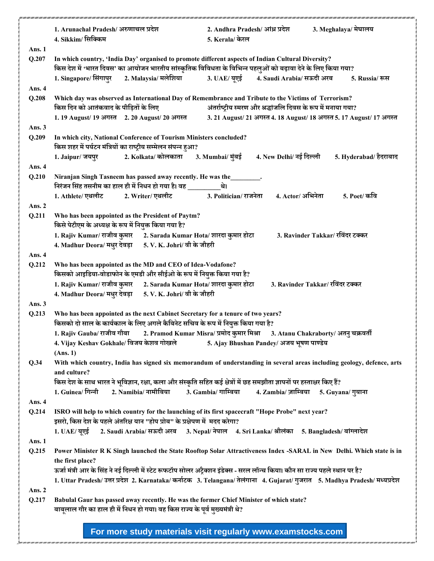|               | 3. Meghalaya/ मेघालय<br>1. Arunachal Pradesh/अरुणाचल प्रदेश<br>2. Andhra Pradesh/ आंध्र प्रदेश<br>4. Sikkim/ सिक्किम<br>5. Kerala/ केरल                                                                            |  |  |  |
|---------------|--------------------------------------------------------------------------------------------------------------------------------------------------------------------------------------------------------------------|--|--|--|
| Ans. 1        |                                                                                                                                                                                                                    |  |  |  |
| Q.207         | In which country, 'India Day' organised to promote different aspects of Indian Cultural Diversity?<br>किस देश में 'भारत दिवस' का आयोजन भारतीय सांस्कृतिक विविधता के विभिन्न पहलुओं को बढ़ावा देने के लिए किया गया? |  |  |  |
|               | 1. Singapore/ सिंगापुर<br>5. Russia/ रूस                                                                                                                                                                           |  |  |  |
| Ans. 4        |                                                                                                                                                                                                                    |  |  |  |
| Q.208         | Which day was observed as International Day of Remembrance and Tribute to the Victims of Terrorism?<br>किस दिन को आतंकवाद के पीड़ितों के लिए<br>अंतर्राष्ट्रीय स्मरण और श्रद्धांजलि दिवस के रूप में मनाया गया?     |  |  |  |
|               | 3. 21 August/ 21 अगस्त 4. 18 August/ 18 अगस्त 5. 17 August/ 17 अगस्त<br>1. 19 August/ 19 अगस्त 2. 20 August/ 20 अगस्त                                                                                              |  |  |  |
| Ans. 3        |                                                                                                                                                                                                                    |  |  |  |
| Q.209         | In which city, National Conference of Tourism Ministers concluded?<br>किस शहर में पर्यटन मंत्रियों का राष्ट्रीय सम्मेलन संपन्न हुआ?                                                                                |  |  |  |
|               | 1. Jaipur/ जयपुर 2. Kolkata/ कोलकाता 3. Mumbai/ मुंबई<br>4. New Delhi/ नई दिल्ली<br>5. Hyderabad/ हैदराबाद                                                                                                         |  |  |  |
| Ans. 4        |                                                                                                                                                                                                                    |  |  |  |
| Q.210         | Niranjan Singh Tasneem has passed away recently. He was the ________.<br>निरंजन सिंह तसनीम का हाल ही में निधन हो गया है। वह ________<br>थे।                                                                        |  |  |  |
|               | 3. Politician/ राजनेता<br>1. Athlete/ एथलीट 2. Writer/ एथलीट<br>4. Actor/ अभिनेता<br>5. Poet/ कवि                                                                                                                  |  |  |  |
| Ans. $2$      |                                                                                                                                                                                                                    |  |  |  |
| Q.211         | Who has been appointed as the President of Paytm?<br>किसे पेटीएम के अध्यक्ष के रूप में नियुक्त किया गया है?                                                                                                        |  |  |  |
|               | 1. Rajiv Kumar/ राजीव कुमार 2. Sarada Kumar Hota/ शारदा कुमार होटा<br>3. Ravinder Takkar/ रविंदर टक्कर                                                                                                             |  |  |  |
|               | 4. Madhur Deora/ मधुर देवड़ा 5. V. K. Johri/ वी के जौहरी                                                                                                                                                           |  |  |  |
| Ans. 4        |                                                                                                                                                                                                                    |  |  |  |
| Q.212         | Who has been appointed as the MD and CEO of Idea-Vodafone?<br>किसको आइडिया-वोडाफोन के एमडी और सीईओ के रूप में नियुक्त किया गया है?                                                                                 |  |  |  |
|               | 1. Rajiv Kumar/ राजीव कुमार 2. Sarada Kumar Hota/ शारदा कुमार होटा<br>3. Ravinder Takkar/ रविंदर टक्कर                                                                                                             |  |  |  |
|               | 4. Madhur Deora/ मधुर देवड़ा 5. V. K. Johri/ वी के जौहरी                                                                                                                                                           |  |  |  |
| Ans. 3        |                                                                                                                                                                                                                    |  |  |  |
| Q.213         | Who has been appointed as the next Cabinet Secretary for a tenure of two years?<br>किसको दो साल के कार्यकाल के लिए अगले कैबिनेट सचिव के रूप में नियुक्त किया गया है?                                               |  |  |  |
|               | 1. Rajiv Gauba/ राजीव गौबा         2. Pramod Kumar Misra/ प्रमोद कुमार मिश्रा<br>3. Atanu Chakraborty/ अतनु चक्रवर्ती                                                                                              |  |  |  |
|               | 4. Vijay Keshav Gokhale/ विजय केशव गोखले<br>5. Ajay Bhushan Pandey/ अजय भूषण पाण्डेय                                                                                                                               |  |  |  |
|               | (Ans. 1)                                                                                                                                                                                                           |  |  |  |
| Q.34          | With which country, India has signed six memorandum of understanding in several areas including geology, defence, arts                                                                                             |  |  |  |
|               | and culture?<br>किस देश के साथ भारत ने भूविज्ञान, रक्षा, कला और संस्कृति सहित कई क्षेत्रों में छह समझौता ज्ञापनों पर हस्ताक्षर किए हैं?                                                                            |  |  |  |
|               | 2. Namibia/ नामीबिया<br>3. Gambia/ गाम्बिया<br>1. Guinea/ गिन्नी<br>4. Zambia/ ज़ाम्बिया<br>5. Guyana/ गुयाना                                                                                                      |  |  |  |
| Ans. 4        |                                                                                                                                                                                                                    |  |  |  |
| Q.214         | ISRO will help to which country for the launching of its first spacecraft "Hope Probe" next year?                                                                                                                  |  |  |  |
|               | इसरो, किस देश के पहले अंतरिक्ष यान "होप प्रोब" के प्रक्षेपण में मदद करेगा?                                                                                                                                         |  |  |  |
|               | 2. Saudi Arabia/ सऊदी अरब 3. Nepal/ नेपाल 4. Sri Lanka/ श्रीलंका 5. Bangladesh/ बांग्लादेश<br>1. UAE/ यएई                                                                                                          |  |  |  |
| <b>Ans. 1</b> |                                                                                                                                                                                                                    |  |  |  |
| Q.215         | Power Minister R K Singh launched the State Rooftop Solar Attractiveness Index -SARAL in New Delhi. Which state is in                                                                                              |  |  |  |
|               | the first place?                                                                                                                                                                                                   |  |  |  |
|               | ऊर्जा मंत्री आर के सिंह ने नई दिल्ली में स्टेट रूफटॉप सोलर अट्रैक्शन इंडेक्स - सरल लॉन्च किया। कौन सा राज्य पहले स्थान पर है?                                                                                      |  |  |  |
|               | 1. Uttar Pradesh/ उत्तर प्रदेश 2. Karnataka/ कर्नाटक 3. Telangana/ तेलंगाना 4. Gujarat/ गुजरात 5. Madhya Pradesh/ मध्यप्रदेश                                                                                       |  |  |  |
| Ans. 2        |                                                                                                                                                                                                                    |  |  |  |
| Q.217         | Babulal Gaur has passed away recently. He was the former Chief Minister of which state?                                                                                                                            |  |  |  |
|               | बाबूलाल गौर का हाल ही में निधन हो गया। वह किस राज्य के पूर्व मुख्यमंत्री थे?                                                                                                                                       |  |  |  |
|               |                                                                                                                                                                                                                    |  |  |  |
|               | For more study materials visit regularly www.examstocks.com                                                                                                                                                        |  |  |  |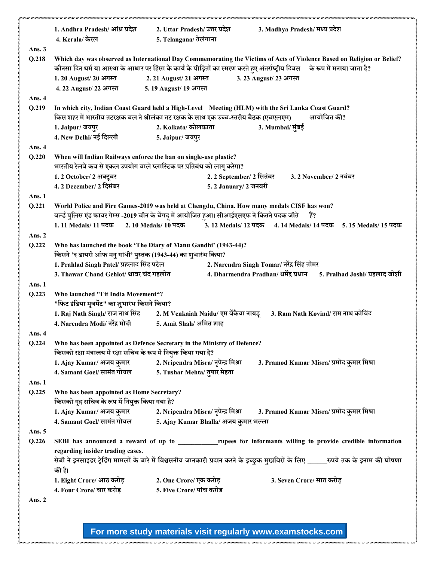|               | 1. Andhra Pradesh/ आंध्र प्रदेश                                                                                              | 2. Uttar Pradesh/ उत्तर प्रदेश<br>3. Madhya Pradesh/ मध्य प्रदेश                                                                   |  |  |
|---------------|------------------------------------------------------------------------------------------------------------------------------|------------------------------------------------------------------------------------------------------------------------------------|--|--|
|               | 4. Kerala/ केरल                                                                                                              | 5. Telangana/ तेलंगाना                                                                                                             |  |  |
| Ans. 3        |                                                                                                                              |                                                                                                                                    |  |  |
| Q.218         |                                                                                                                              | Which day was observed as International Day Commemorating the Victims of Acts of Violence Based on Religion or Belief?             |  |  |
|               | कौनसा दिन धर्म या आस्था के आधार पर हिसा के कार्य के पीड़ितों का स्मरण करते हुए अंतर्राष्ट्रीय दिवस के रूप में मनाया जाता है? |                                                                                                                                    |  |  |
|               | 1.20 August/ 20 अगस्त                                                                                                        | 2. 21 August/ 21 अगस्त<br>3. 23 August/ 23 अगस्त                                                                                   |  |  |
|               | 4.22 August/22 अगस्त                                                                                                         | 5.19 August/ 19 अगस्त                                                                                                              |  |  |
| Ans. 4        |                                                                                                                              |                                                                                                                                    |  |  |
| Q.219         |                                                                                                                              | In which city, Indian Coast Guard held a High-Level Meeting (HLM) with the Sri Lanka Coast Guard?                                  |  |  |
|               | किस शहर में भारतीय तटरक्षक बल ने श्रीलंका तट रक्षक के साथ एक उच्च-स्तरीय बैठक (एचएलएम)<br>आयोजित की?                         |                                                                                                                                    |  |  |
|               | 1. Jaipur/ जयपुर                                                                                                             | 2. Kolkata/ कोलकाता<br>3. Mumbai/ मुंबई                                                                                            |  |  |
|               | 4. New Delhi/ नई दिल्ली                                                                                                      | 5. Jaipur/ जयपुर                                                                                                                   |  |  |
| Ans. 4        |                                                                                                                              |                                                                                                                                    |  |  |
| Q.220         | When will Indian Railways enforce the ban on single-use plastic?                                                             |                                                                                                                                    |  |  |
|               | भारतीय रेलवे कब से एकल उपयोग वाले प्लास्टिक पर प्रतिबंध को लाग् करेगा?                                                       |                                                                                                                                    |  |  |
|               | 1.2 October/ 2 अक्टूबर                                                                                                       | 2.2 September/ 2 सितंबर<br>3.2 November/ 2 नवंबर                                                                                   |  |  |
|               | 4.2 December/ 2 दिसंबर                                                                                                       | 5. 2 January/ 2 जनवरी                                                                                                              |  |  |
| Ans. 1        |                                                                                                                              |                                                                                                                                    |  |  |
| Q.221         |                                                                                                                              | World Police and Fire Games-2019 was held at Chengdu, China. How many medals CISF has won?                                         |  |  |
|               |                                                                                                                              | वर्ल्ड पुलिस एंड फायर गेम्स -2019 चीन के चेंगदू में आयोजित हुआ। सीआईएसएफ ने कितने पदक जीते<br>हैं?                                 |  |  |
|               | 1.11 Medals/ 11 पदक                                                                                                          | 2.10 Medals/ 10 पदक<br>3.12 Medals/ 12 पदक<br>4.14 Medals/14 पदक<br>5. 15 Medals/ 15 पदक                                           |  |  |
| Ans. 2        |                                                                                                                              |                                                                                                                                    |  |  |
| Q.222         | Who has launched the book 'The Diary of Manu Gandhi' (1943-44)?                                                              |                                                                                                                                    |  |  |
|               | किसने 'द डायरी ऑफ मनु गांधी' पुस्तक (1943-44) का शुभारंभ किया?                                                               |                                                                                                                                    |  |  |
|               | 1. Prahlad Singh Patel/ प्रहलाद सिंह पटेल<br>2. Narendra Singh Tomar/ नरेंद्र सिंह तोमर                                      |                                                                                                                                    |  |  |
|               | 3. Thawar Chand Gehlot/ थावर चंद गहलोत                                                                                       | 4. Dharmendra Pradhan/ धर्मेंद्र प्रधान<br>5. Pralhad Joshi/ प्रहलाद जोशी                                                          |  |  |
| Ans. 1        |                                                                                                                              |                                                                                                                                    |  |  |
| Q.223         | Who launched "Fit India Movement"?                                                                                           |                                                                                                                                    |  |  |
|               | "फिट इंडिया मूवमेंट" का शुभारंभ किसने किया?                                                                                  |                                                                                                                                    |  |  |
|               |                                                                                                                              | 1. Raj Nath Singh/ राज नाथ सिंह 2. M Venkaiah Naidu/ एम वेंकैया नायडू<br>3. Ram Nath Kovind/ राम नाथ कोविंद                        |  |  |
|               | 4. Narendra Modi/ नरेंद्र मोदी                                                                                               | 5. Amit Shah/ अमित शाह                                                                                                             |  |  |
| Ans. 4        |                                                                                                                              |                                                                                                                                    |  |  |
| Q.224         |                                                                                                                              | Who has been appointed as Defence Secretary in the Ministry of Defence?                                                            |  |  |
|               | किसको रक्षा मंत्रालय में रक्षा सचिव के रूप में नियुक्त किया गया है?                                                          |                                                                                                                                    |  |  |
|               | 1. Ajay Kumar/ अजय कुमार                                                                                                     | 2. Nripendra Misra/ नृपेन्द्र मिश्रा<br>3. Pramod Kumar Misra/ प्रमोद कुमार मिश्रा                                                 |  |  |
|               | 4. Samant Goel/ सामंत गोयल                                                                                                   | 5. Tushar Mehta/ तुषार मेहता                                                                                                       |  |  |
| Ans. 1        |                                                                                                                              |                                                                                                                                    |  |  |
| Q.225         | Who has been appointed as Home Secretary?                                                                                    |                                                                                                                                    |  |  |
|               | किसको गृह सचिव के रूप में नियुक्त किया गया है?                                                                               |                                                                                                                                    |  |  |
|               | 4. Samant Goel/ सामंत गोयल                                                                                                   |                                                                                                                                    |  |  |
|               |                                                                                                                              | 5. Ajay Kumar Bhalla/ अजय कुमार भल्ला                                                                                              |  |  |
| <b>Ans. 5</b> |                                                                                                                              |                                                                                                                                    |  |  |
| Q.226         |                                                                                                                              | SEBI has announced a reward of up to __________________rupees for informants willing to provide credible information               |  |  |
|               | regarding insider trading cases.                                                                                             | सेबी ने इनसाइडर ट्रेडिंग मामलों के बारे में विश्वसनीय जानकारी प्रदान करने के इच्छुक मुखबिरों के लिए _____रुपये तक के इनाम की घोषणा |  |  |
|               | की है।                                                                                                                       |                                                                                                                                    |  |  |
|               | 1. Eight Crore/ आठ करोड़                                                                                                     | 2. One Crore/ एक करोड़<br>3. Seven Crore/ सात करोड़                                                                                |  |  |
|               | 4. Four Crore/ चार करोड़                                                                                                     | 5. Five Crore/ पांच करोड़                                                                                                          |  |  |
| Ans. 2        |                                                                                                                              |                                                                                                                                    |  |  |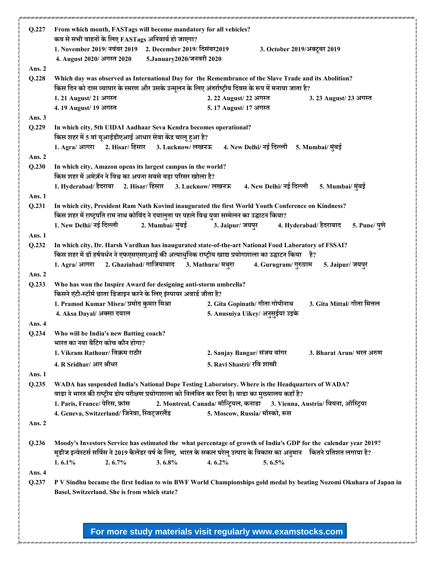| Q.227    | From which month, FASTags will become mandatory for all vehicles?<br>कब से सभी वाहनों के लिए FASTags अनिवार्य हो जाएगा?                                                                                                                       |                          |                                |                                  |                                                                                                                    |
|----------|-----------------------------------------------------------------------------------------------------------------------------------------------------------------------------------------------------------------------------------------------|--------------------------|--------------------------------|----------------------------------|--------------------------------------------------------------------------------------------------------------------|
|          | 1. November 2019/ नवंबर 2019 2. December 2019/ दिसंबर2019                                                                                                                                                                                     |                          |                                | 3. October 2019/अक्टूबर 2019     |                                                                                                                    |
|          | 4. August 2020/ अगस्त 2020                                                                                                                                                                                                                    | 5.January2020/जनवरी 2020 |                                |                                  |                                                                                                                    |
| Ans. $2$ |                                                                                                                                                                                                                                               |                          |                                |                                  |                                                                                                                    |
| Q.228    | Which day was observed as International Day for the Remembrance of the Slave Trade and its Abolition?<br>किस दिन को दास व्यापार के स्मरण और उसके उन्मूलन के लिए अंतर्राष्ट्रीय दिवस के रूप में मनाया जाता है?                                 |                          |                                |                                  |                                                                                                                    |
|          | 1.21 August/21 अगस्त                                                                                                                                                                                                                          |                          | 2.22 August/ 22 अगस्त          |                                  | 3. 23 August/ 23 अगस्त                                                                                             |
|          | 4.19 August/ 19 अगस्त                                                                                                                                                                                                                         |                          | 5.17 August/ 17 अगस्त          |                                  |                                                                                                                    |
| Ans. $3$ |                                                                                                                                                                                                                                               |                          |                                |                                  |                                                                                                                    |
| Q.229    | In which city, 5th UIDAI Aadhaar Seva Kendra becomes operational?<br>किस शहर में 5 वां यूआईडीएआई आधार सेवा केंद्र चालू हुआ है?                                                                                                                |                          |                                |                                  |                                                                                                                    |
|          | 1. Agra/ आगरा 2. Hisar/ हिसार 3. Lucknow/ लखनऊ 4. New Delhi/ नई दिल्ली 5. Mumbai/ मुंबई                                                                                                                                                       |                          |                                |                                  |                                                                                                                    |
| Ans. 2   |                                                                                                                                                                                                                                               |                          |                                |                                  |                                                                                                                    |
| Q.230    | In which city, Amazon opens its largest campus in the world?<br>किस शहर में अमेज़ॅन ने विश्व का अपना सबसे बड़ा परिसर खोला है?                                                                                                                 |                          |                                |                                  |                                                                                                                    |
|          | 1. Hyderabad/ हैदराबा 2. Hisar/ हिसार                                                                                                                                                                                                         |                          | 3. Lucknow/ लखनऊ               | 4. New Delhi/ नई दिल्ली          | 5. Mumbai/ मुंबई                                                                                                   |
| Ans. 1   |                                                                                                                                                                                                                                               |                          |                                |                                  |                                                                                                                    |
| Q.231    | In which city, President Ram Nath Kovind inaugurated the first World Youth Conference on Kindness?                                                                                                                                            |                          |                                |                                  |                                                                                                                    |
|          | किस शहर में राष्ट्रपति राम नाथ कोविंद ने दयालुता पर पहले विश्व युवा सम्मेलन का उद्घाटन किया?                                                                                                                                                  |                          |                                |                                  |                                                                                                                    |
|          | 1. New Delhi/ नई दिल्ली                                                                                                                                                                                                                       | 2. Mumbai/ मुंबई         | 3. Jaipur/ जयपुर               |                                  | 4. Hyderabad/ हैदराबाद<br>5. Pune/ पूणे                                                                            |
| Ans. 1   |                                                                                                                                                                                                                                               |                          |                                |                                  |                                                                                                                    |
| Q.232    | In which city, Dr. Harsh Vardhan has inaugurated state-of-the-art National Food Laboratory of FSSAI?<br>ै किस शहर में डॉ हर्षवर्धन ने एफएसएसएआई की अत्याधुनिक राष्ट्रीय खाद्य प्रयोगशाला का उद्घाटन किया है?                                  |                          |                                |                                  |                                                                                                                    |
|          | 1. Agra/ आगरा 2. Ghaziabad/ गाजियाबाद                                                                                                                                                                                                         |                          | 3. Mathura/ मथुरा              | 4. Gurugram/ गुरुग्राम           | 5. Jaipur/ जयपुर                                                                                                   |
| Ans. $2$ |                                                                                                                                                                                                                                               |                          |                                |                                  |                                                                                                                    |
| Q.233    | Who has won the Inspire Award for designing anti-storm umbrella?<br>किसने एंटी-स्टॉर्म छाता डिजाइन करने के लिए इंस्पायर अवार्ड जीता है?                                                                                                       |                          |                                |                                  |                                                                                                                    |
|          | 1. Pramod Kumar Misra/ प्रमोद कुमार मिश्रा                                                                                                                                                                                                    |                          |                                | 2. Gita Gopinath/ गीता गोपीनाथ   | 3. Gita Mittal/ गीता मित्तल                                                                                        |
|          | 4. Aksa Dayal/ अक्सा दयाल                                                                                                                                                                                                                     |                          |                                | 5. Anusuiya Uikey/ अनुसुईया उइके |                                                                                                                    |
| Ans. 4   |                                                                                                                                                                                                                                               |                          |                                |                                  |                                                                                                                    |
| Q.234    | Who will be India's new Batting coach?<br>भारत का नया बैटिंग कोच कौन होगा?                                                                                                                                                                    |                          |                                |                                  |                                                                                                                    |
|          | 1. Vikram Rathour/ विक्रम राठौर                                                                                                                                                                                                               |                          | 2. Sanjay Bangar/ संजय बांगर   |                                  | 3. Bharat Arun/ भरत अरुण                                                                                           |
|          | 4. R Sridhar/ आर श्रीधर                                                                                                                                                                                                                       |                          | 5. Ravi Shastri/ रवि शास्त्री  |                                  |                                                                                                                    |
| Ans. 1   |                                                                                                                                                                                                                                               |                          |                                |                                  |                                                                                                                    |
| Q.235    | WADA has suspended India's National Dope Testing Laboratory. Where is the Headquarters of WADA?                                                                                                                                               |                          |                                |                                  |                                                                                                                    |
|          | , वाडा ने भारत की राष्ट्रीय डोप परीक्षण प्रयोगशाला को निलंबित कर दिया है। वाडा का मुख्यालय कहाँ है                                                                                                                                            |                          |                                |                                  |                                                                                                                    |
|          | 1. Paris, France/ पेरिस, फ्रांस                                                                                                                                                                                                               |                          |                                |                                  | 2. Montreal, Canada/ मॉन्ट्रियल, कनाडा 3. Vienna, Austria/ वियना, ऑस्ट्रिया                                        |
|          | 4. Geneva, Switzerland/ जिनेवा, स्विट्जरलैंड                                                                                                                                                                                                  |                          | 5. Moscow, Russia/ मॉस्को, रूस |                                  |                                                                                                                    |
| Ans. 2   |                                                                                                                                                                                                                                               |                          |                                |                                  |                                                                                                                    |
| Q.236    | Moody's Investors Service has estimated the what percentage of growth of India's GDP for the calendar year 2019?<br>मूडीज इन्वेस्टर्स सर्विस ने 2019 कैलेंडर वर्ष के लिए, भारत के सकल घरेलू उत्पाद के विकास का अनुमान कितने प्रतिशत लगाया है? |                          |                                |                                  |                                                                                                                    |
|          | $1.6.1\%$<br>2.6.7%                                                                                                                                                                                                                           | 3.6.8%                   | $4.6.2\%$                      | 5.6.5%                           |                                                                                                                    |
| Ans. 4   |                                                                                                                                                                                                                                               |                          |                                |                                  |                                                                                                                    |
| Q.237    | Basel, Switzerland. She is from which state?                                                                                                                                                                                                  |                          |                                |                                  | P V Sindhu became the first Indian to win BWF World Championships gold medal by beating Nozomi Okuhara of Japan in |
|          |                                                                                                                                                                                                                                               |                          |                                |                                  |                                                                                                                    |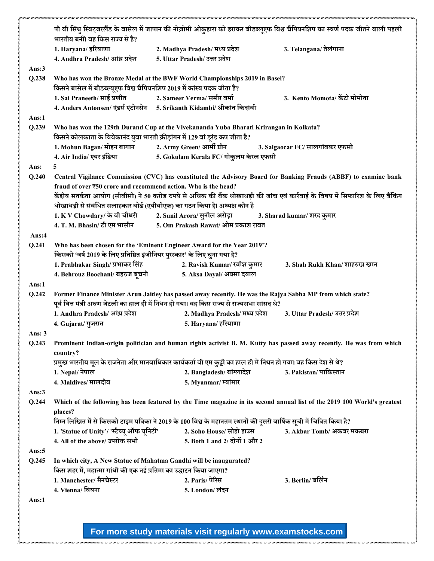|          | पी वी सिंधु स्विट्जरलैंड के बासेल में जापान की नोज़ोमी ओकुहारा को हराकर बीडब्लूएफ विश्व चैंपियनशिप का स्वर्ण पदक जीतने वाली पहली<br>भारतीय बनीं। वह किस राज्य से है?     |                                                                                                                         |                                                                                                                                   |  |  |
|----------|--------------------------------------------------------------------------------------------------------------------------------------------------------------------------|-------------------------------------------------------------------------------------------------------------------------|-----------------------------------------------------------------------------------------------------------------------------------|--|--|
|          |                                                                                                                                                                          |                                                                                                                         |                                                                                                                                   |  |  |
|          | 1. Haryana/ हरियाणा                                                                                                                                                      | 2. Madhya Pradesh/ मध्य प्रदेश                                                                                          | 3. Telangana/ तेलंगाना                                                                                                            |  |  |
|          | 4. Andhra Pradesh/ आंध्र प्रदेश                                                                                                                                          | 5. Uttar Pradesh/ उत्तर प्रदेश                                                                                          |                                                                                                                                   |  |  |
| Ans: $3$ |                                                                                                                                                                          |                                                                                                                         |                                                                                                                                   |  |  |
| Q.238    | Who has won the Bronze Medal at the BWF World Championships 2019 in Basel?<br>किसने बासेल में बीडब्ल्यूएफ विश्व चैंपियनशिप 2019 में कांस्य पदक जीता है?                  |                                                                                                                         |                                                                                                                                   |  |  |
|          | 1. Sai Praneeth/ साई प्रणीत                                                                                                                                              | 2. Sameer Verma⁄ समीर वर्मा                                                                                             | 3. Kento Momota/ केंटो मोमोता                                                                                                     |  |  |
|          |                                                                                                                                                                          | 4. Anders Antonsen/ एंडर्स एंटोनसेन 5. Srikanth Kidambi/ श्रीकांत किदांबी                                               |                                                                                                                                   |  |  |
| Ans:1    |                                                                                                                                                                          |                                                                                                                         |                                                                                                                                   |  |  |
| Q.239    | Who has won the 129th Durand Cup at the Vivekananda Yuba Bharati Krirangan in Kolkata?<br>किसने कोलकाता के विवेकानंद युवा भारती क्रीड़ांगन में 129 वां डूरंड कप जीता है? |                                                                                                                         |                                                                                                                                   |  |  |
|          |                                                                                                                                                                          |                                                                                                                         | 3. Salgaocar FC/ सालगांवकर एफसी                                                                                                   |  |  |
|          | 4. Air India/ एयर इंडिया                                                                                                                                                 | 5. Gokulam Kerala FC/ गोकुलम केरल एफसी                                                                                  |                                                                                                                                   |  |  |
| Ans:     | 5                                                                                                                                                                        |                                                                                                                         |                                                                                                                                   |  |  |
| Q.240    |                                                                                                                                                                          |                                                                                                                         | Central Vigilance Commission (CVC) has constituted the Advisory Board for Banking Frauds (ABBF) to examine bank                   |  |  |
|          | fraud of over ₹50 crore and recommend action. Who is the head?                                                                                                           |                                                                                                                         |                                                                                                                                   |  |  |
|          |                                                                                                                                                                          |                                                                                                                         | केंद्रीय सतर्कता आयोग (सीवीसी) ने 50 करोड़ रुपये से अधिक की बैंक धोखाधड़ी की जांच एवं कार्रवाई के विषय में सिफारिश के लिए बैंकिंग |  |  |
|          |                                                                                                                                                                          | धोखाधड़ी से संबंधित सलाहकार बोर्ड (एबीबीएफ) का गठन किया है। अध्यक्ष कौन है                                              |                                                                                                                                   |  |  |
|          |                                                                                                                                                                          | 1. K V Chowdary/ के वी चौधरी 2. Sunil Arora/ सुनील अरोड़ा                                                               | 3. Sharad kumar/ शरद कुमार                                                                                                        |  |  |
|          | 4. T. M. Bhasin/ टी एम भासीन                                                                                                                                             | 5. Om Prakash Rawat/ ओम प्रकाश रावत                                                                                     |                                                                                                                                   |  |  |
| Ans:4    |                                                                                                                                                                          |                                                                                                                         |                                                                                                                                   |  |  |
| Q.241    |                                                                                                                                                                          | Who has been chosen for the 'Eminent Engineer Award for the Year 2019'?                                                 |                                                                                                                                   |  |  |
|          | किसको 'वर्ष 2019 के लिए प्रतिष्ठित इंजीनियर पुरस्कार' के लिए चुना गया है?                                                                                                |                                                                                                                         |                                                                                                                                   |  |  |
|          | 1. Prabhakar Singh/ प्रभाकर सिंह                                                                                                                                         | 2. Ravish Kumar/ रवीश कुमार                                                                                             | 3. Shah Rukh Khan/शाहरुख खान                                                                                                      |  |  |
|          | 4. Behrouz Boochani/ बहरुज बूचनी                                                                                                                                         | 5. Aksa Dayal/ अक्सा दयाल                                                                                               |                                                                                                                                   |  |  |
| Ans:1    |                                                                                                                                                                          |                                                                                                                         |                                                                                                                                   |  |  |
| Q.242    | Former Finance Minister Arun Jaitley has passed away recently. He was the Rajya Sabha MP from which state?                                                               |                                                                                                                         |                                                                                                                                   |  |  |
|          |                                                                                                                                                                          | पूर्व वित्त मंत्री अरुण जेटली का हाल ही में निधन हो गया। वह किस राज्य से राज्यसभा सांसद थे?                             |                                                                                                                                   |  |  |
|          | 1. Andhra Pradesh/ आंध्र प्रदेश                                                                                                                                          | 2. Madhya Pradesh/ मध्य प्रदेश                                                                                          | 3. Uttar Pradesh/ उत्तर प्रदेश                                                                                                    |  |  |
|          | 4. Gujarat/ गुजरात                                                                                                                                                       | 5. Haryana/ हरियाणा                                                                                                     |                                                                                                                                   |  |  |
| Ans: $3$ |                                                                                                                                                                          |                                                                                                                         |                                                                                                                                   |  |  |
| Q.243    |                                                                                                                                                                          |                                                                                                                         | Prominent Indian-origin politician and human rights activist B. M. Kutty has passed away recently. He was from which              |  |  |
|          | country?<br>प्रमुख भारतीय मूल के राजनेता और मानवाधिकार कार्यकर्ता बी एम कुट्टी का हाल ही में निधन हो गया। वह किस देश से थे?                                              |                                                                                                                         |                                                                                                                                   |  |  |
|          |                                                                                                                                                                          |                                                                                                                         |                                                                                                                                   |  |  |
|          | 1. Nepal/ नेपाल                                                                                                                                                          | 2. Bangladesh/बांग्लादेश                                                                                                | 3. Pakistan/ पाकिस्तान                                                                                                            |  |  |
|          | 4. Maldives/ मालदीव                                                                                                                                                      | 5. Myanmar/ म्यांमार                                                                                                    |                                                                                                                                   |  |  |
| Ans:3    |                                                                                                                                                                          |                                                                                                                         |                                                                                                                                   |  |  |
| Q.244    | places?                                                                                                                                                                  |                                                                                                                         | Which of the following has been featured by the Time magazine in its second annual list of the 2019 100 World's greatest          |  |  |
|          |                                                                                                                                                                          | निम्न लिखित में से किसको टाइम पत्रिका ने 2019 के 100 विश्व के महानतम स्थानों की दूसरी वार्षिक सूची में चित्रित किया है? |                                                                                                                                   |  |  |
|          | 1. 'Statue of Unity'/ 'स्टैच्यू ऑफ यूनिटी'                                                                                                                               | 2. Soho House/ सोहो हाउस                                                                                                | 3. Akbar Tomb/ अकबर मकबरा                                                                                                         |  |  |
|          | 4. All of the above/ उपरोक्त सभी                                                                                                                                         | 5. Both 1 and 2/ दोनों 1 और 2                                                                                           |                                                                                                                                   |  |  |
| Ans: $5$ |                                                                                                                                                                          |                                                                                                                         |                                                                                                                                   |  |  |
| Q.245    |                                                                                                                                                                          | In which city, A New Statue of Mahatma Gandhi will be inaugurated?                                                      |                                                                                                                                   |  |  |
|          | किस शहर में, महात्मा गांधी की एक नई प्रतिमा का उद्घाटन किया जाएगा?                                                                                                       |                                                                                                                         |                                                                                                                                   |  |  |
|          | 1. Manchester/ मैनचेस्टर                                                                                                                                                 | 2. Paris/ पेरिस                                                                                                         | 3. Berlin/ बर्लिन                                                                                                                 |  |  |
|          | 4. Vienna/ वियना                                                                                                                                                         | 5. London/ लंदन                                                                                                         |                                                                                                                                   |  |  |
| Ans:1    |                                                                                                                                                                          |                                                                                                                         |                                                                                                                                   |  |  |
|          |                                                                                                                                                                          |                                                                                                                         |                                                                                                                                   |  |  |
|          |                                                                                                                                                                          |                                                                                                                         |                                                                                                                                   |  |  |
|          |                                                                                                                                                                          |                                                                                                                         |                                                                                                                                   |  |  |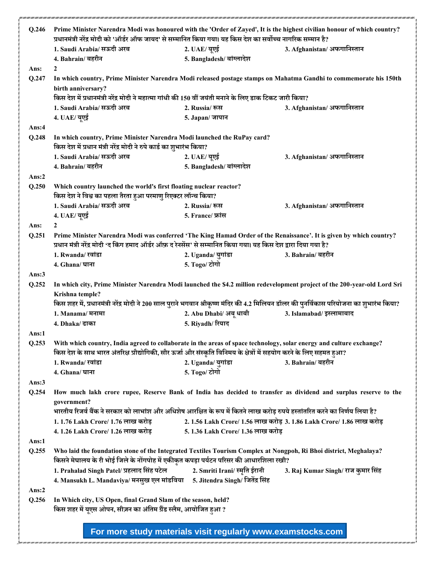|                   |                                                                                                                                            | प्रधानमंत्री नरेंद्र मोदी को 'ऑर्डर ऑफ जायद' से सम्मानित किया गया। यह किस देश का सर्वोच्च नागरिक सम्मान है? |                                                                                                                                           |  |  |
|-------------------|--------------------------------------------------------------------------------------------------------------------------------------------|-------------------------------------------------------------------------------------------------------------|-------------------------------------------------------------------------------------------------------------------------------------------|--|--|
|                   | 1. Saudi Arabia/ सऊदी अरब                                                                                                                  | 2. UAE/ यूएई                                                                                                | 3. Afghanistan/ अफगानिस्तान                                                                                                               |  |  |
|                   | 4. Bahrain/ बहरीन                                                                                                                          | 5. Bangladesh/ बांग्लादेश                                                                                   |                                                                                                                                           |  |  |
| Ans:              | 2                                                                                                                                          |                                                                                                             |                                                                                                                                           |  |  |
| Q.247             | In which country, Prime Minister Narendra Modi released postage stamps on Mahatma Gandhi to commemorate his 150th<br>birth anniversary?    |                                                                                                             |                                                                                                                                           |  |  |
|                   | किस देश में प्रधानमंत्री नरेंद्र मोदी ने महात्मा गांधी की 150 वीं जयंती मनाने के लिए डाक टिकट जारी किया?                                   |                                                                                                             |                                                                                                                                           |  |  |
|                   | 1. Saudi Arabia/ सऊदी अरब                                                                                                                  | 2. Russia/ रूस                                                                                              | 3. Afghanistan/ अफगानिस्तान                                                                                                               |  |  |
| Ans:4             | 4. UAE/ यूएई                                                                                                                               | 5. Japan/ जापान                                                                                             |                                                                                                                                           |  |  |
| Q.248             | In which country, Prime Minister Narendra Modi launched the RuPay card?                                                                    |                                                                                                             |                                                                                                                                           |  |  |
|                   | किस देश में प्रधान मंत्री नरेंद्र मोदी ने रुपे कार्ड का शुभारंभ किया?                                                                      |                                                                                                             |                                                                                                                                           |  |  |
|                   | 1. Saudi Arabia/ सऊदी अरब                                                                                                                  | 2. UAE/ यूएई                                                                                                | 3. Afghanistan/ अफगानिस्तान                                                                                                               |  |  |
|                   | 4. Bahrain/ बहरीन                                                                                                                          | 5. Bangladesh/ बांग्लादेश                                                                                   |                                                                                                                                           |  |  |
| Ans:2             |                                                                                                                                            |                                                                                                             |                                                                                                                                           |  |  |
| Q.250             | Which country launched the world's first floating nuclear reactor?                                                                         |                                                                                                             |                                                                                                                                           |  |  |
|                   | किस देश ने विश्व का पहला तैरता हुआ परमाणु रिएक्टर लॉन्च किया?                                                                              |                                                                                                             |                                                                                                                                           |  |  |
|                   | 1. Saudi Arabia/ सऊदी अरब                                                                                                                  | 2. Russia/ रूस                                                                                              | 3. Afghanistan/ अफगानिस्तान                                                                                                               |  |  |
|                   | 4. UAE/ यूएई                                                                                                                               | 5. France/ फ्रांस                                                                                           |                                                                                                                                           |  |  |
| Ans:              | $\mathbf{2}$                                                                                                                               |                                                                                                             |                                                                                                                                           |  |  |
| Q.251             | Prime Minister Narendra Modi was conferred 'The King Hamad Order of the Renaissance'. It is given by which country?                        |                                                                                                             |                                                                                                                                           |  |  |
|                   | प्रधान मंत्री नरेंद्र मोदी 'द किंग हमाद ऑर्डर ऑफ़ द रेनसेंस' से सम्मानित किया गया। यह किस देश द्वारा दिया गया है?                          |                                                                                                             |                                                                                                                                           |  |  |
|                   | 1. Rwanda/ रवांडा                                                                                                                          | 2. Uganda/ युगांडा<br>5. Togo/ टोगो                                                                         | 3. Bahrain/ बहरीन                                                                                                                         |  |  |
|                   | 4. Ghana/ घाना                                                                                                                             |                                                                                                             |                                                                                                                                           |  |  |
|                   |                                                                                                                                            |                                                                                                             |                                                                                                                                           |  |  |
| Ans: $3$<br>Q.252 | Krishna temple?                                                                                                                            |                                                                                                             | In which city, Prime Minister Narendra Modi launched the \$4.2 million redevelopment project of the 200-year-old Lord Sri                 |  |  |
|                   |                                                                                                                                            |                                                                                                             | किस शहर में, प्रधानमंत्री नरेंद्र मोदी ने 200 साल पुराने भगवान श्रीकृष्ण मंदिर की 4.2 मिलियन डॉलर की पुनर्विकास परियोजना का शुभारंभ किया? |  |  |
|                   | 1. Manama/ मनामा                                                                                                                           | 2. Abu Dhabi/ अबू धाबी                                                                                      | 3. Islamabad/ इस्लामाबाद                                                                                                                  |  |  |
| Ans:1             | 4. Dhaka/ ढाका                                                                                                                             | 5. Riyadh/ रियाद                                                                                            |                                                                                                                                           |  |  |
| Q.253             |                                                                                                                                            |                                                                                                             | With which country, India agreed to collaborate in the areas of space technology, solar energy and culture exchange?                      |  |  |
|                   | किस देश के साथ भारत अंतरिक्ष प्रौद्योगिकी, सौर ऊर्जा और संस्कृति विनिमय के क्षेत्रों में सहयोग करने के लिए सहमत हुआ?                       |                                                                                                             |                                                                                                                                           |  |  |
|                   | 1. Rwanda/ रवांडा<br>4. Ghana/ घाना                                                                                                        | 2. Uganda/ युगांडा                                                                                          | 3. Bahrain/ बहरीन                                                                                                                         |  |  |
|                   |                                                                                                                                            | 5. Togo/ टोगो                                                                                               |                                                                                                                                           |  |  |
| Ans: $3$<br>Q.254 |                                                                                                                                            |                                                                                                             | How much lakh crore rupee, Reserve Bank of India has decided to transfer as dividend and surplus reserve to the                           |  |  |
|                   | government?<br>भारतीय रिजर्व बैंक ने सरकार को लाभांश और अधिशेष आरक्षित के रूप में कितने लाख करोड़ रुपये हस्तांतरित करने का निर्णय लिया है? |                                                                                                             |                                                                                                                                           |  |  |
|                   | 1.1.76 Lakh Crore/ 1.76 लाख करोड़                                                                                                          |                                                                                                             | 2. 1.56 Lakh Crore/ 1.56 लाख करोड़ 3. 1.86 Lakh Crore/ 1.86 लाख करोड़                                                                     |  |  |
|                   | 4.1.26 Lakh Crore/ 1.26 लाख करोड़                                                                                                          | 5.1.36 Lakh Crore/ 1.36 लाख करोड़                                                                           |                                                                                                                                           |  |  |
| Ans:1             |                                                                                                                                            |                                                                                                             |                                                                                                                                           |  |  |
| Q.255             |                                                                                                                                            |                                                                                                             | Who laid the foundation stone of the Integrated Textiles Tourism Complex at Nongpoh, Ri Bhoi district, Meghalaya?                         |  |  |
|                   | किसने मेघालय के री भोई जिले के नोंगपोह में एकीकृत कपड़ा पर्यटन परिसर की आधारशिला रखी?                                                      |                                                                                                             |                                                                                                                                           |  |  |
|                   | 1. Prahalad Singh Patel/ प्रहलाद सिंह पटेल                                                                                                 | 2. Smriti Irani/ स्मृति ईरानी                                                                               | 3. Raj Kumar Singh/ राज कुमार सिंह                                                                                                        |  |  |
|                   | 4. Mansukh L. Mandaviya/ मनसुख एल मांडविया                                                                                                 | 5. Jitendra Singh/ जितेंद्र सिंह                                                                            |                                                                                                                                           |  |  |
| Ans:2             |                                                                                                                                            |                                                                                                             |                                                                                                                                           |  |  |
| Q.256             | In Which city, US Open, final Grand Slam of the season, held?<br>किस शहर में यूएस ओपन, सीज़न का अंतिम ग्रैंड स्लैम, आयोजित हुआ ?           |                                                                                                             |                                                                                                                                           |  |  |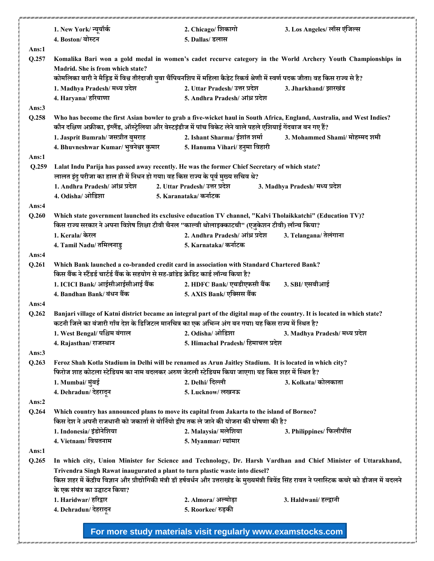|          | 1. New York/न्यूयॉर्क                                                                                                                                                                                                                     |                        | 2. Chicago/ शिकागो                 |  | 3. Los Angeles/ लॉस एंजिल्स                                                                                                                           |  |
|----------|-------------------------------------------------------------------------------------------------------------------------------------------------------------------------------------------------------------------------------------------|------------------------|------------------------------------|--|-------------------------------------------------------------------------------------------------------------------------------------------------------|--|
|          | 4. Boston/ बोस्टन                                                                                                                                                                                                                         |                        | 5. Dallas/ डलास                    |  |                                                                                                                                                       |  |
| Ans:1    |                                                                                                                                                                                                                                           |                        |                                    |  |                                                                                                                                                       |  |
| Q.257    | Komalika Bari won a gold medal in women's cadet recurve category in the World Archery Youth Championships in                                                                                                                              |                        |                                    |  |                                                                                                                                                       |  |
|          | Madrid. She is from which state?                                                                                                                                                                                                          |                        |                                    |  |                                                                                                                                                       |  |
|          | कोमलिका बारी ने मैड्रिड में विश्व तीरंदाजी युवा चैंपियनशिप में महिला कैडेट रिकर्व श्रेणी में स्वर्ण पदक जीता। वह किस राज्य से है?                                                                                                         |                        |                                    |  |                                                                                                                                                       |  |
|          | 1. Madhya Pradesh/ मध्य प्रदेश                                                                                                                                                                                                            |                        | 2. Uttar Pradesh/ उत्तर प्रदेश     |  | 3. Jharkhand/ झारखंड                                                                                                                                  |  |
|          | 4. Haryana/ हरियाणा                                                                                                                                                                                                                       |                        | 5. Andhra Pradesh/ आंध्र प्रदेश    |  |                                                                                                                                                       |  |
| Ans:3    |                                                                                                                                                                                                                                           |                        |                                    |  |                                                                                                                                                       |  |
| Q.258    | Who has become the first Asian bowler to grab a five-wicket haul in South Africa, England, Australia, and West Indies?<br>कौन दक्षिण अफ्रीका, इंग्लैंड, ऑस्ट्रेलिया और वेस्टइंडीज में पांच विकेट लेने वाले पहले एशियाई गेंदबाज बन गए हैं? |                        |                                    |  |                                                                                                                                                       |  |
|          | 1. Jasprit Bumrah/ जसप्रीत बुमराह                                                                                                                                                                                                         |                        | 2. Ishant Sharma/ ईशांत शर्मा      |  | 3. Mohammed Shami/ मोहम्मद शमी                                                                                                                        |  |
|          | 4. Bhuvneshwar Kumar/ भुवनेश्वर कुमार                                                                                                                                                                                                     |                        | 5. Hanuma Vihari/ हनुमा विहारी     |  |                                                                                                                                                       |  |
| Ans:1    |                                                                                                                                                                                                                                           |                        |                                    |  |                                                                                                                                                       |  |
| Q.259    | Lalat Indu Parija has passed away recently. He was the former Chief Secretary of which state?                                                                                                                                             |                        |                                    |  |                                                                                                                                                       |  |
|          | लालत इंदु परीजा का हाल ही में निधन हो गया। वह किस राज्य के पूर्व मुख्य सचिव थे?                                                                                                                                                           |                        |                                    |  |                                                                                                                                                       |  |
|          | 1. Andhra Pradesh/ आंध्र प्रदेश 2. Uttar Pradesh/ उत्तर प्रदेश                                                                                                                                                                            |                        |                                    |  | 3. Madhya Pradesh/ मध्य प्रदेश                                                                                                                        |  |
|          | 4. Odisha/ ओडिशा                                                                                                                                                                                                                          | 5. Karanataka/ कर्नाटक |                                    |  |                                                                                                                                                       |  |
| Ans:4    |                                                                                                                                                                                                                                           |                        |                                    |  |                                                                                                                                                       |  |
| Q.260    | Which state government launched its exclusive education TV channel, "Kalvi Tholaikkatchi" (Education TV)?<br>किस राज्य सरकार ने अपना विशेष शिक्षा टीवी चैनल "काल्वी थोलाइक्काटची" (एजुकेशन टीवी) लॉन्च किया?                              |                        |                                    |  |                                                                                                                                                       |  |
|          | 1. Kerala/ केरल                                                                                                                                                                                                                           |                        | 2. Andhra Pradesh/ आंध्र प्रदेश    |  | 3. Telangana/ तेलंगाना                                                                                                                                |  |
|          | 4. Tamil Nadu/ तमिलनाडु                                                                                                                                                                                                                   |                        | 5. Karnataka/ कर्नाटक              |  |                                                                                                                                                       |  |
| Ans:4    |                                                                                                                                                                                                                                           |                        |                                    |  |                                                                                                                                                       |  |
| Q.261    | Which Bank launched a co-branded credit card in association with Standard Chartered Bank?<br>किस बैंक ने स्टैंडर्ड चार्टर्ड बैंक के सहयोग से सह-ब्रांडेड क्रेडिट कार्ड लॉन्च किया है?                                                     |                        |                                    |  |                                                                                                                                                       |  |
|          | 1. ICICI Bank/ आईसीआईसीआई बैंक                                                                                                                                                                                                            |                        | 2. HDFC Bank/ एचडीएफसी बैंक        |  | 3. SBI/ एसबीआई                                                                                                                                        |  |
|          | 4. Bandhan Bank/ बंधन बैंक                                                                                                                                                                                                                |                        | 5. AXIS Bank/ एक्सिस बैंक          |  |                                                                                                                                                       |  |
| Ans: $4$ |                                                                                                                                                                                                                                           |                        |                                    |  |                                                                                                                                                       |  |
| Q.262    | Banjari village of Katni district became an integral part of the digital map of the country. It is located in which state?<br>कटनी जिले का बंजारी गाँव देश के डिजिटल मानचित्र का एक अभिन्न अंग बन गया। यह किस राज्य में स्थित है?         |                        |                                    |  |                                                                                                                                                       |  |
|          | 1. West Bengal/ पश्चिम बंगाल                                                                                                                                                                                                              |                        | 2. Odisha/ ओडिशा                   |  | 3. Madhya Pradesh/ मध्य प्रदेश                                                                                                                        |  |
|          | 4. Rajasthan/ राजस्थान                                                                                                                                                                                                                    |                        | 5. Himachal Pradesh/ हिमाचल प्रदेश |  |                                                                                                                                                       |  |
| Ans: $3$ |                                                                                                                                                                                                                                           |                        |                                    |  |                                                                                                                                                       |  |
| Q.263    | Feroz Shah Kotla Stadium in Delhi will be renamed as Arun Jaitley Stadium. It is located in which city?                                                                                                                                   |                        |                                    |  |                                                                                                                                                       |  |
|          | फिरोज शाह कोटला स्टेडियम का नाम बदलकर अरुण जेटली स्टेडियम किया जाएगा। यह किस शहर में स्थित है?                                                                                                                                            |                        |                                    |  |                                                                                                                                                       |  |
|          | 1. Mumbai/ मुंबई                                                                                                                                                                                                                          |                        | 2. Delhi/ दिल्ली                   |  | 3. Kolkata/ कोलकाता                                                                                                                                   |  |
|          | 4. Dehradun/ देहरादुन                                                                                                                                                                                                                     |                        | 5. Lucknow/ लखनऊ                   |  |                                                                                                                                                       |  |
| Ans: $2$ |                                                                                                                                                                                                                                           |                        |                                    |  |                                                                                                                                                       |  |
| Q.264    | Which country has announced plans to move its capital from Jakarta to the island of Borneo?<br>किस देश ने अपनी राजधानी को जकार्ता से बोर्नियो द्वीप तक ले जाने की योजना की घोषणा की है?                                                   |                        |                                    |  |                                                                                                                                                       |  |
|          | 1. Indonesia/ इंडोनेशिया                                                                                                                                                                                                                  |                        | 2. Malaysia/ मलेशिया               |  | 3. Philippines/ फिलीपींस                                                                                                                              |  |
|          | 4. Vietnam/वियतनाम                                                                                                                                                                                                                        |                        | 5. Myanmar/ म्यांमार               |  |                                                                                                                                                       |  |
| Ans:1    |                                                                                                                                                                                                                                           |                        |                                    |  |                                                                                                                                                       |  |
| Q.265    |                                                                                                                                                                                                                                           |                        |                                    |  | In which city, Union Minister for Science and Technology, Dr. Harsh Vardhan and Chief Minister of Uttarakhand,                                        |  |
|          | Trivendra Singh Rawat inaugurated a plant to turn plastic waste into diesel?                                                                                                                                                              |                        |                                    |  |                                                                                                                                                       |  |
|          |                                                                                                                                                                                                                                           |                        |                                    |  | किस शहर में केंद्रीय विज्ञान और प्रौद्योगिकी मंत्री डॉ हर्षवर्धन और उत्तराखंड के मुख्यमंत्री त्रिवेंद्र सिंह रावत ने प्लास्टिक कचरे को डीजल में बदलने |  |
|          | के एक संयंत्र का उद्घाटन किया?                                                                                                                                                                                                            |                        |                                    |  |                                                                                                                                                       |  |
|          | 1. Haridwar/ हरिद्वार                                                                                                                                                                                                                     |                        | 2. Almora/ अल्मोड़ा                |  | 3. Haldwani/ हल्द्वानी                                                                                                                                |  |
|          | 4. Dehradun/ देहरादून                                                                                                                                                                                                                     |                        | 5. Roorkee/ रुड़की                 |  |                                                                                                                                                       |  |
|          |                                                                                                                                                                                                                                           |                        |                                    |  |                                                                                                                                                       |  |
|          | For more study materials visit regularly www.examstocks.com                                                                                                                                                                               |                        |                                    |  |                                                                                                                                                       |  |

um / um / um / um / um / um

: 1001 1001 1001 1001 1001 1001 10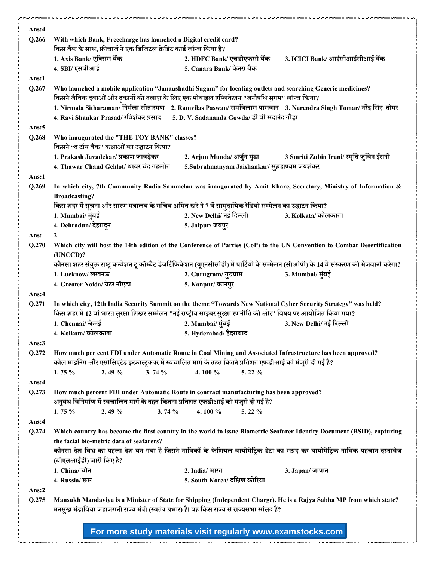| Q.266    | With which Bank, Freecharge has launched a Digital credit card?                                                                          |                                                |                                                                                                                                               |  |  |  |
|----------|------------------------------------------------------------------------------------------------------------------------------------------|------------------------------------------------|-----------------------------------------------------------------------------------------------------------------------------------------------|--|--|--|
|          | किस बैंक के साथ, फ्रीचार्ज ने एक डिजिटल क्रेडिट कार्ड लॉन्च किया है?                                                                     |                                                |                                                                                                                                               |  |  |  |
|          | 1. Axis Bank/ एक्सिस बैंक                                                                                                                | 2. HDFC Bank/ एचडीएफसी बैंक                    | 3. ICICI Bank/ आईसीआईसीआई बैंक                                                                                                                |  |  |  |
|          | 4. SBI/ एसबीआई                                                                                                                           | 5. Canara Bank/ केनरा बैंक                     |                                                                                                                                               |  |  |  |
| Ans:1    |                                                                                                                                          |                                                |                                                                                                                                               |  |  |  |
| Q.267    | Who launched a mobile application "Janaushadhi Sugam" for locating outlets and searching Generic medicines?                              |                                                |                                                                                                                                               |  |  |  |
|          | किसने जैविक दवाओं और दुकानों की तलाश के लिए एक मोबाइल एप्लिकेशन "जनौषधि सुगम" लॉन्च किया?                                                |                                                |                                                                                                                                               |  |  |  |
|          |                                                                                                                                          |                                                | 1. Nirmala Sitharaman/ निर्मला सीतारमण 2. Ramvilas Paswan/ रामविलास पासवान 3. Narendra Singh Tomar/ नरेंद्र सिंह तोमर                         |  |  |  |
|          | 4. Ravi Shankar Prasad/ रविशंकर प्रसाद                                                                                                   | 5. D. V. Sadananda Gowda/ डी वी सदानंद गौड़ा   |                                                                                                                                               |  |  |  |
| Ans: $5$ |                                                                                                                                          |                                                |                                                                                                                                               |  |  |  |
| Q.268    | Who inaugurated the "THE TOY BANK" classes?                                                                                              |                                                |                                                                                                                                               |  |  |  |
|          | किसने "द टॉय बैंक" कक्षाओं का उद्घाटन किया?                                                                                              |                                                |                                                                                                                                               |  |  |  |
|          | 1. Prakash Javadekar/ प्रकाश जावड़ेकर                                                                                                    | 2. Arjun Munda/ अर्जुन मुंडा                   | 3 Smriti Zubin Irani/ स्मृति जुबिन ईरानी                                                                                                      |  |  |  |
|          | 4. Thawar Chand Gehlot/ थावर चंद गहलोत                                                                                                   | 5.Subrahmanyam Jaishankar/ सुब्रह्मण्यम जयशंकर |                                                                                                                                               |  |  |  |
| Ans:1    |                                                                                                                                          |                                                |                                                                                                                                               |  |  |  |
| Q.269    |                                                                                                                                          |                                                | In which city, 7th Community Radio Sammelan was inaugurated by Amit Khare, Secretary, Ministry of Information &                               |  |  |  |
|          | <b>Broadcasting?</b>                                                                                                                     |                                                |                                                                                                                                               |  |  |  |
|          | किस शहर में सूचना और सारण मंत्रालय के सचिव अमित खरे ने 7 वें सामुदायिक रेडियो सम्मेलन का उद्घाटन किया?                                   |                                                |                                                                                                                                               |  |  |  |
|          | 1. Mumbai/ मुंबई                                                                                                                         | 2. New Delhi/ नई दिल्ली                        | 3. Kolkata/ कोलकाता                                                                                                                           |  |  |  |
|          | 4. Dehradun/ देहरादून                                                                                                                    | 5. Jaipur/ जयपुर                               |                                                                                                                                               |  |  |  |
| Ans:     | $\mathbf{2}$                                                                                                                             |                                                |                                                                                                                                               |  |  |  |
| Q.270    |                                                                                                                                          |                                                | Which city will host the 14th edition of the Conference of Parties (CoP) to the UN Convention to Combat Desertification                       |  |  |  |
|          | (UNCCD)?                                                                                                                                 |                                                |                                                                                                                                               |  |  |  |
|          |                                                                                                                                          |                                                | कौनसा शहर संयुक्त राष्ट्र कन्वेंशन टू कॉम्बैट डेजर्टिफिकेशन (यूएनसीसीडी) में पार्टियों के सम्मेलन (सीओपी) के 14 वें संस्करण की मेजबानी करेगा? |  |  |  |
|          | 1. Lucknow/ लखनऊ                                                                                                                         | 2. Gurugram/गुरुग्राम                          | 3. Mumbai/ मुंबई                                                                                                                              |  |  |  |
|          | 4. Greater Noida/ ग्रेटर नॉएडा                                                                                                           | 5. Kanpur/ कानपुर                              |                                                                                                                                               |  |  |  |
| Ans:4    |                                                                                                                                          |                                                |                                                                                                                                               |  |  |  |
| Q.271    | In which city, 12th India Security Summit on the theme "Towards New National Cyber Security Strategy" was held?                          |                                                |                                                                                                                                               |  |  |  |
|          |                                                                                                                                          |                                                |                                                                                                                                               |  |  |  |
|          |                                                                                                                                          |                                                |                                                                                                                                               |  |  |  |
|          | किस शहर में 12 वां भारत सुरक्षा शिखर सम्मेलन "नई राष्ट्रीय साइबर सुरक्षा रणनीति की ओर" विषय पर आयोजित किया गया?                          |                                                |                                                                                                                                               |  |  |  |
|          | 1. Chennai/ चेन्नई<br>4. Kolkata/ कोलकाता                                                                                                | 2. Mumbai/ मुंबई                               | 3. New Delhi/ नई दिल्ली                                                                                                                       |  |  |  |
|          |                                                                                                                                          | 5. Hyderabad/ हैदराबाद                         |                                                                                                                                               |  |  |  |
| Ans:3    |                                                                                                                                          |                                                |                                                                                                                                               |  |  |  |
| Q.272    | How much per cent FDI under Automatic Route in Coal Mining and Associated Infrastructure has been approved?                              |                                                |                                                                                                                                               |  |  |  |
|          | कोल माइनिंग और एसोसिएटेड इन्फ्रास्ट्रक्चर में स्वचालित मार्ग के तहत कितने प्रतिशत एफडीआई को मंजूरी दी गई है?<br>1.75 %<br>2.49%<br>3.74% | 4.100 %<br>5.22 %                              |                                                                                                                                               |  |  |  |
| Ans:4    |                                                                                                                                          |                                                |                                                                                                                                               |  |  |  |
|          |                                                                                                                                          |                                                |                                                                                                                                               |  |  |  |
| Q.273    | How much percent FDI under Automatic Route in contract manufacturing has been approved?                                                  |                                                |                                                                                                                                               |  |  |  |
|          | अनुबंध विनिर्माण में स्वचालित मार्ग के तहत कितना प्रतिशत एफडीआई को मंजूरी दी गई है?<br>1.75 %<br>2.49 %<br>3.74%                         | 4.100 %<br>5.22 $%$                            |                                                                                                                                               |  |  |  |
|          |                                                                                                                                          |                                                |                                                                                                                                               |  |  |  |
| Ans:4    |                                                                                                                                          |                                                |                                                                                                                                               |  |  |  |
| Q.274    |                                                                                                                                          |                                                | Which country has become the first country in the world to issue Biometric Seafarer Identity Document (BSID), capturing                       |  |  |  |
|          | the facial bio-metric data of seafarers?                                                                                                 |                                                |                                                                                                                                               |  |  |  |
|          |                                                                                                                                          |                                                | कौनसा देश विश्व का पहला देश बन गया है जिसने नाविकों के फेशियल बायोमैट्रिक डेटा का संग्रह कर बायोमैट्रिक नाविक पहचान दस्तावेज                  |  |  |  |
|          | (बीएसआईडी) जारी किए है?<br>1. China/ चीन                                                                                                 | 2. India/ भारत                                 |                                                                                                                                               |  |  |  |
|          | 4. Russia/ रूस                                                                                                                           | 5. South Korea/ दक्षिण कोरिया                  | 3. Japan/ जापान                                                                                                                               |  |  |  |
| Ans: $2$ |                                                                                                                                          |                                                |                                                                                                                                               |  |  |  |
| Q.275    |                                                                                                                                          |                                                |                                                                                                                                               |  |  |  |
|          | मनसुख मंडाविया जहाजरानी राज्य मंत्री (स्वतंत्र प्रभार) हैं। वह किस राज्य से राज्यसभा सांसद हैं?                                          |                                                | Mansukh Mandaviya is a Minister of State for Shipping (Independent Charge). He is a Rajya Sabha MP from which state?                          |  |  |  |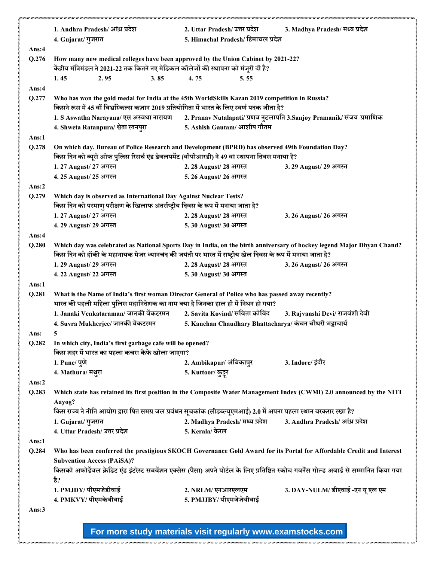|          | 1. Andhra Pradesh/ आंध्र प्रदेश                                                                                                                                            | 2. Uttar Pradesh/ उत्तर प्रदेश                           | 3. Madhya Pradesh/ मध्य प्रदेश                                        |  |  |
|----------|----------------------------------------------------------------------------------------------------------------------------------------------------------------------------|----------------------------------------------------------|-----------------------------------------------------------------------|--|--|
|          | 4. Gujarat/ गुजरात                                                                                                                                                         | 5. Himachal Pradesh/ हिमाचल प्रदेश                       |                                                                       |  |  |
| Ans:4    |                                                                                                                                                                            |                                                          |                                                                       |  |  |
| Q.276    | How many new medical colleges have been approved by the Union Cabinet by 2021-22?<br>केंद्रीय मंत्रिमंडल ने 2021-22 तक कितने नए मेडिकल कॉलेजों की स्थापना को मंजूरी दी है? |                                                          |                                                                       |  |  |
|          | 1.45<br>2.95<br>3.85                                                                                                                                                       | 4.75<br>5.55                                             |                                                                       |  |  |
| Ans:4    |                                                                                                                                                                            |                                                          |                                                                       |  |  |
| Q.277    | Who has won the gold medal for India at the 45th WorldSkills Kazan 2019 competition in Russia?                                                                             |                                                          |                                                                       |  |  |
|          | किसने रूस में 45 वीं विश्वस्किल्स कज़ान 2019 प्रतियोगिता में भारत के लिए स्वर्ण पदक जीता है?                                                                               |                                                          |                                                                       |  |  |
|          | 1. S Aswatha Narayana/ एस अस्वथा नारायण                                                                                                                                    |                                                          | 2. Pranav Nutalapati/ प्रणव नुटलापति 3.Sanjoy Pramanik/ संजय प्रमाणिक |  |  |
|          | 4. Shweta Ratanpura/ श्वेता रतनपुरा                                                                                                                                        | 5. Ashish Gautam/ आशीष गौतम                              |                                                                       |  |  |
| Ans:1    |                                                                                                                                                                            |                                                          |                                                                       |  |  |
| Q.278    | On which day, Bureau of Police Research and Development (BPRD) has observed 49th Foundation Day?                                                                           |                                                          |                                                                       |  |  |
|          | किस दिन को ब्यूरो ऑफ पुलिस रिसर्च एंड डेवलपमेंट (बीपीआरडी) ने 49 वां स्थापना दिवस मनाया है?                                                                                |                                                          |                                                                       |  |  |
|          | 1.27 August/ 27 अगस्त                                                                                                                                                      | 2. 28 August/ 28 अगस्त                                   | 3. 29 August/ 29 अगस्त                                                |  |  |
|          | 4.25 August/ 25 अगस्त                                                                                                                                                      | 5. 26 August/ 26 अगस्त                                   |                                                                       |  |  |
| Ans: $2$ |                                                                                                                                                                            |                                                          |                                                                       |  |  |
| Q.279    | Which day is observed as International Day Against Nuclear Tests?                                                                                                          |                                                          |                                                                       |  |  |
|          | किस दिन को परमाणु परीक्षण के खिलाफ अंतर्राष्ट्रीय दिवस के रूप में मनाया जाता है?                                                                                           |                                                          |                                                                       |  |  |
|          | 1.27 August/ 27 अगस्त                                                                                                                                                      | 2. 28 August/ 28 अगस्त                                   | 3. 26 August/ 26 अगस्त                                                |  |  |
|          | 4.29 August/ 29 अगस्त                                                                                                                                                      | 5.30 August/ 30 अगस्त                                    |                                                                       |  |  |
| Ans:4    |                                                                                                                                                                            |                                                          |                                                                       |  |  |
| Q.280    | Which day was celebrated as National Sports Day in India, on the birth anniversary of hockey legend Major Dhyan Chand?                                                     |                                                          |                                                                       |  |  |
|          | किस दिन को हॉकी के महानायक मेजर ध्यानचंद की जयंती पर भारत में राष्ट्रीय खेल दिवस के रूप में मनाया जाता है?                                                                 |                                                          |                                                                       |  |  |
|          | 1.29 August/ 29 अगस्त                                                                                                                                                      | 2. 28 August/ 28 अगस्त                                   | 3. 26 August/ 26 अगस्त                                                |  |  |
|          | 4.22 August/22 अगस्त                                                                                                                                                       | 5.30 August/ 30 अगस्त                                    |                                                                       |  |  |
| Ans:1    |                                                                                                                                                                            |                                                          |                                                                       |  |  |
| Q.281    | What is the Name of India's first woman Director General of Police who has passed away recently?                                                                           |                                                          |                                                                       |  |  |
|          | भारत की पहली महिला पुलिस महानिदेशक का नाम क्या है जिनका हाल ही में निधन हो गया?                                                                                            |                                                          |                                                                       |  |  |
|          | 1. Janaki Venkataraman/ जानकी वेंकटरमन                                                                                                                                     | 2. Savita Kovind/ सविता कोविंद                           | 3. Rajvanshi Devi/ राजवंशी देवी                                       |  |  |
|          | 4. Suvra Mukherjee/ जानकी वेंकटरमन                                                                                                                                         | 5. Kanchan Chaudhary Bhattacharya/ कंचन चौधरी भट्टाचार्य |                                                                       |  |  |
| Ans:     |                                                                                                                                                                            |                                                          |                                                                       |  |  |
| Q.282    | In which city, India's first garbage cafe will be opened?                                                                                                                  |                                                          |                                                                       |  |  |
|          | किस शहर में भारत का पहला कचरा कैफे खोला जाएगा?                                                                                                                             |                                                          |                                                                       |  |  |
|          | 1. Pune/ पुणे                                                                                                                                                              | 2. Ambikapur/ अंबिकापुर                                  | 3. Indore/ इंदौर                                                      |  |  |
|          | 4. Mathura/ मथुरा                                                                                                                                                          | 5. Kuttoor/ कुट्टूर                                      |                                                                       |  |  |
| Ans:2    |                                                                                                                                                                            |                                                          |                                                                       |  |  |
| Q.283    | Which state has retained its first position in the Composite Water Management Index (CWMI) 2.0 announced by the NITI                                                       |                                                          |                                                                       |  |  |
|          | Aayog?                                                                                                                                                                     |                                                          |                                                                       |  |  |
|          | किस राज्य ने नीति आयोग द्वारा षित समग्र जल प्रबंधन सूचकांक (सीडब्ल्यूएमआई) 2.0 में अपना पहला स्थान बरकरार रखा है?                                                          |                                                          |                                                                       |  |  |
|          | 1. Gujarat/ गुजरात                                                                                                                                                         | 2. Madhya Pradesh/ मध्य प्रदेश                           | 3. Andhra Pradesh/ आंध्र प्रदेश                                       |  |  |
|          | 4. Uttar Pradesh/ उत्तर प्रदेश                                                                                                                                             | 5. Kerala/ केरल                                          |                                                                       |  |  |
| Ans:1    |                                                                                                                                                                            |                                                          |                                                                       |  |  |
| Q.284    | Who has been conferred the prestigious SKOCH Governance Gold Award for its Portal for Affordable Credit and Interest                                                       |                                                          |                                                                       |  |  |
|          | <b>Subvention Access (PAiSA)?</b>                                                                                                                                          |                                                          |                                                                       |  |  |
|          | किसको अफोर्डेबल क्रेडिट एंड इंटरेस्ट सबवेंशन एक्सेस (पैसा) अपने पोर्टल के लिए प्रतिष्ठित स्कोच गवर्नेंस गोल्ड अवार्ड से सम्मानित किया गया                                  |                                                          |                                                                       |  |  |
|          | है?                                                                                                                                                                        |                                                          |                                                                       |  |  |
|          | 1. PMJDY/ पीएमजेडीवाई                                                                                                                                                      | 2. NRLM/ एनआरएलएम                                        | 3. DAY-NULM/ डीएवाई-एन यू एल एम                                       |  |  |
|          | 4. PMKVY/ पीएमकेवीवाई                                                                                                                                                      | 5. PMJJBY/ पीएमजेजेबीवाई                                 |                                                                       |  |  |
| Ans: $3$ |                                                                                                                                                                            |                                                          |                                                                       |  |  |
|          |                                                                                                                                                                            |                                                          |                                                                       |  |  |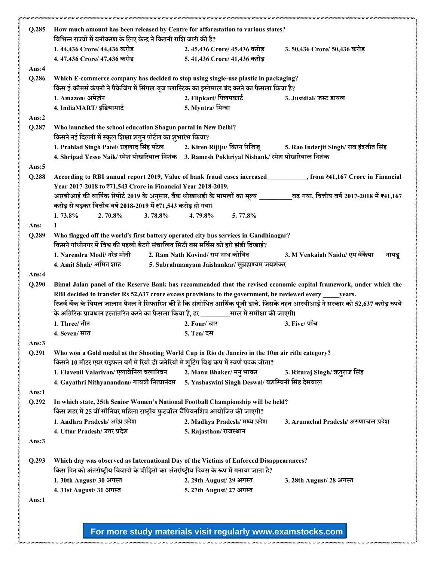| Q.285         | How much amount has been released by Centre for afforestation to various states?                                                                                                                    |                                                  |                                          |  |  |  |
|---------------|-----------------------------------------------------------------------------------------------------------------------------------------------------------------------------------------------------|--------------------------------------------------|------------------------------------------|--|--|--|
|               | विभिन्न राज्यों में वनीकरण के लिए केन्द्र ने कितनी राशि जारी की है?                                                                                                                                 |                                                  |                                          |  |  |  |
|               | 1.44,436 Crore/ 44,436 करोड़                                                                                                                                                                        | 2.45,436 Crore/ 45,436 करोड़                     | 3.50,436 Crore/ 50,436 करोड़             |  |  |  |
|               | 4.47,436 Crore/ 47,436 करोड़                                                                                                                                                                        | 5.41,436 Crore/ 41,436 करोड                      |                                          |  |  |  |
| Ans:4         |                                                                                                                                                                                                     |                                                  |                                          |  |  |  |
| Q.286         | Which E-commerce company has decided to stop using single-use plastic in packaging?<br>किस ई-कॉमर्स कंपनी ने पैकेजिंग में सिंगल-यूज प्लास्टिक का इस्तेमाल बंद करने का फैसला किया है?                |                                                  |                                          |  |  |  |
|               | 1. Amazon/ अमेज़ॅन                                                                                                                                                                                  | 2. Flipkart/ फ्लिपकार्ट                          | 3. Justdial/ जस्ट डायल                   |  |  |  |
|               | 4. IndiaMART/इंडियामार्ट                                                                                                                                                                            | 5. Myntra/ मिन्त्रा                              |                                          |  |  |  |
| Ans: $2$      |                                                                                                                                                                                                     |                                                  |                                          |  |  |  |
| Q.287         | Who launched the school education Shagun portal in New Delhi?<br>किसने नई दिल्ली में स्कूल शिक्षा शगुन पोर्टल का शुभारंभ किया?                                                                      |                                                  |                                          |  |  |  |
|               | 1. Prahlad Singh Patel/ प्रहलाद सिंह पटेल             2. Kiren Rijiju/ किरन रिजिज्                                                                                                                  |                                                  | 5. Rao Inderjit Singh/ राव इंद्रजीत सिंह |  |  |  |
|               | 4. Shripad Yesso Naik/ रमेश पोखरियाल निशंक 3. Ramesh Pokhriyal Nishank/ रमेश पोखरियाल निशंक                                                                                                         |                                                  |                                          |  |  |  |
| Ans: $5$      |                                                                                                                                                                                                     |                                                  |                                          |  |  |  |
| Q.288         | According to RBI annual report 2019, Value of bank fraud cases increased<br>Separation 31,167 Crore in Financial<br>Year 2017-2018 to ₹71,543 Crore in Financial Year 2018-2019.                    |                                                  |                                          |  |  |  |
|               |                                                                                                                                                                                                     |                                                  |                                          |  |  |  |
|               | आरबीआई की वार्षिक रिपोर्ट 2019 के अनुसार, बैंक धोखाधड़ी के मामलों का मूल्य __________बढ़ गया, वित्तीय वर्ष 2017-2018 में ₹41,167<br>करोड़ से बढ़कर वित्तीय वर्ष 2018-2019 में ₹71,543 करोड़ हो गया। |                                                  |                                          |  |  |  |
|               | 1.73.8%<br>$2.70.8\%$<br>3.78.8%                                                                                                                                                                    | $5.77.8\%$<br>4.79.8%                            |                                          |  |  |  |
|               | $\mathbf{1}$                                                                                                                                                                                        |                                                  |                                          |  |  |  |
| Ans:<br>Q.289 | Who flagged off the world's first battery operated city bus services in Gandhinagar?                                                                                                                |                                                  |                                          |  |  |  |
|               | किसने गांधीनगर में विश्व की पहली बैटरी संचालित सिटी बस सर्विस को हरी झंडी दिखाई?                                                                                                                    |                                                  |                                          |  |  |  |
|               | 1. Narendra Modi/ नरेंद्र मोदी                                                                                                                                                                      | 2. Ram Nath Kovind/ राम नाथ कोविंद               | 3. M Venkaiah Naidu/ एम वेंकैया          |  |  |  |
|               | 4. Amit Shah/ अमित शाह                                                                                                                                                                              | 5. Subrahmanyam Jaishankar/ सुब्रह्मण्यम जयशंकर  | नायडू                                    |  |  |  |
| Ans: $4$      |                                                                                                                                                                                                     |                                                  |                                          |  |  |  |
|               | Bimal Jalan panel of the Reserve Bank has recommended that the revised economic capital framework, under which the                                                                                  |                                                  |                                          |  |  |  |
|               |                                                                                                                                                                                                     |                                                  |                                          |  |  |  |
| Q.290         |                                                                                                                                                                                                     |                                                  |                                          |  |  |  |
|               | RBI decided to transfer Rs 52,637 crore excess provisions to the government, be reviewed every _____ years.                                                                                         |                                                  |                                          |  |  |  |
|               | रिज़र्व बैंक के बिमल जालान पैनल ने सिफारिश की है कि संशोधित आर्थिक पूंजी ढांचे, जिसके तहत आरबीआई ने सरकार को 52,637 करोड़ रुपये                                                                     |                                                  |                                          |  |  |  |
|               | के अतिरिक्त प्रावधान हस्तांतरित करने का फैसला किया है, हर बाल में समीक्षा की जाएगी।                                                                                                                 |                                                  |                                          |  |  |  |
|               | 1. Three/ तीन                                                                                                                                                                                       | 2. Four/ चार                                     | 3. Five/ पाँच                            |  |  |  |
|               | 4. Seven/ सात                                                                                                                                                                                       | 5. Ten/ दस                                       |                                          |  |  |  |
| Ans: $3$      |                                                                                                                                                                                                     |                                                  |                                          |  |  |  |
| Q.291         | Who won a Gold medal at the Shooting World Cup in Rio de Janeiro in the 10m air rifle category?                                                                                                     |                                                  |                                          |  |  |  |
|               | किसने 10 मीटर एयर राइफल वर्ग में रियो डी जनेरियो में शूटिंग विश्व कप में स्वर्ण पदक जीता?                                                                                                           |                                                  |                                          |  |  |  |
|               | 1. Elavenil Valarivan/ एलावेनिल वलारिवन                                                                                                                                                             | 2. Manu Bhaker/ मनु भाकर                         | 3. Rituraj Singh/ ऋतुराज सिंह            |  |  |  |
|               | 4. Gayathri Nithyanandam/ गायत्री नित्यानंदम                                                                                                                                                        | 5. Yashaswini Singh Deswal/ यशस्विनी सिंह देसवाल |                                          |  |  |  |
| Ans:1         |                                                                                                                                                                                                     |                                                  |                                          |  |  |  |
| Q.292         | In which state, 25th Senior Women's National Football Championship will be held?                                                                                                                    |                                                  |                                          |  |  |  |
|               | किस शहर में 25 वीं सीनियर महिला राष्ट्रीय फुटबॉल चैंपियनशिप आयोजित की जाएगी?                                                                                                                        |                                                  |                                          |  |  |  |
|               | 1. Andhra Pradesh/ आंध्र प्रदेश                                                                                                                                                                     | 2. Madhya Pradesh/ मध्य प्रदेश                   | 3. Arunachal Pradesh/अरुणाचल प्रदेश      |  |  |  |
|               | 4. Uttar Pradesh/ उत्तर प्रदेश                                                                                                                                                                      | 5. Rajasthan/ राजस्थान                           |                                          |  |  |  |
| Ans: $3$      |                                                                                                                                                                                                     |                                                  |                                          |  |  |  |
| Q.293         | Which day was observed as International Day of the Victims of Enforced Disappearances?                                                                                                              |                                                  |                                          |  |  |  |
|               | किस दिन को अंतर्राष्ट्रीय विवादों के पीड़ितों का अंतर्राष्ट्रीय दिवस के रूप में मनाया जाता है?                                                                                                      |                                                  |                                          |  |  |  |
|               | 1.30th August/ 30 अगस्त                                                                                                                                                                             | 2. 29th August/ 29 अगस्त                         | 3. 28th August/ 28 अगस्त                 |  |  |  |
|               | 4.31st August/ 31 अगस्त                                                                                                                                                                             | 5. 27th August/ 27 अगस्त                         |                                          |  |  |  |
| Ans:1         |                                                                                                                                                                                                     |                                                  |                                          |  |  |  |
|               |                                                                                                                                                                                                     |                                                  |                                          |  |  |  |